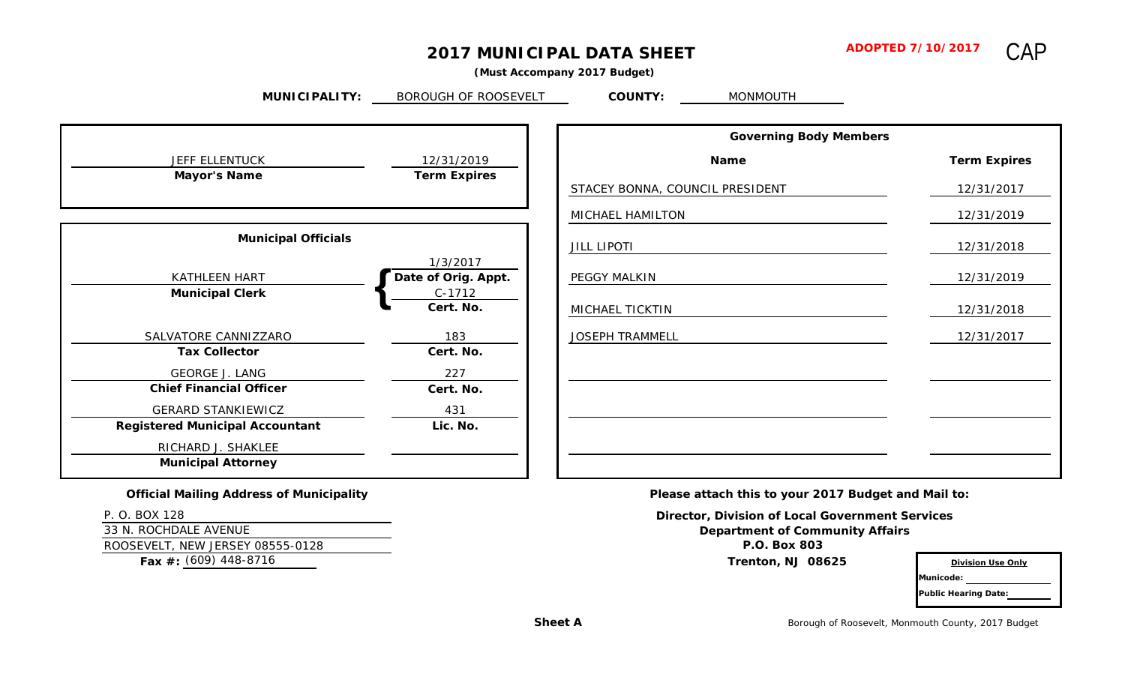# **2017 MUNICIPAL DATA SHEET**

CAP

 **(Must Accompany 2017 Budget)**

**MUNICIPALITY: COUNTY:** MONMOUTH BOROUGH OF ROOSEVELT

| <b>JEFF ELLENTUCK</b>                  | 12/31/2019          |
|----------------------------------------|---------------------|
| <b>Mayor's Name</b>                    | <b>Term Expires</b> |
|                                        |                     |
| <b>Municipal Officials</b>             |                     |
|                                        |                     |
|                                        | 1/3/2017            |
| <b>KATHLEEN HART</b>                   | Date of Orig. Appt. |
| <b>Municipal Clerk</b>                 | $C-1712$            |
|                                        | Cert. No.           |
| SALVATORE CANNIZZARO                   | 183                 |
| <b>Tax Collector</b>                   | Cert. No.           |
| <b>GEORGE J. LANG</b>                  | 227                 |
| <b>Chief Financial Officer</b>         | Cert. No.           |
| <b>GERARD STANKIEWICZ</b>              | 431                 |
| <b>Registered Municipal Accountant</b> | Lic. No.            |
| RICHARD J. SHAKLEE                     |                     |
| <b>Municipal Attorney</b>              |                     |

| <b>Governing Body Members</b>   |                     |
|---------------------------------|---------------------|
| <b>Name</b>                     | <b>Term Expires</b> |
| STACEY BONNA, COUNCIL PRESIDENT | 12/31/2017          |
| MICHAEL HAMILTON                | 12/31/2019          |
| <b>JILL LIPOTI</b>              | 12/31/2018          |
| PEGGY MALKIN                    | 12/31/2019          |
| MICHAEL TICKTIN                 | 12/31/2018          |
| <b>JOSEPH TRAMMELL</b>          | 12/31/2017          |
|                                 |                     |
|                                 |                     |
|                                 |                     |
|                                 |                     |
|                                 |                     |

**Official Mailing Address of Municipality**

P. O. BOX 128

33 N. ROCHDALE AVENUE ROOSEVELT, NEW JERSEY 08555-0128 **P.O. Box 803**

**Fax #: Trenton, NJ 08625** (609) 448-8716

**Please attach this to your 2017 Budget and Mail to:**

**Director, Division of Local Government Services Department of Community Affairs**

**Division Use Only**

**Municode: Public Hearing Date:**

Borough of Roosevelt, Monmouth County, 2017 Budget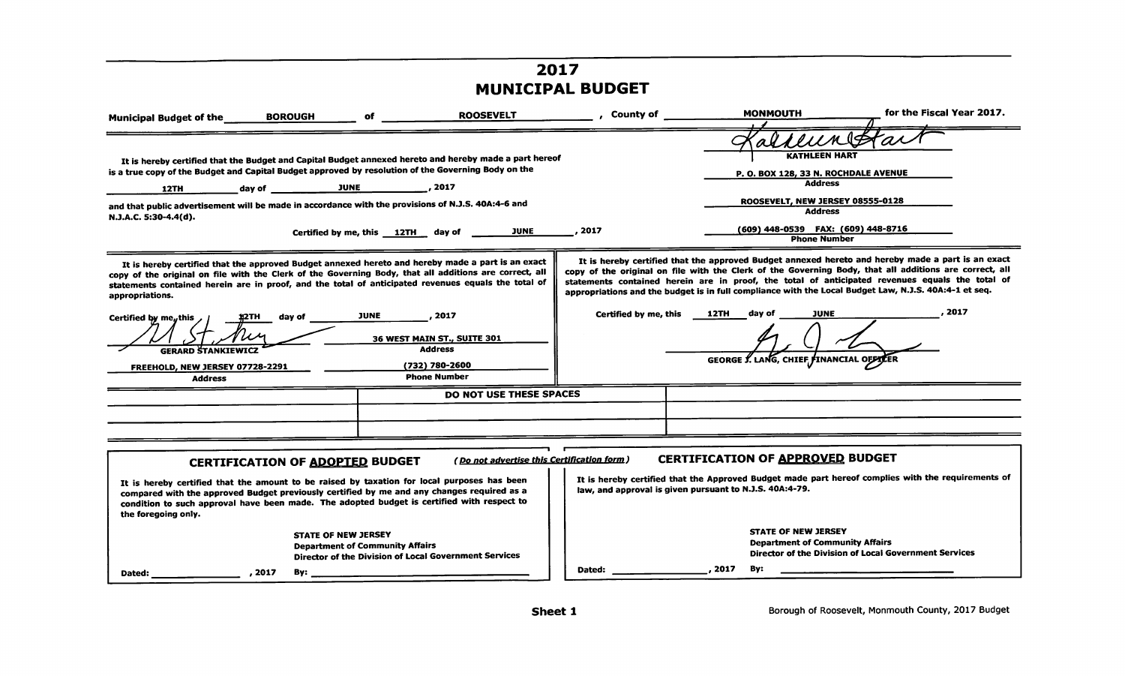# *2017 MUNICIPAL BUDGET*

| <b>BOROUGH</b><br><b>Municipal Budget of the</b>                                                                                                                                                                                                                                                                                                                                                                                                                                          | <b>ROOSEVELT</b><br>of                                                                                          | <b>Example 2</b> County of | <b>MONMOUTH</b>                                                                                                                                                                                                                                                                                                                                                                                                                                                                              | for the Fiscal Year 2017.                             |
|-------------------------------------------------------------------------------------------------------------------------------------------------------------------------------------------------------------------------------------------------------------------------------------------------------------------------------------------------------------------------------------------------------------------------------------------------------------------------------------------|-----------------------------------------------------------------------------------------------------------------|----------------------------|----------------------------------------------------------------------------------------------------------------------------------------------------------------------------------------------------------------------------------------------------------------------------------------------------------------------------------------------------------------------------------------------------------------------------------------------------------------------------------------------|-------------------------------------------------------|
| It is hereby certified that the Budget and Capital Budget annexed hereto and hereby made a part hereof<br>is a true copy of the Budget and Capital Budget approved by resolution of the Governing Body on the<br>12TH<br>and that public advertisement will be made in accordance with the provisions of N.J.S. 40A:4-6 and<br>N.J.A.C. 5:30-4.4(d).                                                                                                                                      | JUNE<br>Certified by me, this 12TH day of ___                                                                   | 2017                       | <b>KATHLEEN HART</b><br>P. O. BOX 128, 33 N. ROCHDALE AVENUE<br><b>Address</b><br>ROOSEVELT, NEW JERSEY 08555-0128<br><b>Address</b><br>(609) 448-0539 FAX: (609) 448-8716<br><b>Phone Number</b>                                                                                                                                                                                                                                                                                            |                                                       |
| It is hereby certified that the approved Budget annexed hereto and hereby made a part is an exact<br>copy of the original on file with the Clerk of the Governing Body, that all additions are correct, all<br>statements contained herein are in proof, and the total of anticipated revenues equals the total of<br>appropriations.<br>day of<br>1)2TH<br>Certified by me <sub>n</sub> this $\lambda$<br><b>GERARD STANKIEWICZ</b><br>FREEHOLD, NEW JERSEY 07728-2291<br><b>Address</b> | <b>JUNE</b><br>, 2017<br>36 WEST MAIN ST., SUITE 301<br><b>Address</b><br>(732) 780-2600<br><b>Phone Number</b> | Certified by me, this      | It is hereby certified that the approved Budget annexed hereto and hereby made a part is an exact<br>copy of the original on file with the Clerk of the Governing Body, that all additions are correct, all<br>statements contained herein are in proof, the total of anticipated revenues equals the total of<br>appropriations and the budget is in full compliance with the Local Budget Law, N.J.S. 40A:4-1 et seq.<br>12TH<br>day of<br>JUNE<br>GEORGE Y. LANG, CHIEF FINANCIAL OFFICER | , 2017                                                |
|                                                                                                                                                                                                                                                                                                                                                                                                                                                                                           | <b>DO NOT USE THESE SPACES</b>                                                                                  |                            |                                                                                                                                                                                                                                                                                                                                                                                                                                                                                              |                                                       |
|                                                                                                                                                                                                                                                                                                                                                                                                                                                                                           |                                                                                                                 |                            |                                                                                                                                                                                                                                                                                                                                                                                                                                                                                              |                                                       |
|                                                                                                                                                                                                                                                                                                                                                                                                                                                                                           |                                                                                                                 |                            |                                                                                                                                                                                                                                                                                                                                                                                                                                                                                              |                                                       |
| <b>CERTIFICATION OF ADOPTED BUDGET</b><br>It is hereby certified that the amount to be raised by taxation for local purposes has been<br>compared with the approved Budget previously certified by me and any changes required as a<br>condition to such approval have been made. The adopted budget is certified with respect to<br>the foregoing only.                                                                                                                                  | (Do not advertise this Certification form)                                                                      |                            | <b>CERTIFICATION OF APPROVED BUDGET</b><br>It is hereby certified that the Approved Budget made part hereof complies with the requirements of<br>law, and approval is given pursuant to N.J.S. 40A:4-79.                                                                                                                                                                                                                                                                                     |                                                       |
| <b>STATE OF NEW JERSEY</b><br>, 2017<br>By:                                                                                                                                                                                                                                                                                                                                                                                                                                               | <b>Department of Community Affairs</b><br>Director of the Division of Local Government Services                 | Dated:                     | <b>STATE OF NEW JERSEY</b><br><b>Department of Community Affairs</b><br>2017<br>Bv:                                                                                                                                                                                                                                                                                                                                                                                                          | Director of the Division of Local Government Services |
| Dated:                                                                                                                                                                                                                                                                                                                                                                                                                                                                                    |                                                                                                                 |                            |                                                                                                                                                                                                                                                                                                                                                                                                                                                                                              |                                                       |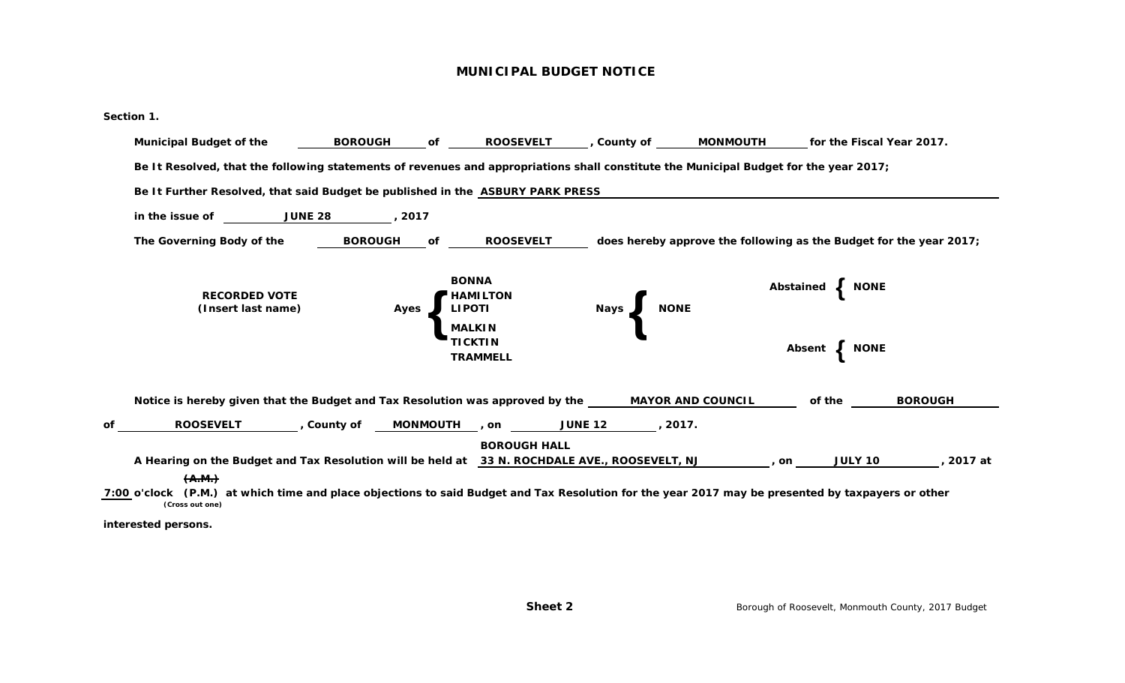#### **MUNICIPAL BUDGET NOTICE**

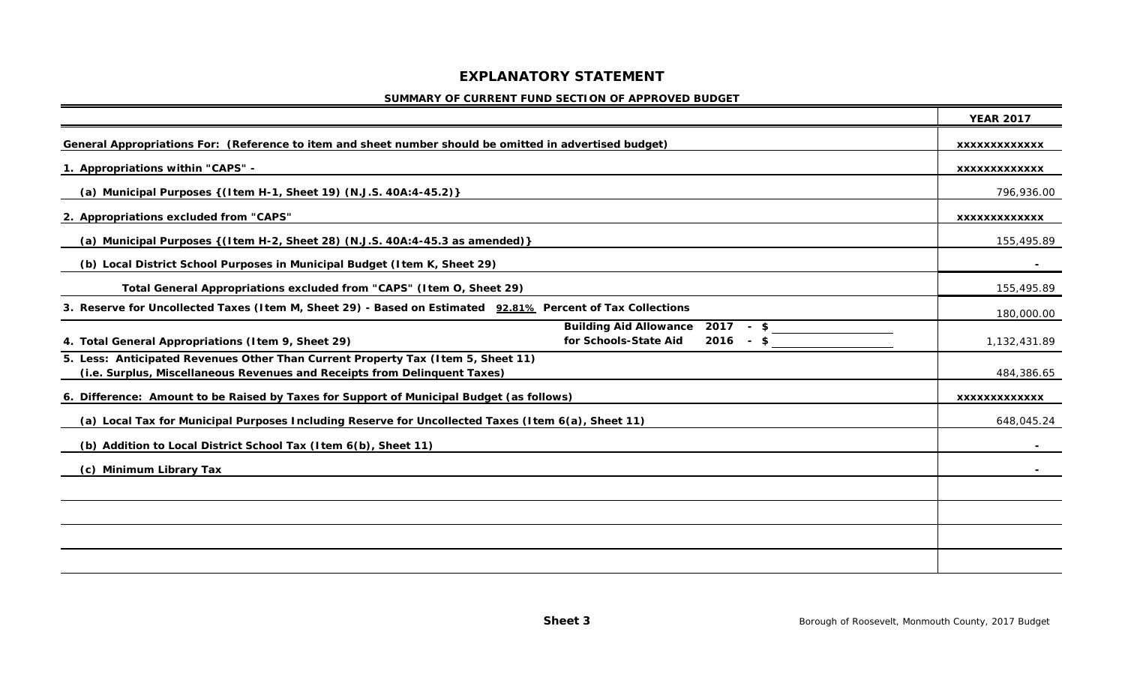## **EXPLANATORY STATEMENT**

#### **SUMMARY OF CURRENT FUND SECTION OF APPROVED BUDGET**

|                                                                                                                                                               | <b>YEAR 2017</b>     |
|---------------------------------------------------------------------------------------------------------------------------------------------------------------|----------------------|
| General Appropriations For: (Reference to item and sheet number should be omitted in advertised budget)                                                       | XXXXXXXXXXXXX        |
| 1. Appropriations within "CAPS" -                                                                                                                             | <b>XXXXXXXXXXXXX</b> |
| (a) Municipal Purposes { (Item H-1, Sheet 19) (N.J.S. 40A:4-45.2) }                                                                                           | 796,936.00           |
| 2. Appropriations excluded from "CAPS"                                                                                                                        | <b>XXXXXXXXXXXXX</b> |
| (a) Municipal Purposes { (Item H-2, Sheet 28) (N.J.S. 40A:4-45.3 as amended) }                                                                                | 155,495.89           |
| (b) Local District School Purposes in Municipal Budget (Item K, Sheet 29)                                                                                     |                      |
| Total General Appropriations excluded from "CAPS" (Item O, Sheet 29)                                                                                          | 155,495.89           |
| 3. Reserve for Uncollected Taxes (Item M, Sheet 29) - Based on Estimated 92.81% Percent of Tax Collections                                                    | 180,000.00           |
| Building Aid Allowance 2017 - \$<br>for Schools-State Aid<br>$2016 - S$<br>4. Total General Appropriations (I tem 9, Sheet 29)                                | 1,132,431.89         |
| 5. Less: Anticipated Revenues Other Than Current Property Tax (Item 5, Sheet 11)<br>(i.e. Surplus, Miscellaneous Revenues and Receipts from Delinquent Taxes) | 484,386.65           |
| 6. Difference: Amount to be Raised by Taxes for Support of Municipal Budget (as follows)                                                                      | <b>XXXXXXXXXXXXX</b> |
| (a) Local Tax for Municipal Purposes Including Reserve for Uncollected Taxes (Item 6(a), Sheet 11)                                                            | 648,045.24           |
| (b) Addition to Local District School Tax (Item 6(b), Sheet 11)                                                                                               |                      |
| <b>Minimum Library Tax</b><br>(C)                                                                                                                             |                      |
|                                                                                                                                                               |                      |
|                                                                                                                                                               |                      |
|                                                                                                                                                               |                      |
|                                                                                                                                                               |                      |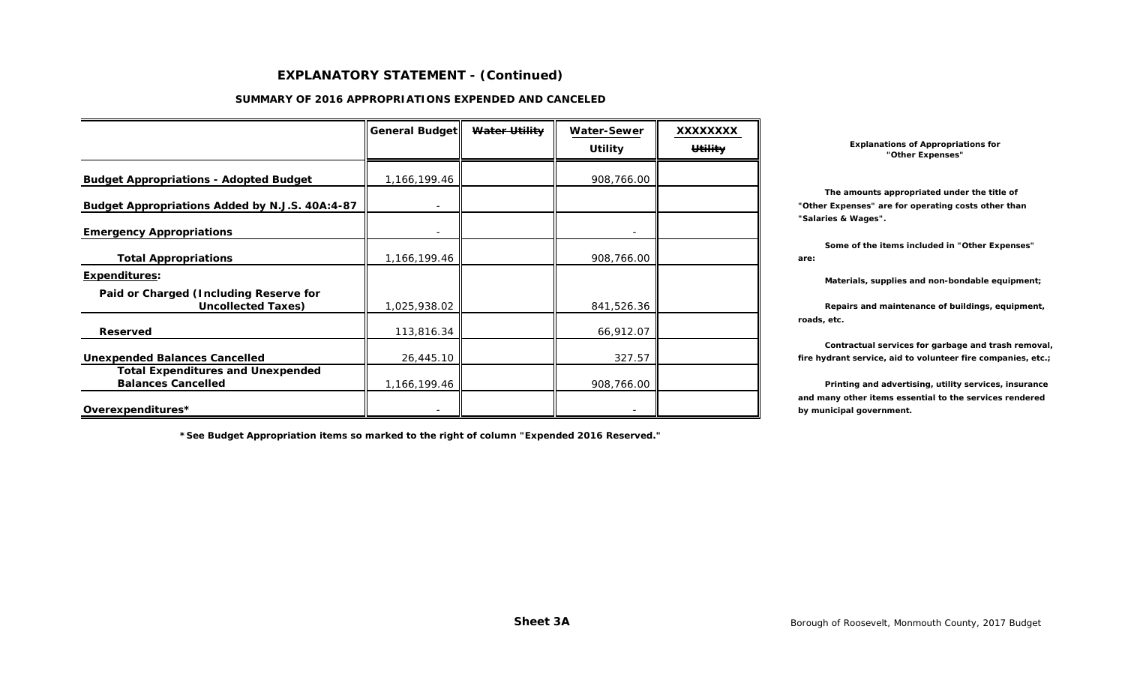#### **EXPLANATORY STATEMENT - (Continued)**

#### **SUMMARY OF 2016 APPROPRIATIONS EXPENDED AND CANCELED**

|                                                                       | General Budget | Water Utility | <b>Water-Sewer</b>       | <b>XXXXXXXX</b> |      |
|-----------------------------------------------------------------------|----------------|---------------|--------------------------|-----------------|------|
|                                                                       |                |               | <b>Utility</b>           | <b>Utility</b>  |      |
| <b>Budget Appropriations - Adopted Budget</b>                         | 1,166,199.46   |               | 908,766.00               |                 |      |
| Budget Appropriations Added by N.J.S. 40A:4-87                        |                |               |                          |                 | "Otl |
| <b>Emergency Appropriations</b>                                       |                |               |                          |                 | "Sal |
| <b>Total Appropriations</b>                                           | 1,166,199.46   |               | 908,766.00               |                 | are: |
| Expenditures:                                                         |                |               |                          |                 |      |
| Paid or Charged (Including Reserve for<br><b>Uncollected Taxes)</b>   | 1,025,938.02   |               | 841,526.36               |                 |      |
| <b>Reserved</b>                                                       | 113,816.34     |               | 66,912.07                |                 | road |
| <b>Unexpended Balances Cancelled</b>                                  | 26,445.10      |               | 327.57                   |                 | fire |
| <b>Total Expenditures and Unexpended</b><br><b>Balances Cancelled</b> |                |               |                          |                 |      |
|                                                                       | 1,166,199.46   |               | 908,766.00               |                 | and  |
| Overexpenditures*                                                     |                |               | $\overline{\phantom{0}}$ |                 | by n |

**\*See Budget Appropriation items so marked to the right of column "Expended 2016 Reserved."**

**Explanations of Appropriations for "Other Expenses"**

 **The amounts appropriated under the title of** "Other Expenses" are for operating costs other than **"Salaries & Wages".**

 **Some of the items included in "Other Expenses"**

Materials, supplies and non-bondable equipment;

Repairs and maintenance of buildings, equipment, **roads, etc.**

 **Contractual services for garbage and trash removal,** fire hydrant service, aid to volunteer fire companies, etc.;

Printing and advertising, utility services, insurance **and many other items essential to the services rendered** by municipal government.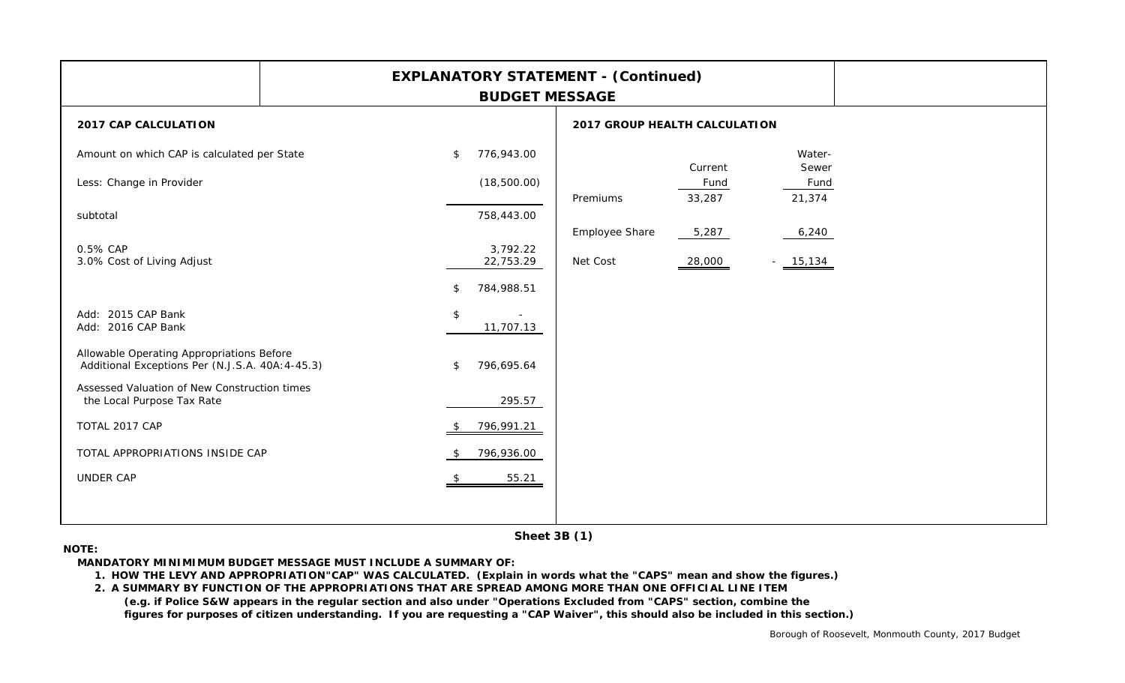|                                               | <b>EXPLANATORY STATEMENT - (Continued)</b>                                                                     |
|-----------------------------------------------|----------------------------------------------------------------------------------------------------------------|
|                                               | <b>2017 GROUP HEALTH CALCULATION</b>                                                                           |
| 776,943.00<br>\$<br>(18,500.00)<br>758,443.00 | Water-<br>Current<br>Sewer<br>Fund<br>Fund<br>21,374<br>33,287<br>Premiums<br>Employee Share<br>5,287<br>6,240 |
| 22,753.29<br>784,988.51<br>\$                 | Net Cost<br>28,000<br>$-15,134$                                                                                |
| \$<br>$\sim$<br>11,707.13                     |                                                                                                                |
| 796,695.64<br>\$                              |                                                                                                                |
| 796,991.21<br>-SS                             |                                                                                                                |
| 796,936.00<br>- \$<br>55.21                   |                                                                                                                |
|                                               | <b>BUDGET MESSAGE</b><br>3,792.22<br>295.57                                                                    |

**Sheet 3B (1)**

#### **NOTE:**

**MANDATORY MINIMIMUM BUDGET MESSAGE MUST INCLUDE A SUMMARY OF:**

**1. HOW THE LEVY AND APPROPRIATION"CAP" WAS CALCULATED. (Explain in words what the "CAPS" mean and show the figures.)**

**2. A SUMMARY BY FUNCTION OF THE APPROPRIATIONS THAT ARE SPREAD AMONG MORE THAN ONE OFFICIAL LINE ITEM (e.g. if Police S&W appears in the regular section and also under "Operations Excluded from "CAPS" section, combine the figures for purposes of citizen understanding. If you are requesting a "CAP Waiver", this should also be included in this section.)**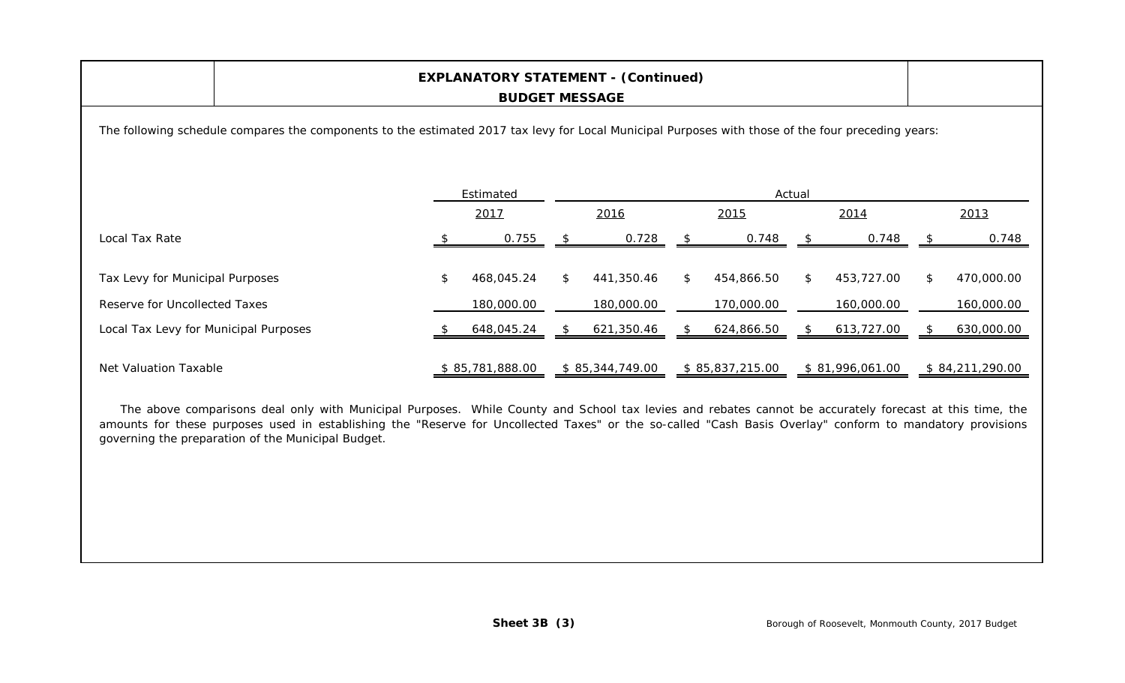| <b>EXPLANATORY STATEMENT - (Continued)</b><br><b>BUDGET MESSAGE</b>                                                                                |  |    |                 |               |                 |                |                 |        |                 |     |                 |
|----------------------------------------------------------------------------------------------------------------------------------------------------|--|----|-----------------|---------------|-----------------|----------------|-----------------|--------|-----------------|-----|-----------------|
| The following schedule compares the components to the estimated 2017 tax levy for Local Municipal Purposes with those of the four preceding years: |  |    |                 |               |                 |                |                 |        |                 |     |                 |
|                                                                                                                                                    |  |    | Estimated       |               |                 |                |                 | Actual |                 |     |                 |
|                                                                                                                                                    |  |    | 2017            |               | 2016            |                | 2015            |        | 2014            |     | 2013            |
| Local Tax Rate                                                                                                                                     |  |    | 0.755           |               | 0.728           |                | 0.748           |        | 0.748           |     | 0.748           |
| Tax Levy for Municipal Purposes                                                                                                                    |  | \$ | 468,045.24      | $\mathcal{L}$ | 441,350.46      | $\mathfrak{L}$ | 454,866.50      | \$     | 453,727.00      | \$. | 470,000.00      |
| Reserve for Uncollected Taxes                                                                                                                      |  |    | 180,000.00      |               | 180,000.00      |                | 170,000.00      |        | 160,000.00      |     | 160,000.00      |
| Local Tax Levy for Municipal Purposes                                                                                                              |  |    | 648,045.24      |               | 621,350.46      | S              | 624,866.50      | S      | 613,727.00      |     | 630,000.00      |
| Net Valuation Taxable                                                                                                                              |  |    | \$85,781,888.00 |               | \$85,344,749.00 |                | \$85,837,215.00 |        | \$81,996,061.00 |     | \$84,211,290.00 |

The above comparisons deal only with Municipal Purposes. While County and School tax levies and rebates cannot be accurately forecast at this time, the amounts for these purposes used in establishing the "Reserve for Uncollected Taxes" or the so-called "Cash Basis Overlay" conform to mandatory provisions governing the preparation of the Municipal Budget.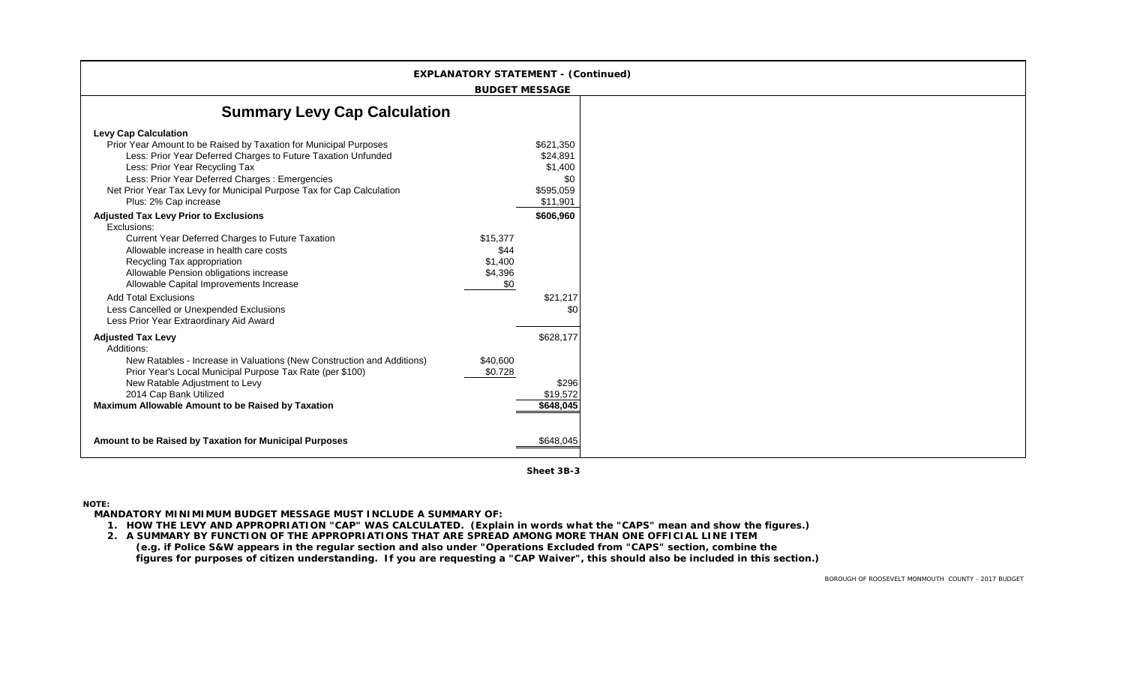|                                                                                                                                                                                                                                                                                                                                                          | <b>EXPLANATORY STATEMENT - (Continued)</b>    |                                                                  |
|----------------------------------------------------------------------------------------------------------------------------------------------------------------------------------------------------------------------------------------------------------------------------------------------------------------------------------------------------------|-----------------------------------------------|------------------------------------------------------------------|
|                                                                                                                                                                                                                                                                                                                                                          | <b>BUDGET MESSAGE</b>                         |                                                                  |
| <b>Summary Levy Cap Calculation</b>                                                                                                                                                                                                                                                                                                                      |                                               |                                                                  |
| <b>Levy Cap Calculation</b><br>Prior Year Amount to be Raised by Taxation for Municipal Purposes<br>Less: Prior Year Deferred Charges to Future Taxation Unfunded<br>Less: Prior Year Recycling Tax<br>Less: Prior Year Deferred Charges : Emergencies<br>Net Prior Year Tax Levy for Municipal Purpose Tax for Cap Calculation<br>Plus: 2% Cap increase |                                               | \$621,350<br>\$24,891<br>\$1,400<br>\$0<br>\$595,059<br>\$11,901 |
| <b>Adjusted Tax Levy Prior to Exclusions</b><br>Exclusions:                                                                                                                                                                                                                                                                                              |                                               | \$606,960                                                        |
| Current Year Deferred Charges to Future Taxation<br>Allowable increase in health care costs<br>Recycling Tax appropriation<br>Allowable Pension obligations increase<br>Allowable Capital Improvements Increase                                                                                                                                          | \$15,377<br>\$44<br>\$1,400<br>\$4,396<br>\$0 |                                                                  |
| <b>Add Total Exclusions</b><br>Less Cancelled or Unexpended Exclusions<br>Less Prior Year Extraordinary Aid Award                                                                                                                                                                                                                                        |                                               | \$21,217<br>\$0                                                  |
| <b>Adjusted Tax Levy</b><br>Additions:<br>New Ratables - Increase in Valuations (New Construction and Additions)<br>Prior Year's Local Municipal Purpose Tax Rate (per \$100)<br>New Ratable Adjustment to Levy<br>2014 Cap Bank Utilized<br>Maximum Allowable Amount to be Raised by Taxation                                                           | \$40,600<br>\$0.728                           | \$628,177<br>\$296<br>\$19,572<br>\$648,045                      |
| Amount to be Raised by Taxation for Municipal Purposes                                                                                                                                                                                                                                                                                                   |                                               | \$648,045                                                        |

**Sheet 3B-3**

**NOTE:**

**MANDATORY MINIMIMUM BUDGET MESSAGE MUST INCLUDE A SUMMARY OF:**

**1. HOW THE LEVY AND APPROPRIATION "CAP" WAS CALCULATED. (Explain in words what the "CAPS" mean and show the figures.)**

**2. A SUMMARY BY FUNCTION OF THE APPROPRIATIONS THAT ARE SPREAD AMONG MORE THAN ONE OFFICIAL LINE ITEM (e.g. if Police S&W appears in the regular section and also under "Operations Excluded from "CAPS" section, combine the figures for purposes of citizen understanding. If you are requesting a "CAP Waiver", this should also be included in this section.)**

BOROUGH OF ROOSEVELT MONMOUTH COUNTY - 2017 BUDGET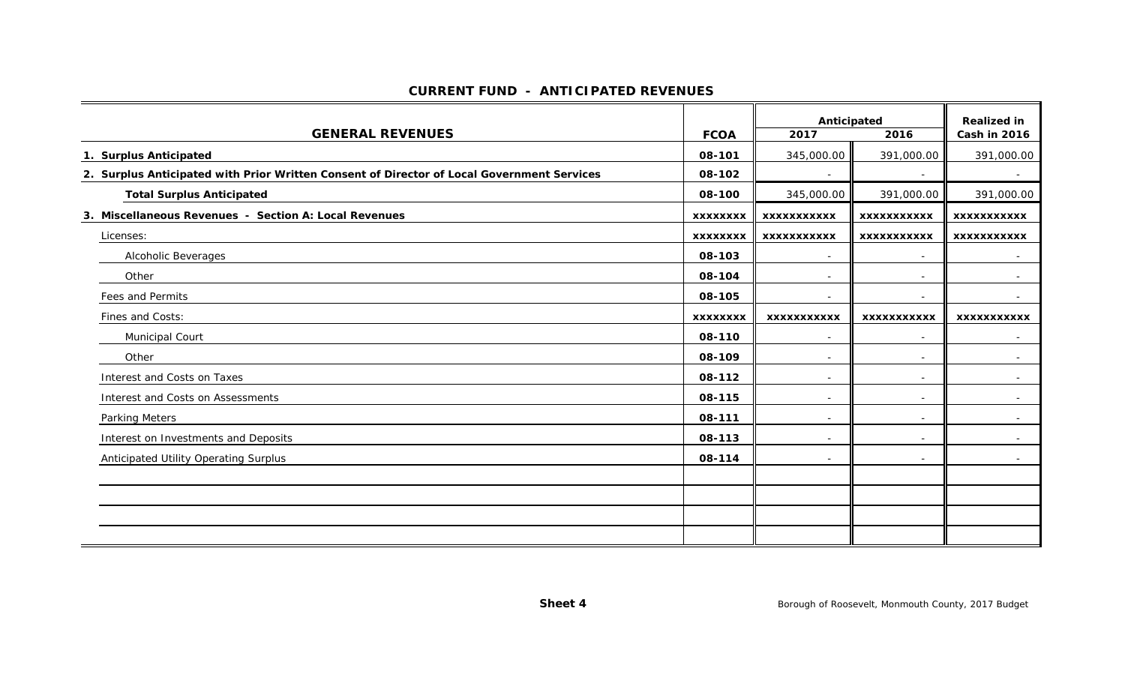#### **CURRENT FUND - ANTICIPATED REVENUES**

|                                                                                            |                 | Anticipated              |                          | <b>Realized in</b> |
|--------------------------------------------------------------------------------------------|-----------------|--------------------------|--------------------------|--------------------|
| <b>GENERAL REVENUES</b>                                                                    | <b>FCOA</b>     | 2017                     | 2016                     | Cash in 2016       |
| 1. Surplus Anticipated                                                                     | 08-101          | 345,000.00               | 391,000.00               | 391,000.00         |
| 2. Surplus Anticipated with Prior Written Consent of Director of Local Government Services | 08-102          | $\sim$                   | $\sim$                   | $\sim$             |
| <b>Total Surplus Anticipated</b>                                                           | 08-100          | 345,000.00               | 391,000.00               | 391,000.00         |
| 3. Miscellaneous Revenues - Section A: Local Revenues                                      | <b>XXXXXXXX</b> | <b>XXXXXXXXXXX</b>       | <b>XXXXXXXXXXX</b>       | <b>XXXXXXXXXXX</b> |
| Licenses:                                                                                  | <b>XXXXXXXX</b> | <b>XXXXXXXXXXX</b>       | <b>XXXXXXXXXXX</b>       | <b>XXXXXXXXXXX</b> |
| Alcoholic Beverages                                                                        | 08-103          | $\overline{\phantom{a}}$ | $\overline{\phantom{a}}$ |                    |
| Other                                                                                      | 08-104          | $\sim$                   | $\sim$                   | $\sim$             |
| Fees and Permits                                                                           | 08-105          | $\sim$                   | $\overline{\phantom{a}}$ |                    |
| Fines and Costs:                                                                           | <b>XXXXXXXX</b> | <b>XXXXXXXXXXX</b>       | <b>XXXXXXXXXXX</b>       | <b>XXXXXXXXXXX</b> |
| Municipal Court                                                                            | 08-110          | $\sim$                   |                          |                    |
| Other                                                                                      | 08-109          | $\sim$                   | $\overline{a}$           |                    |
| Interest and Costs on Taxes                                                                | 08-112          | $\sim$                   | $\sim$                   | $\sim$             |
| Interest and Costs on Assessments                                                          | 08-115          | $\sim$                   | ۰                        |                    |
| <b>Parking Meters</b>                                                                      | 08-111          | $\overline{\phantom{a}}$ | ۰                        | $\sim$             |
| Interest on Investments and Deposits                                                       | 08-113          | $\sim$                   | ۰                        | $\sim$             |
| Anticipated Utility Operating Surplus                                                      | 08-114          | $\sim$                   | $\overline{\phantom{a}}$ |                    |
|                                                                                            |                 |                          |                          |                    |
|                                                                                            |                 |                          |                          |                    |
|                                                                                            |                 |                          |                          |                    |
|                                                                                            |                 |                          |                          |                    |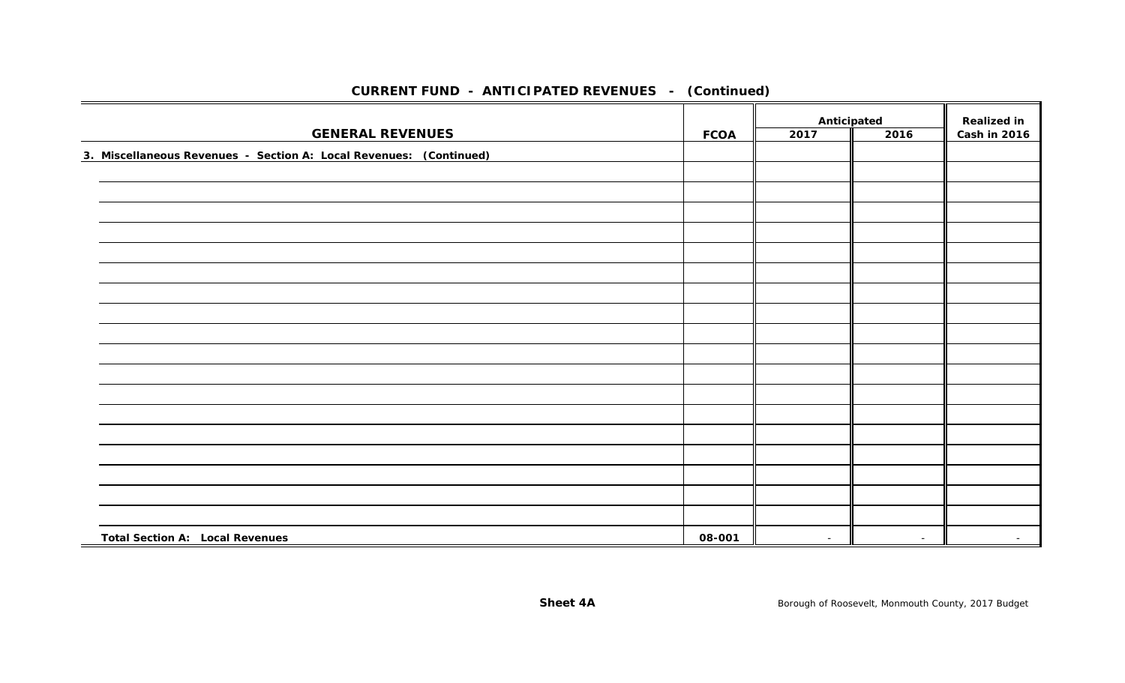|                                                                    |             | Anticipated |        | <b>Realized in</b> |  |
|--------------------------------------------------------------------|-------------|-------------|--------|--------------------|--|
| <b>GENERAL REVENUES</b>                                            | <b>FCOA</b> | 2017        | 2016   | Cash in 2016       |  |
| 3. Miscellaneous Revenues - Section A: Local Revenues: (Continued) |             |             |        |                    |  |
|                                                                    |             |             |        |                    |  |
|                                                                    |             |             |        |                    |  |
|                                                                    |             |             |        |                    |  |
|                                                                    |             |             |        |                    |  |
|                                                                    |             |             |        |                    |  |
|                                                                    |             |             |        |                    |  |
|                                                                    |             |             |        |                    |  |
|                                                                    |             |             |        |                    |  |
|                                                                    |             |             |        |                    |  |
|                                                                    |             |             |        |                    |  |
|                                                                    |             |             |        |                    |  |
|                                                                    |             |             |        |                    |  |
|                                                                    |             |             |        |                    |  |
|                                                                    |             |             |        |                    |  |
|                                                                    |             |             |        |                    |  |
|                                                                    |             |             |        |                    |  |
|                                                                    |             |             |        |                    |  |
|                                                                    |             |             |        |                    |  |
| <b>Total Section A: Local Revenues</b>                             | 08-001      | $\sim$      | $\sim$ | $\sim$             |  |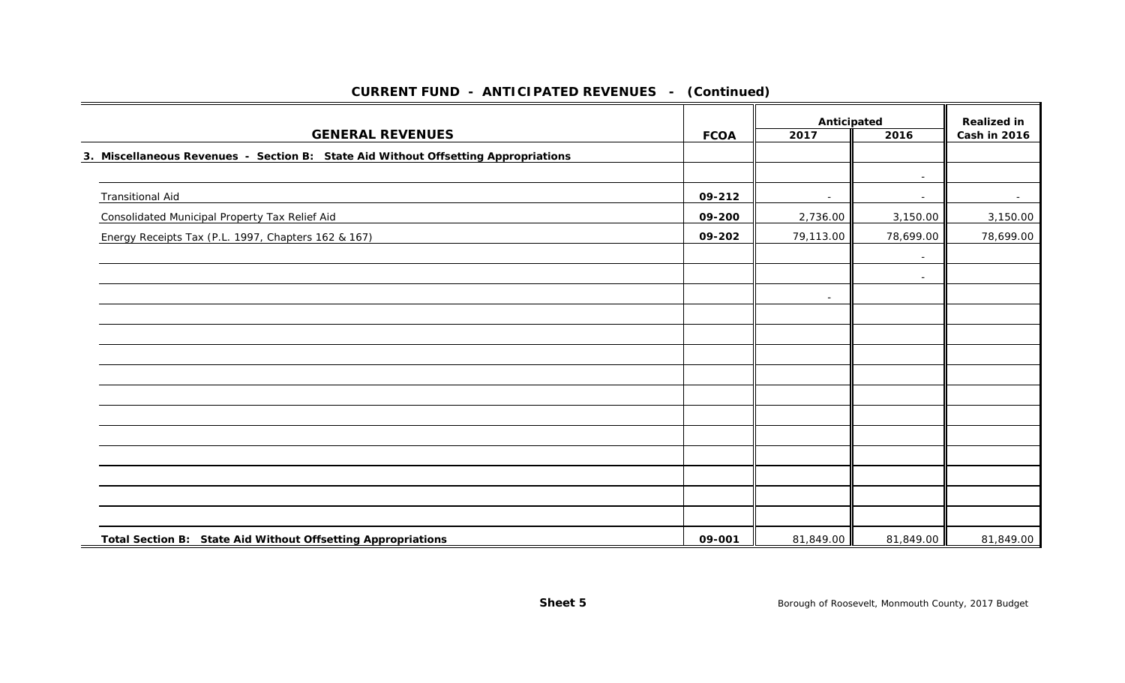|                                                                                    |             |              | Anticipated              |                                    |
|------------------------------------------------------------------------------------|-------------|--------------|--------------------------|------------------------------------|
| <b>GENERAL REVENUES</b>                                                            | <b>FCOA</b> | 2016<br>2017 |                          | <b>Realized in</b><br>Cash in 2016 |
| 3. Miscellaneous Revenues - Section B: State Aid Without Offsetting Appropriations |             |              |                          |                                    |
|                                                                                    |             |              | $\overline{\phantom{a}}$ |                                    |
| <b>Transitional Aid</b>                                                            | 09-212      | $\sim$       | $\sim$                   | $\sim$                             |
| Consolidated Municipal Property Tax Relief Aid                                     | 09-200      | 2,736.00     | 3,150.00                 | 3,150.00                           |
| Energy Receipts Tax (P.L. 1997, Chapters 162 & 167)                                | 09-202      | 79,113.00    | 78,699.00                | 78,699.00                          |
|                                                                                    |             |              |                          |                                    |
|                                                                                    |             |              | $\overline{\phantom{a}}$ |                                    |
|                                                                                    |             | $\sim$       |                          |                                    |
|                                                                                    |             |              |                          |                                    |
|                                                                                    |             |              |                          |                                    |
|                                                                                    |             |              |                          |                                    |
|                                                                                    |             |              |                          |                                    |
|                                                                                    |             |              |                          |                                    |
|                                                                                    |             |              |                          |                                    |
|                                                                                    |             |              |                          |                                    |
|                                                                                    |             |              |                          |                                    |
|                                                                                    |             |              |                          |                                    |
|                                                                                    |             |              |                          |                                    |
|                                                                                    |             |              |                          |                                    |
| Total Section B: State Aid Without Offsetting Appropriations                       | 09-001      | 81,849.00    | 81,849.00                | 81,849.00                          |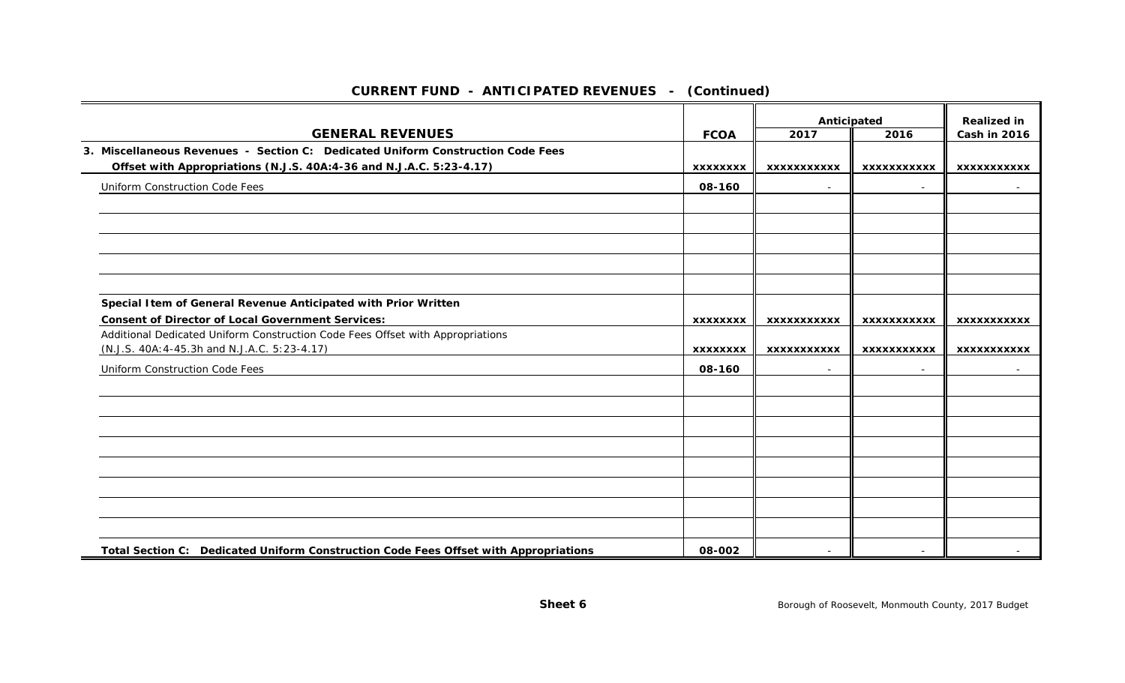|                                                                                                                                |                 | Anticipated              |                          | <b>Realized in</b>  |
|--------------------------------------------------------------------------------------------------------------------------------|-----------------|--------------------------|--------------------------|---------------------|
| <b>GENERAL REVENUES</b>                                                                                                        | <b>FCOA</b>     | 2017                     | 2016                     | <b>Cash in 2016</b> |
| 3. Miscellaneous Revenues - Section C: Dedicated Uniform Construction Code Fees                                                |                 |                          |                          |                     |
| Offset with Appropriations (N.J.S. 40A:4-36 and N.J.A.C. 5:23-4.17)                                                            | <b>XXXXXXXX</b> | <b>XXXXXXXXXXX</b>       | <b>XXXXXXXXXXX</b>       | XXXXXXXXXXX         |
| Uniform Construction Code Fees                                                                                                 | 08-160          |                          |                          |                     |
|                                                                                                                                |                 |                          |                          |                     |
|                                                                                                                                |                 |                          |                          |                     |
|                                                                                                                                |                 |                          |                          |                     |
|                                                                                                                                |                 |                          |                          |                     |
|                                                                                                                                |                 |                          |                          |                     |
| Special I tem of General Revenue Anticipated with Prior Written                                                                |                 |                          |                          |                     |
| <b>Consent of Director of Local Government Services:</b>                                                                       | <b>XXXXXXXX</b> | <b>XXXXXXXXXXX</b>       | <b>XXXXXXXXXXX</b>       | <b>XXXXXXXXXXX</b>  |
| Additional Dedicated Uniform Construction Code Fees Offset with Appropriations<br>(N.J.S. 40A: 4-45.3h and N.J.A.C. 5:23-4.17) | <b>XXXXXXXX</b> | <b>XXXXXXXXXXX</b>       | <b>XXXXXXXXXXX</b>       | <b>XXXXXXXXXXX</b>  |
|                                                                                                                                |                 |                          |                          |                     |
| Uniform Construction Code Fees                                                                                                 | 08-160          | $\overline{\phantom{a}}$ |                          |                     |
|                                                                                                                                |                 |                          |                          |                     |
|                                                                                                                                |                 |                          |                          |                     |
|                                                                                                                                |                 |                          |                          |                     |
|                                                                                                                                |                 |                          |                          |                     |
|                                                                                                                                |                 |                          |                          |                     |
|                                                                                                                                |                 |                          |                          |                     |
|                                                                                                                                |                 |                          |                          |                     |
| Total Section C: Dedicated Uniform Construction Code Fees Offset with Appropriations                                           | 08-002          | $\overline{\phantom{a}}$ | $\overline{\phantom{a}}$ |                     |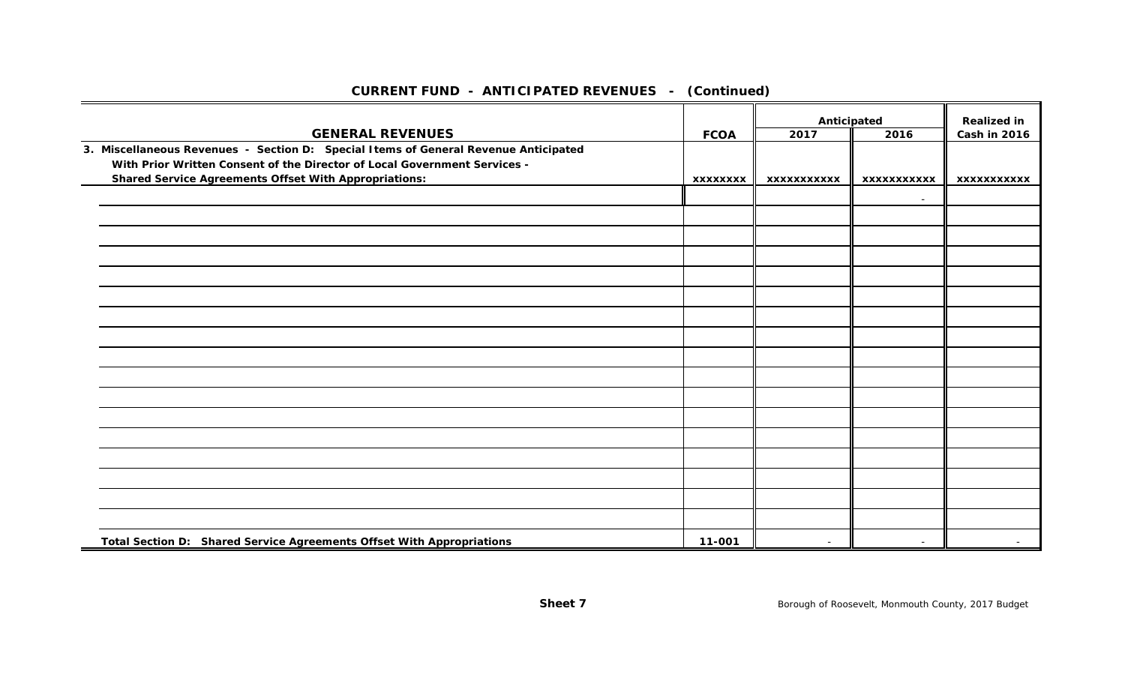|                                                                                                                                                                  |                 | Anticipated        |                    | <b>Realized in</b>  |
|------------------------------------------------------------------------------------------------------------------------------------------------------------------|-----------------|--------------------|--------------------|---------------------|
| <b>GENERAL REVENUES</b>                                                                                                                                          | <b>FCOA</b>     | 2017               | 2016               | <b>Cash in 2016</b> |
| 3. Miscellaneous Revenues - Section D: Special Items of General Revenue Anticipated<br>With Prior Written Consent of the Director of Local Government Services - |                 |                    |                    |                     |
| <b>Shared Service Agreements Offset With Appropriations:</b>                                                                                                     | <b>XXXXXXXX</b> | <b>XXXXXXXXXXX</b> | <b>XXXXXXXXXXX</b> | <b>XXXXXXXXXXX</b>  |
|                                                                                                                                                                  |                 |                    | $\sim$             |                     |
|                                                                                                                                                                  |                 |                    |                    |                     |
|                                                                                                                                                                  |                 |                    |                    |                     |
|                                                                                                                                                                  |                 |                    |                    |                     |
|                                                                                                                                                                  |                 |                    |                    |                     |
|                                                                                                                                                                  |                 |                    |                    |                     |
|                                                                                                                                                                  |                 |                    |                    |                     |
|                                                                                                                                                                  |                 |                    |                    |                     |
|                                                                                                                                                                  |                 |                    |                    |                     |
|                                                                                                                                                                  |                 |                    |                    |                     |
|                                                                                                                                                                  |                 |                    |                    |                     |
|                                                                                                                                                                  |                 |                    |                    |                     |
|                                                                                                                                                                  |                 |                    |                    |                     |
|                                                                                                                                                                  |                 |                    |                    |                     |
|                                                                                                                                                                  |                 |                    |                    |                     |
|                                                                                                                                                                  |                 |                    |                    |                     |
|                                                                                                                                                                  |                 |                    |                    |                     |
| Total Section D: Shared Service Agreements Offset With Appropriations                                                                                            | 11-001          | $\overline{a}$     | $\overline{a}$     |                     |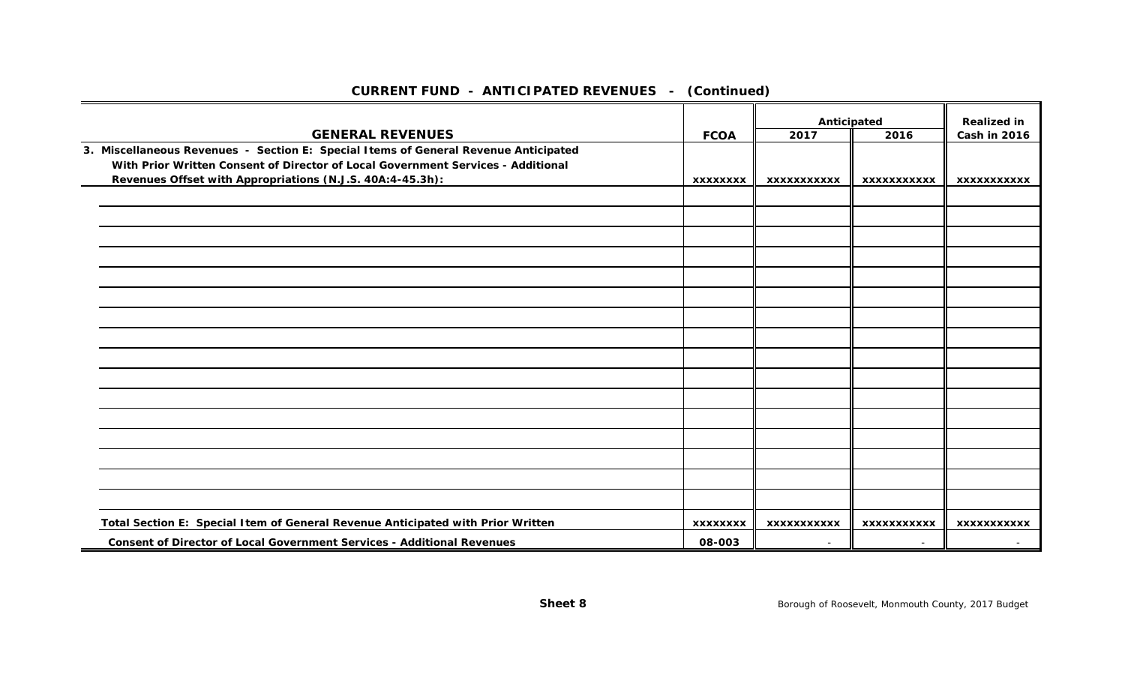|                                                                                     |                 |                     |                          | <b>Realized in</b>  |
|-------------------------------------------------------------------------------------|-----------------|---------------------|--------------------------|---------------------|
| <b>GENERAL REVENUES</b>                                                             | <b>FCOA</b>     | Anticipated<br>2017 | 2016                     | <b>Cash in 2016</b> |
| 3. Miscellaneous Revenues - Section E: Special Items of General Revenue Anticipated |                 |                     |                          |                     |
| With Prior Written Consent of Director of Local Government Services - Additional    |                 |                     |                          |                     |
| Revenues Offset with Appropriations (N.J.S. 40A:4-45.3h):                           | <b>XXXXXXXX</b> | <b>XXXXXXXXXXX</b>  | <b>XXXXXXXXXXX</b>       | <b>XXXXXXXXXXX</b>  |
|                                                                                     |                 |                     |                          |                     |
|                                                                                     |                 |                     |                          |                     |
|                                                                                     |                 |                     |                          |                     |
|                                                                                     |                 |                     |                          |                     |
|                                                                                     |                 |                     |                          |                     |
|                                                                                     |                 |                     |                          |                     |
|                                                                                     |                 |                     |                          |                     |
|                                                                                     |                 |                     |                          |                     |
|                                                                                     |                 |                     |                          |                     |
|                                                                                     |                 |                     |                          |                     |
|                                                                                     |                 |                     |                          |                     |
|                                                                                     |                 |                     |                          |                     |
|                                                                                     |                 |                     |                          |                     |
|                                                                                     |                 |                     |                          |                     |
|                                                                                     |                 |                     |                          |                     |
|                                                                                     |                 |                     |                          |                     |
| Total Section E: Special Item of General Revenue Anticipated with Prior Written     | <b>XXXXXXXX</b> | <b>XXXXXXXXXXX</b>  | <b>XXXXXXXXXXX</b>       | <b>XXXXXXXXXXX</b>  |
| <b>Consent of Director of Local Government Services - Additional Revenues</b>       | 08-003          | $\sim$              | $\overline{\phantom{0}}$ |                     |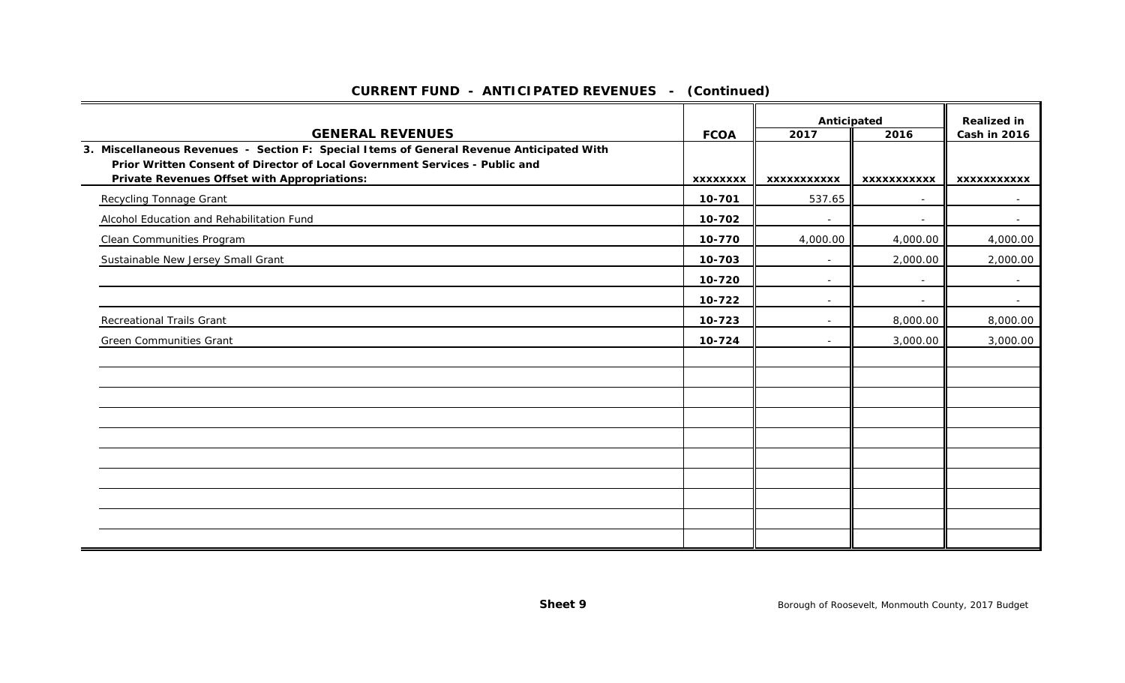|                                                                                                                                                                         |                 | Anticipated        |                    | <b>Realized in</b> |
|-------------------------------------------------------------------------------------------------------------------------------------------------------------------------|-----------------|--------------------|--------------------|--------------------|
| <b>GENERAL REVENUES</b>                                                                                                                                                 | <b>FCOA</b>     | 2017               | 2016               | Cash in 2016       |
| 3. Miscellaneous Revenues - Section F: Special Items of General Revenue Anticipated With<br>Prior Written Consent of Director of Local Government Services - Public and |                 |                    |                    |                    |
| <b>Private Revenues Offset with Appropriations:</b>                                                                                                                     | <b>XXXXXXXX</b> | <b>XXXXXXXXXXX</b> | <b>XXXXXXXXXXX</b> | <b>XXXXXXXXXXX</b> |
| <b>Recycling Tonnage Grant</b>                                                                                                                                          | 10-701          | 537.65             |                    | $\sim$             |
| Alcohol Education and Rehabilitation Fund                                                                                                                               | 10-702          | $\sim$             |                    | $\sim$             |
| Clean Communities Program                                                                                                                                               | 10-770          | 4,000.00           | 4,000.00           | 4,000.00           |
| Sustainable New Jersey Small Grant                                                                                                                                      | 10-703          | $\sim$             | 2,000.00           | 2,000.00           |
|                                                                                                                                                                         | 10-720          | $\sim$             |                    |                    |
|                                                                                                                                                                         | 10-722          | $\sim$             |                    | $\sim$             |
| <b>Recreational Trails Grant</b>                                                                                                                                        | 10-723          | $\sim$             | 8,000.00           | 8,000.00           |
| <b>Green Communities Grant</b>                                                                                                                                          | 10-724          | $\sim$             | 3,000.00           | 3,000.00           |
|                                                                                                                                                                         |                 |                    |                    |                    |
|                                                                                                                                                                         |                 |                    |                    |                    |
|                                                                                                                                                                         |                 |                    |                    |                    |
|                                                                                                                                                                         |                 |                    |                    |                    |
|                                                                                                                                                                         |                 |                    |                    |                    |
|                                                                                                                                                                         |                 |                    |                    |                    |
|                                                                                                                                                                         |                 |                    |                    |                    |
|                                                                                                                                                                         |                 |                    |                    |                    |
|                                                                                                                                                                         |                 |                    |                    |                    |
|                                                                                                                                                                         |                 |                    |                    |                    |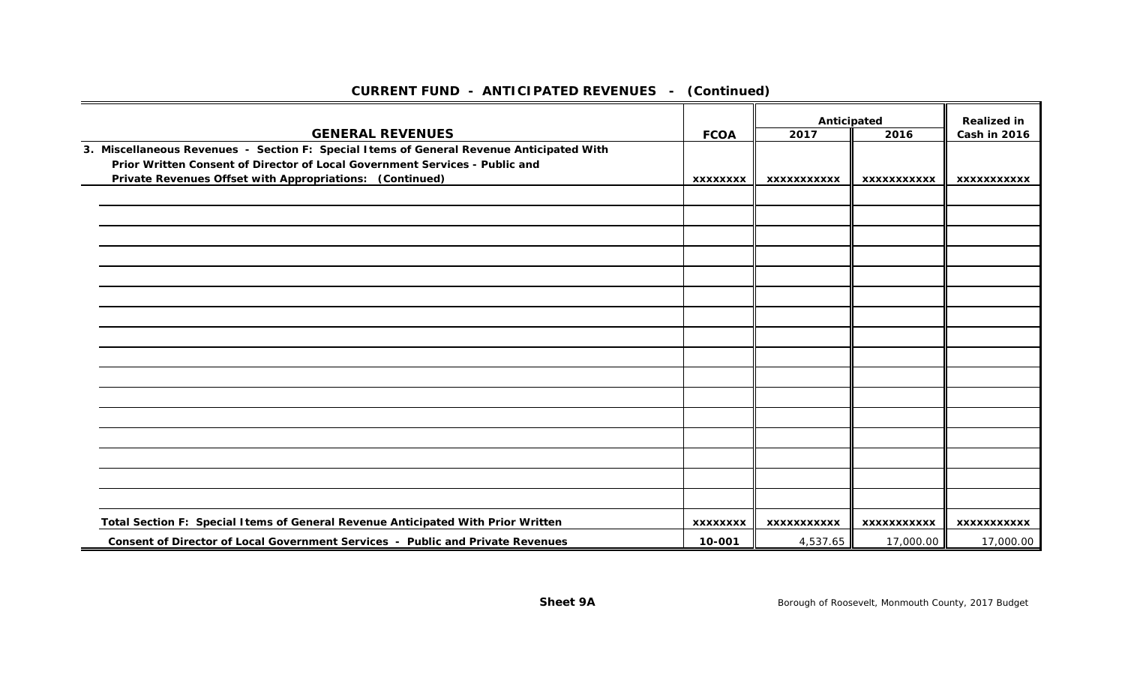|                                                                                          |                 | Anticipated        |                    | <b>Realized in</b>  |
|------------------------------------------------------------------------------------------|-----------------|--------------------|--------------------|---------------------|
| <b>GENERAL REVENUES</b>                                                                  | <b>FCOA</b>     | 2017               | 2016               | <b>Cash in 2016</b> |
| 3. Miscellaneous Revenues - Section F: Special Items of General Revenue Anticipated With |                 |                    |                    |                     |
| Prior Written Consent of Director of Local Government Services - Public and              |                 |                    |                    |                     |
| Private Revenues Offset with Appropriations: (Continued)                                 | <b>XXXXXXXX</b> | <b>XXXXXXXXXXX</b> | <b>XXXXXXXXXXX</b> | XXXXXXXXXXX         |
|                                                                                          |                 |                    |                    |                     |
|                                                                                          |                 |                    |                    |                     |
|                                                                                          |                 |                    |                    |                     |
|                                                                                          |                 |                    |                    |                     |
|                                                                                          |                 |                    |                    |                     |
|                                                                                          |                 |                    |                    |                     |
|                                                                                          |                 |                    |                    |                     |
|                                                                                          |                 |                    |                    |                     |
|                                                                                          |                 |                    |                    |                     |
|                                                                                          |                 |                    |                    |                     |
|                                                                                          |                 |                    |                    |                     |
|                                                                                          |                 |                    |                    |                     |
|                                                                                          |                 |                    |                    |                     |
|                                                                                          |                 |                    |                    |                     |
|                                                                                          |                 |                    |                    |                     |
|                                                                                          |                 |                    |                    |                     |
| Total Section F: Special Items of General Revenue Anticipated With Prior Written         | <b>XXXXXXXX</b> | XXXXXXXXXXX        | XXXXXXXXXXX        | XXXXXXXXXXX         |
| Consent of Director of Local Government Services - Public and Private Revenues           | 10-001          | 4,537.65           | 17,000.00          | 17,000.00           |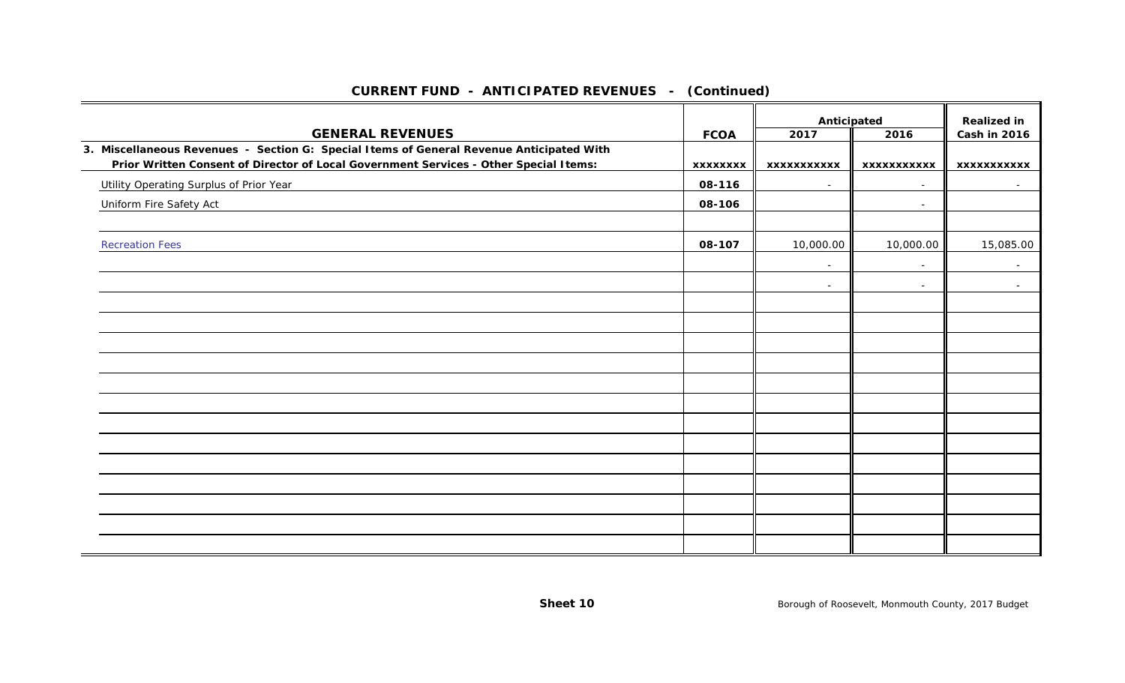|                                                                                                                                                                                   |                 | Anticipated              |                          | <b>Realized in</b>       |
|-----------------------------------------------------------------------------------------------------------------------------------------------------------------------------------|-----------------|--------------------------|--------------------------|--------------------------|
| <b>GENERAL REVENUES</b>                                                                                                                                                           | <b>FCOA</b>     | 2017                     | 2016                     | Cash in 2016             |
| 3. Miscellaneous Revenues - Section G: Special Items of General Revenue Anticipated With<br>Prior Written Consent of Director of Local Government Services - Other Special Items: | <b>XXXXXXXX</b> | <b>XXXXXXXXXXX</b>       | <b>XXXXXXXXXXX</b>       | <b>XXXXXXXXXXX</b>       |
| Utility Operating Surplus of Prior Year                                                                                                                                           | 08-116          | $\sim$                   | $\sim$                   | $\sim$                   |
| Uniform Fire Safety Act                                                                                                                                                           | 08-106          |                          | $\overline{\phantom{a}}$ |                          |
|                                                                                                                                                                                   |                 |                          |                          |                          |
| <b>Recreation Fees</b>                                                                                                                                                            | 08-107          | 10,000.00                | 10,000.00                | 15,085.00                |
|                                                                                                                                                                                   |                 | $\sim$                   | $\overline{\phantom{a}}$ | $\sim$                   |
|                                                                                                                                                                                   |                 | $\overline{\phantom{a}}$ | $\overline{\phantom{a}}$ | $\overline{\phantom{a}}$ |
|                                                                                                                                                                                   |                 |                          |                          |                          |
|                                                                                                                                                                                   |                 |                          |                          |                          |
|                                                                                                                                                                                   |                 |                          |                          |                          |
|                                                                                                                                                                                   |                 |                          |                          |                          |
|                                                                                                                                                                                   |                 |                          |                          |                          |
|                                                                                                                                                                                   |                 |                          |                          |                          |
|                                                                                                                                                                                   |                 |                          |                          |                          |
|                                                                                                                                                                                   |                 |                          |                          |                          |
|                                                                                                                                                                                   |                 |                          |                          |                          |
|                                                                                                                                                                                   |                 |                          |                          |                          |
|                                                                                                                                                                                   |                 |                          |                          |                          |
|                                                                                                                                                                                   |                 |                          |                          |                          |
|                                                                                                                                                                                   |                 |                          |                          |                          |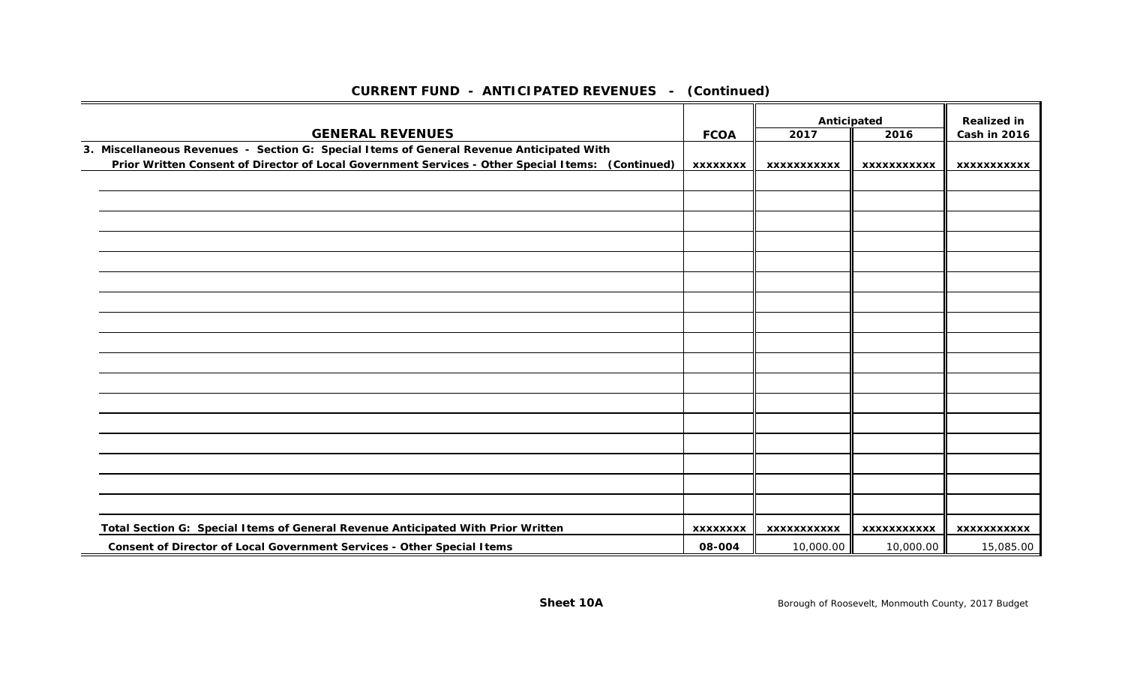|                                                                                                   |                 | Anticipated        |                    | <b>Realized in</b>  |
|---------------------------------------------------------------------------------------------------|-----------------|--------------------|--------------------|---------------------|
| <b>GENERAL REVENUES</b>                                                                           | <b>FCOA</b>     | 2017               | 2016               | <b>Cash in 2016</b> |
| 3. Miscellaneous Revenues - Section G: Special Items of General Revenue Anticipated With          |                 |                    |                    |                     |
| Prior Written Consent of Director of Local Government Services - Other Special Items: (Continued) | <b>XXXXXXXX</b> | <b>XXXXXXXXXXX</b> | <b>XXXXXXXXXXX</b> | <b>XXXXXXXXXXX</b>  |
|                                                                                                   |                 |                    |                    |                     |
|                                                                                                   |                 |                    |                    |                     |
|                                                                                                   |                 |                    |                    |                     |
|                                                                                                   |                 |                    |                    |                     |
|                                                                                                   |                 |                    |                    |                     |
|                                                                                                   |                 |                    |                    |                     |
|                                                                                                   |                 |                    |                    |                     |
|                                                                                                   |                 |                    |                    |                     |
|                                                                                                   |                 |                    |                    |                     |
|                                                                                                   |                 |                    |                    |                     |
|                                                                                                   |                 |                    |                    |                     |
|                                                                                                   |                 |                    |                    |                     |
|                                                                                                   |                 |                    |                    |                     |
|                                                                                                   |                 |                    |                    |                     |
|                                                                                                   |                 |                    |                    |                     |
|                                                                                                   |                 |                    |                    |                     |
|                                                                                                   |                 |                    |                    |                     |
| Total Section G: Special I tems of General Revenue Anticipated With Prior Written                 | <b>XXXXXXXX</b> | <b>XXXXXXXXXXX</b> | <b>XXXXXXXXXXX</b> | <b>XXXXXXXXXXX</b>  |
| Consent of Director of Local Government Services - Other Special Items                            | 08-004          | 10,000.00          | 10,000.00          | 15,085.00           |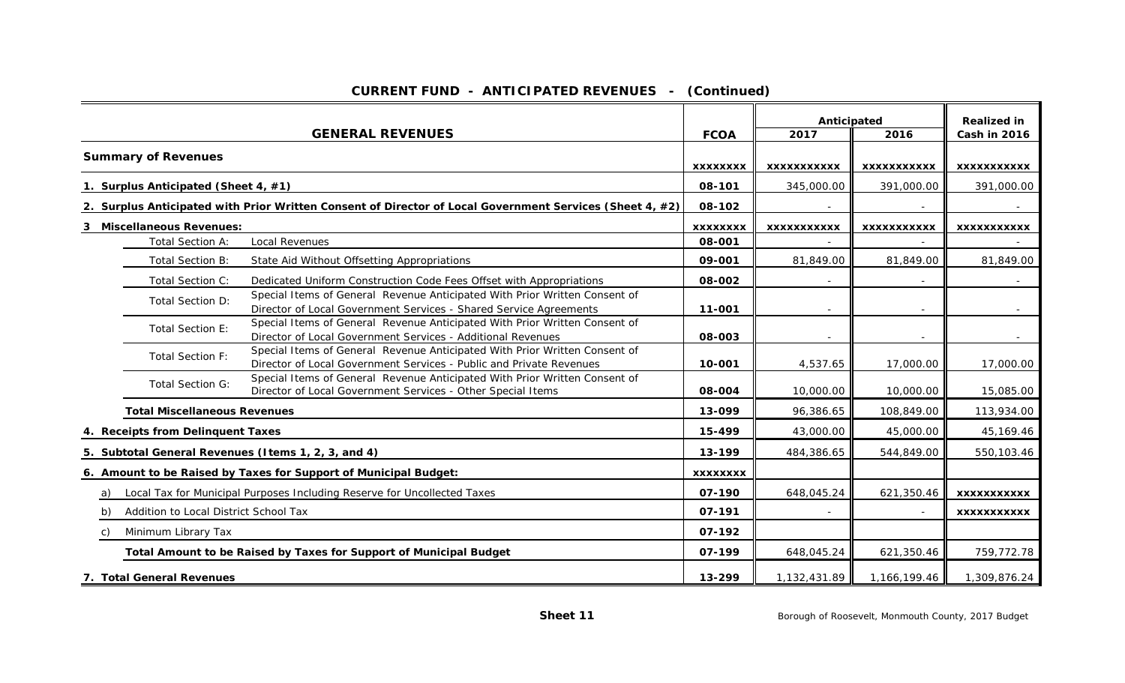|  | <b>CURRENT FUND - ANTICIPATED REVENUES - (Continued)</b> |  |  |
|--|----------------------------------------------------------|--|--|
|--|----------------------------------------------------------|--|--|

|                                                                                |                                      |                                                                                                                                                   |                 | Anticipated              |                    | <b>Realized in</b>  |
|--------------------------------------------------------------------------------|--------------------------------------|---------------------------------------------------------------------------------------------------------------------------------------------------|-----------------|--------------------------|--------------------|---------------------|
|                                                                                |                                      | <b>GENERAL REVENUES</b>                                                                                                                           | <b>FCOA</b>     | 2017                     | 2016               | <b>Cash in 2016</b> |
|                                                                                | <b>Summary of Revenues</b>           |                                                                                                                                                   |                 |                          |                    |                     |
|                                                                                |                                      |                                                                                                                                                   | <b>XXXXXXXX</b> | <b>XXXXXXXXXXX</b>       | <b>XXXXXXXXXXX</b> | <b>XXXXXXXXXXX</b>  |
|                                                                                | 1. Surplus Anticipated (Sheet 4, #1) |                                                                                                                                                   | 08-101          | 345,000.00               | 391,000.00         | 391,000.00          |
|                                                                                |                                      | 2. Surplus Anticipated with Prior Written Consent of Director of Local Government Services (Sheet 4, #2)                                          | 08-102          |                          |                    |                     |
|                                                                                | 3 Miscellaneous Revenues:            |                                                                                                                                                   | <b>XXXXXXXX</b> | <b>XXXXXXXXXXX</b>       | <b>XXXXXXXXXXX</b> | XXXXXXXXXXX         |
|                                                                                | <b>Total Section A:</b>              | Local Revenues                                                                                                                                    | 08-001          |                          |                    |                     |
|                                                                                | Total Section B:                     | State Aid Without Offsetting Appropriations                                                                                                       | 09-001          | 81,849.00                | 81,849.00          | 81,849.00           |
|                                                                                | Total Section C:                     | Dedicated Uniform Construction Code Fees Offset with Appropriations                                                                               | 08-002          |                          |                    |                     |
|                                                                                | Total Section D:                     | Special Items of General Revenue Anticipated With Prior Written Consent of<br>Director of Local Government Services - Shared Service Agreements   | 11-001          |                          |                    |                     |
|                                                                                | <b>Total Section E:</b>              | Special Items of General Revenue Anticipated With Prior Written Consent of<br>Director of Local Government Services - Additional Revenues         | 08-003          | $\overline{\phantom{a}}$ |                    |                     |
|                                                                                | <b>Total Section F:</b>              | Special Items of General Revenue Anticipated With Prior Written Consent of<br>Director of Local Government Services - Public and Private Revenues | 10-001          | 4,537.65                 | 17,000.00          | 17,000.00           |
|                                                                                | <b>Total Section G:</b>              | Special Items of General Revenue Anticipated With Prior Written Consent of<br>Director of Local Government Services - Other Special Items         | 08-004          | 10,000.00                | 10,000.00          | 15,085.00           |
|                                                                                | <b>Total Miscellaneous Revenues</b>  |                                                                                                                                                   | 13-099          | 96,386.65                | 108,849.00         | 113,934.00          |
|                                                                                | 4. Receipts from Delinquent Taxes    |                                                                                                                                                   | 15-499          | 43,000.00                | 45,000.00          | 45,169.46           |
|                                                                                |                                      | 5. Subtotal General Revenues (Items 1, 2, 3, and 4)                                                                                               | 13-199          | 484,386.65               | 544,849.00         | 550,103.46          |
|                                                                                |                                      | 6. Amount to be Raised by Taxes for Support of Municipal Budget:                                                                                  | <b>XXXXXXXX</b> |                          |                    |                     |
| Local Tax for Municipal Purposes Including Reserve for Uncollected Taxes<br>a) |                                      |                                                                                                                                                   |                 | 648,045.24               | 621,350.46         | <b>XXXXXXXXXXX</b>  |
| Addition to Local District School Tax<br>b)                                    |                                      |                                                                                                                                                   |                 |                          |                    | <b>XXXXXXXXXXX</b>  |
| Minimum Library Tax<br>C)                                                      |                                      |                                                                                                                                                   |                 |                          |                    |                     |
|                                                                                |                                      | Total Amount to be Raised by Taxes for Support of Municipal Budget                                                                                | 07-199          | 648,045.24               | 621,350.46         | 759,772.78          |
|                                                                                | 7. Total General Revenues            |                                                                                                                                                   | 13-299          | 1,132,431.89             | 1,166,199.46       | 1,309,876.24        |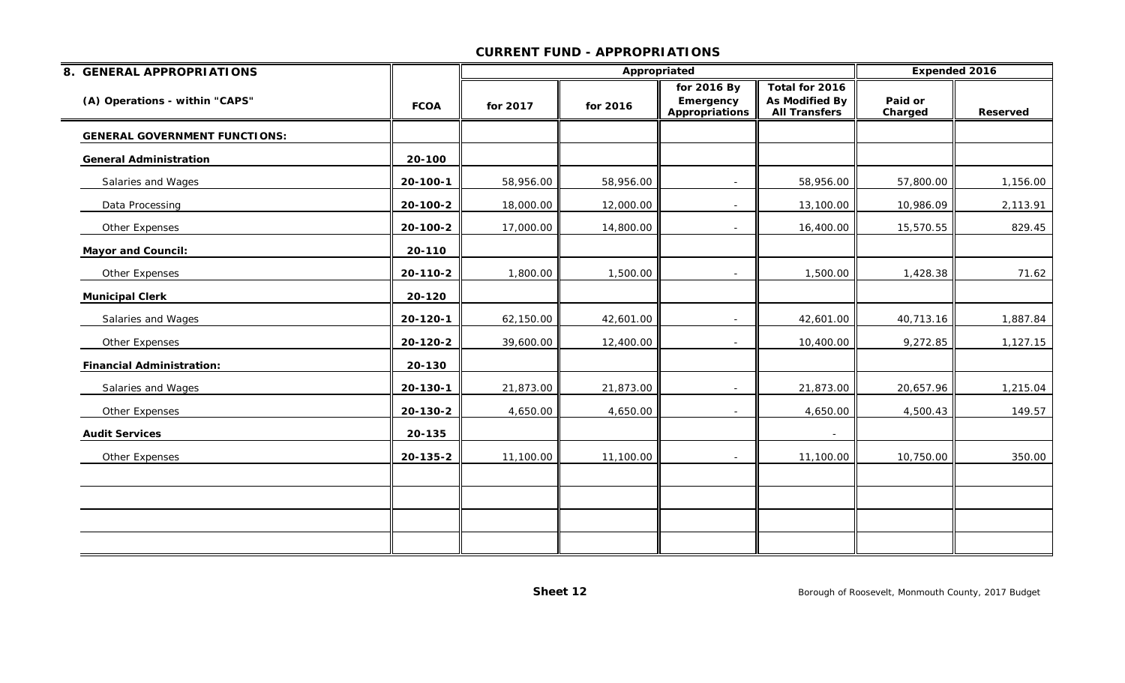| 8. GENERAL APPROPRIATIONS            |             |           | Appropriated |                                                   |                                                                 |                    |                 |  |  | Expended 2016 |
|--------------------------------------|-------------|-----------|--------------|---------------------------------------------------|-----------------------------------------------------------------|--------------------|-----------------|--|--|---------------|
| (A) Operations - within "CAPS"       | <b>FCOA</b> | for 2017  | for 2016     | for 2016 By<br>Emergency<br><b>Appropriations</b> | Total for 2016<br><b>As Modified By</b><br><b>All Transfers</b> | Paid or<br>Charged | <b>Reserved</b> |  |  |               |
| <b>GENERAL GOVERNMENT FUNCTIONS:</b> |             |           |              |                                                   |                                                                 |                    |                 |  |  |               |
| <b>General Administration</b>        | 20-100      |           |              |                                                   |                                                                 |                    |                 |  |  |               |
| Salaries and Wages                   | 20-100-1    | 58,956.00 | 58,956.00    | $\sim$                                            | 58,956.00                                                       | 57,800.00          | 1,156.00        |  |  |               |
| Data Processing                      | 20-100-2    | 18,000.00 | 12,000.00    |                                                   | 13,100.00                                                       | 10,986.09          | 2,113.91        |  |  |               |
| Other Expenses                       | 20-100-2    | 17,000.00 | 14,800.00    | $\sim$                                            | 16,400.00                                                       | 15,570.55          | 829.45          |  |  |               |
| <b>Mayor and Council:</b>            | 20-110      |           |              |                                                   |                                                                 |                    |                 |  |  |               |
| Other Expenses                       | 20-110-2    | 1,800.00  | 1,500.00     | $\overline{\phantom{0}}$                          | 1,500.00                                                        | 1,428.38           | 71.62           |  |  |               |
| <b>Municipal Clerk</b>               | 20-120      |           |              |                                                   |                                                                 |                    |                 |  |  |               |
| Salaries and Wages                   | 20-120-1    | 62,150.00 | 42,601.00    |                                                   | 42,601.00                                                       | 40,713.16          | 1,887.84        |  |  |               |
| Other Expenses                       | 20-120-2    | 39,600.00 | 12,400.00    |                                                   | 10,400.00                                                       | 9,272.85           | 1,127.15        |  |  |               |
| <b>Financial Administration:</b>     | 20-130      |           |              |                                                   |                                                                 |                    |                 |  |  |               |
| Salaries and Wages                   | 20-130-1    | 21,873.00 | 21,873.00    | $\sim$                                            | 21,873.00                                                       | 20,657.96          | 1,215.04        |  |  |               |
| Other Expenses                       | 20-130-2    | 4,650.00  | 4,650.00     |                                                   | 4,650.00                                                        | 4,500.43           | 149.57          |  |  |               |
| <b>Audit Services</b>                | 20-135      |           |              |                                                   | $\overline{\phantom{a}}$                                        |                    |                 |  |  |               |
| Other Expenses                       | 20-135-2    | 11,100.00 | 11,100.00    |                                                   | 11,100.00                                                       | 10,750.00          | 350.00          |  |  |               |
|                                      |             |           |              |                                                   |                                                                 |                    |                 |  |  |               |
|                                      |             |           |              |                                                   |                                                                 |                    |                 |  |  |               |
|                                      |             |           |              |                                                   |                                                                 |                    |                 |  |  |               |
|                                      |             |           |              |                                                   |                                                                 |                    |                 |  |  |               |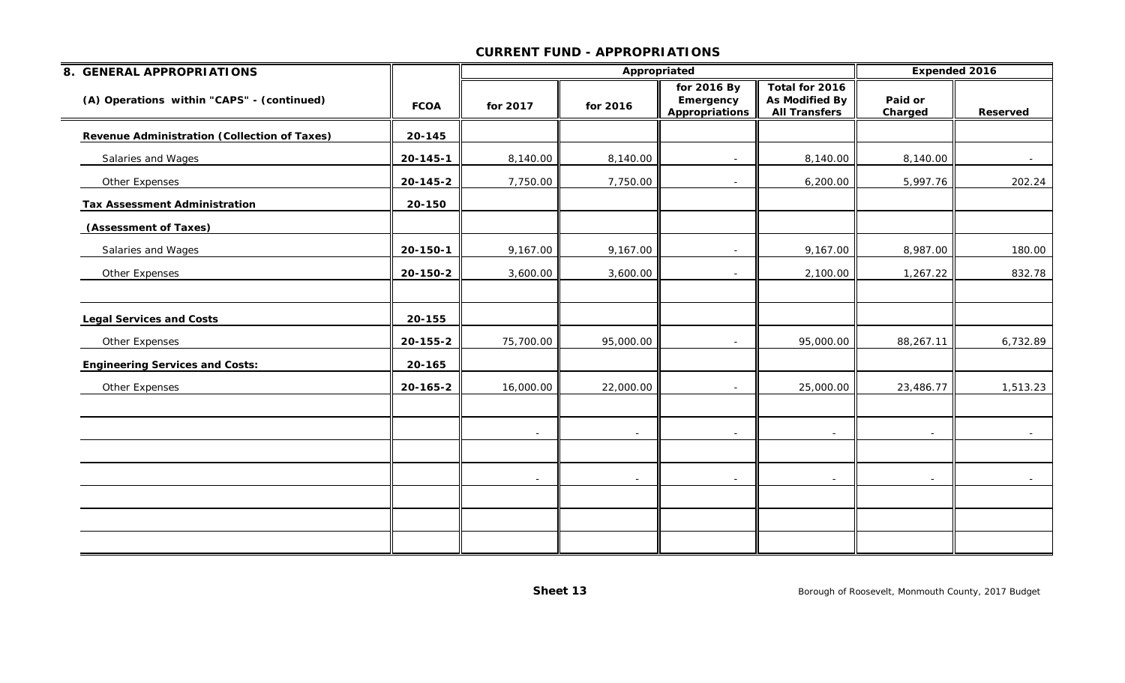| 8. GENERAL APPROPRIATIONS                                |                    |                          | Appropriated             |                                            | Expended 2016                                            |                    |            |
|----------------------------------------------------------|--------------------|--------------------------|--------------------------|--------------------------------------------|----------------------------------------------------------|--------------------|------------|
| (A) Operations within "CAPS" - (continued)               | <b>FCOA</b>        | for 2017                 | for 2016                 | for 2016 By<br>Emergency<br>Appropriations | Total for 2016<br>As Modified By<br><b>All Transfers</b> | Paid or<br>Charged | Reserved   |
| Revenue Administration (Collection of Taxes)             | 20-145             |                          |                          |                                            |                                                          |                    |            |
| Salaries and Wages                                       | 20-145-1           | 8,140.00                 | 8,140.00                 | $\sim$                                     | 8,140.00                                                 | 8,140.00           | $\sim$     |
| Other Expenses                                           | 20-145-2           | 7,750.00                 | 7,750.00                 | $\sim$                                     | 6,200.00                                                 | 5,997.76           | 202.24     |
| <b>Tax Assessment Administration</b>                     | 20-150             |                          |                          |                                            |                                                          |                    |            |
| (Assessment of Taxes)                                    |                    |                          |                          |                                            |                                                          |                    |            |
| Salaries and Wages                                       | 20-150-1           | 9,167.00                 | 9,167.00                 | $\sim$                                     | 9,167.00                                                 | 8,987.00           | 180.00     |
| Other Expenses                                           | 20-150-2           | 3,600.00                 | 3,600.00                 | $\overline{\phantom{a}}$                   | 2,100.00                                                 | 1,267.22           | 832.78     |
| <b>Legal Services and Costs</b>                          | 20-155             |                          |                          |                                            |                                                          |                    |            |
| Other Expenses<br><b>Engineering Services and Costs:</b> | 20-155-2<br>20-165 | 75,700.00                | 95,000.00                | $\sim$                                     | 95,000.00                                                | 88,267.11          | 6,732.89   |
| Other Expenses                                           | 20-165-2           | 16,000.00                | 22,000.00                | $\sim$                                     | 25,000.00                                                | 23,486.77          | 1,513.23   |
|                                                          |                    | $\sim$                   | $\sim$                   | $\sim$                                     | $\overline{\phantom{a}}$                                 | $\sim$             | $\sim$ $-$ |
|                                                          |                    | $\overline{\phantom{a}}$ | $\overline{\phantom{a}}$ | $\sim$                                     | $\sim$                                                   |                    | $\sim$     |
|                                                          |                    |                          |                          |                                            |                                                          |                    |            |
|                                                          |                    |                          |                          |                                            |                                                          |                    |            |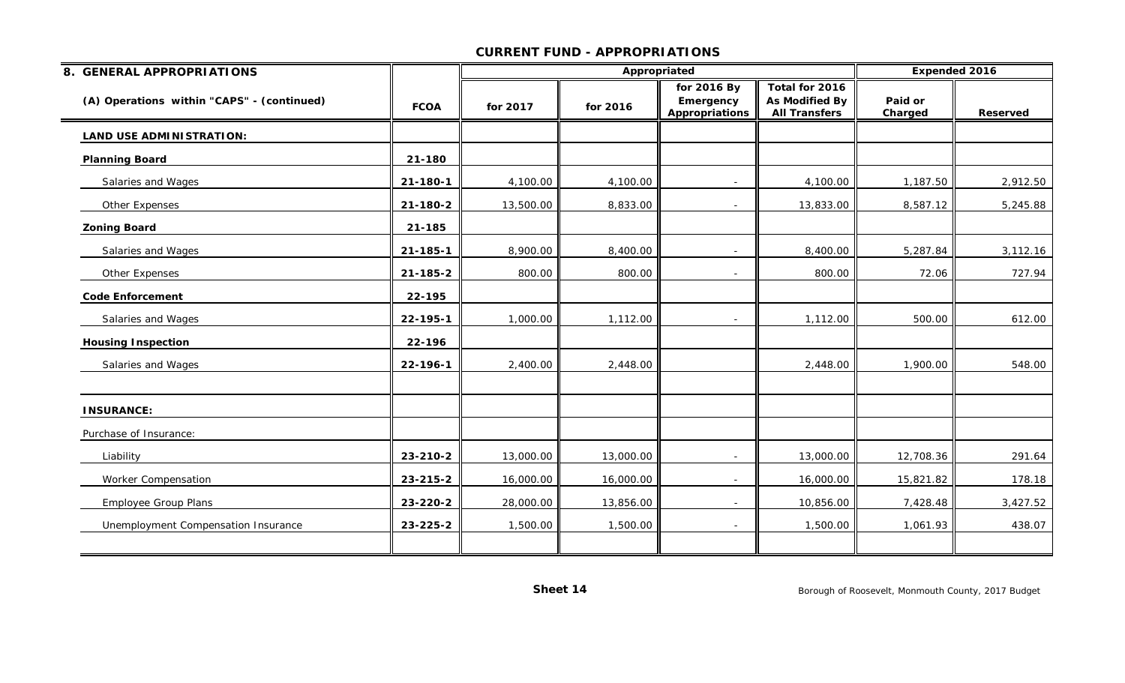| 8. GENERAL APPROPRIATIONS                  |             |           | Appropriated |                                                   |                                                                 |                    | Expended 2016   |
|--------------------------------------------|-------------|-----------|--------------|---------------------------------------------------|-----------------------------------------------------------------|--------------------|-----------------|
| (A) Operations within "CAPS" - (continued) | <b>FCOA</b> | for 2017  | for 2016     | for 2016 By<br>Emergency<br><b>Appropriations</b> | Total for 2016<br><b>As Modified By</b><br><b>All Transfers</b> | Paid or<br>Charged | <b>Reserved</b> |
| <b>LAND USE ADMINISTRATION:</b>            |             |           |              |                                                   |                                                                 |                    |                 |
| <b>Planning Board</b>                      | 21-180      |           |              |                                                   |                                                                 |                    |                 |
| Salaries and Wages                         | 21-180-1    | 4,100.00  | 4,100.00     | $\sim$                                            | 4,100.00                                                        | 1,187.50           | 2,912.50        |
| Other Expenses                             | 21-180-2    | 13,500.00 | 8,833.00     |                                                   | 13,833.00                                                       | 8,587.12           | 5,245.88        |
| <b>Zoning Board</b>                        | 21-185      |           |              |                                                   |                                                                 |                    |                 |
| Salaries and Wages                         | 21-185-1    | 8,900.00  | 8,400.00     |                                                   | 8,400.00                                                        | 5,287.84           | 3,112.16        |
| Other Expenses                             | 21-185-2    | 800.00    | 800.00       |                                                   | 800.00                                                          | 72.06              | 727.94          |
| <b>Code Enforcement</b>                    | 22-195      |           |              |                                                   |                                                                 |                    |                 |
| Salaries and Wages                         | 22-195-1    | 1,000.00  | 1,112.00     |                                                   | 1,112.00                                                        | 500.00             | 612.00          |
| <b>Housing Inspection</b>                  | 22-196      |           |              |                                                   |                                                                 |                    |                 |
| Salaries and Wages                         | 22-196-1    | 2,400.00  | 2,448.00     |                                                   | 2,448.00                                                        | 1,900.00           | 548.00          |
| <b>INSURANCE:</b>                          |             |           |              |                                                   |                                                                 |                    |                 |
| Purchase of Insurance:                     |             |           |              |                                                   |                                                                 |                    |                 |
| Liability                                  | 23-210-2    | 13,000.00 | 13,000.00    |                                                   | 13,000.00                                                       | 12,708.36          | 291.64          |
| Worker Compensation                        | 23-215-2    | 16,000.00 | 16,000.00    | $\overline{\phantom{a}}$                          | 16,000.00                                                       | 15,821.82          | 178.18          |
| <b>Employee Group Plans</b>                | 23-220-2    | 28,000.00 | 13,856.00    |                                                   | 10,856.00                                                       | 7,428.48           | 3,427.52        |
| Unemployment Compensation Insurance        | 23-225-2    | 1,500.00  | 1,500.00     |                                                   | 1,500.00                                                        | 1,061.93           | 438.07          |
|                                            |             |           |              |                                                   |                                                                 |                    |                 |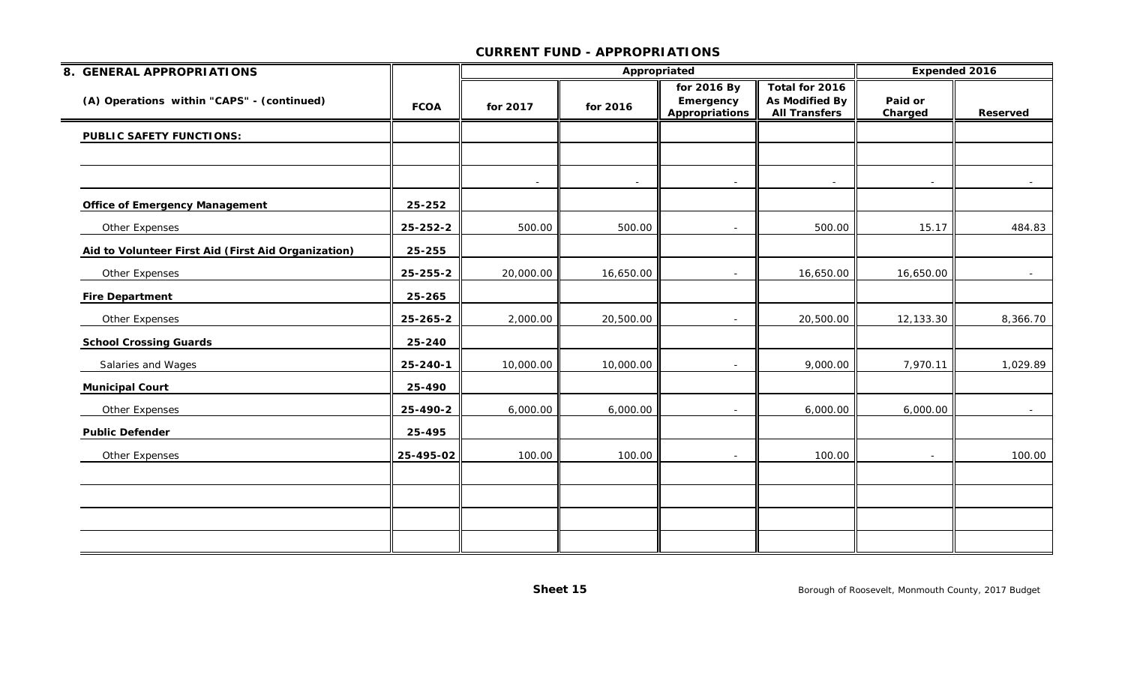| 8. GENERAL APPROPRIATIONS                           |             |           |           | Appropriated                                      |                                                                 | Expended 2016      |          |
|-----------------------------------------------------|-------------|-----------|-----------|---------------------------------------------------|-----------------------------------------------------------------|--------------------|----------|
| (A) Operations within "CAPS" - (continued)          | <b>FCOA</b> | for 2017  | for 2016  | for 2016 By<br>Emergency<br><b>Appropriations</b> | Total for 2016<br><b>As Modified By</b><br><b>All Transfers</b> | Paid or<br>Charged | Reserved |
| <b>PUBLIC SAFETY FUNCTIONS:</b>                     |             |           |           |                                                   |                                                                 |                    |          |
|                                                     |             |           |           |                                                   |                                                                 |                    |          |
|                                                     |             |           |           |                                                   |                                                                 |                    |          |
| <b>Office of Emergency Management</b>               | 25-252      |           |           |                                                   |                                                                 |                    |          |
| Other Expenses                                      | 25-252-2    | 500.00    | 500.00    | $\overline{a}$                                    | 500.00                                                          | 15.17              | 484.83   |
| Aid to Volunteer First Aid (First Aid Organization) | 25-255      |           |           |                                                   |                                                                 |                    |          |
| Other Expenses                                      | 25-255-2    | 20,000.00 | 16,650.00 |                                                   | 16,650.00                                                       | 16,650.00          | $\sim$   |
| <b>Fire Department</b>                              | 25-265      |           |           |                                                   |                                                                 |                    |          |
| Other Expenses                                      | 25-265-2    | 2,000.00  | 20,500.00 | $\overline{\phantom{a}}$                          | 20,500.00                                                       | 12,133.30          | 8,366.70 |
| <b>School Crossing Guards</b>                       | 25-240      |           |           |                                                   |                                                                 |                    |          |
| Salaries and Wages                                  | 25-240-1    | 10,000.00 | 10,000.00 |                                                   | 9,000.00                                                        | 7,970.11           | 1,029.89 |
| <b>Municipal Court</b>                              | 25-490      |           |           |                                                   |                                                                 |                    |          |
| Other Expenses                                      | 25-490-2    | 6,000.00  | 6,000.00  |                                                   | 6,000.00                                                        | 6,000.00           |          |
| <b>Public Defender</b>                              | 25-495      |           |           |                                                   |                                                                 |                    |          |
| Other Expenses                                      | 25-495-02   | 100.00    | 100.00    |                                                   | 100.00                                                          |                    | 100.00   |
|                                                     |             |           |           |                                                   |                                                                 |                    |          |
|                                                     |             |           |           |                                                   |                                                                 |                    |          |
|                                                     |             |           |           |                                                   |                                                                 |                    |          |
|                                                     |             |           |           |                                                   |                                                                 |                    |          |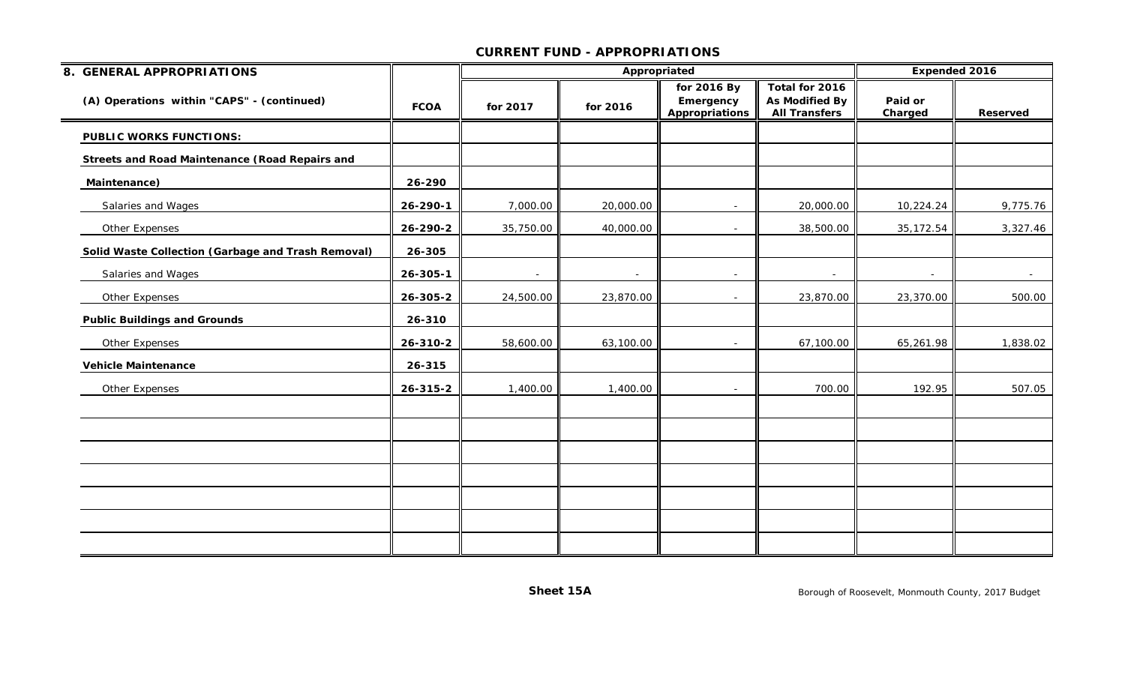| 8. GENERAL APPROPRIATIONS                             |                |           | Appropriated             |                                            |                                                          | <b>Expended 2016</b> |                 |
|-------------------------------------------------------|----------------|-----------|--------------------------|--------------------------------------------|----------------------------------------------------------|----------------------|-----------------|
| (A) Operations within "CAPS" - (continued)            | <b>FCOA</b>    | for 2017  | for 2016                 | for 2016 By<br>Emergency<br>Appropriations | Total for 2016<br>As Modified By<br><b>All Transfers</b> | Paid or<br>Charged   | <b>Reserved</b> |
| <b>PUBLIC WORKS FUNCTIONS:</b>                        |                |           |                          |                                            |                                                          |                      |                 |
| <b>Streets and Road Maintenance (Road Repairs and</b> |                |           |                          |                                            |                                                          |                      |                 |
| Maintenance)                                          | 26-290         |           |                          |                                            |                                                          |                      |                 |
| Salaries and Wages                                    | 26-290-1       | 7,000.00  | 20,000.00                |                                            | 20,000.00                                                | 10,224.24            | 9,775.76        |
| Other Expenses                                        | 26-290-2       | 35,750.00 | 40,000.00                |                                            | 38,500.00                                                | 35, 172.54           | 3,327.46        |
| Solid Waste Collection (Garbage and Trash Removal)    | 26-305         |           |                          |                                            |                                                          |                      |                 |
| Salaries and Wages                                    | $26 - 305 - 1$ | $\sim$    | $\overline{\phantom{a}}$ | $\overline{\phantom{a}}$                   |                                                          |                      |                 |
| Other Expenses                                        | 26-305-2       | 24,500.00 | 23,870.00                | $\sim$                                     | 23,870.00                                                | 23,370.00            | 500.00          |
| <b>Public Buildings and Grounds</b>                   | 26-310         |           |                          |                                            |                                                          |                      |                 |
| Other Expenses                                        | 26-310-2       | 58,600.00 | 63,100.00                | $\sim$                                     | 67,100.00                                                | 65,261.98            | 1,838.02        |
| <b>Vehicle Maintenance</b>                            | 26-315         |           |                          |                                            |                                                          |                      |                 |
| Other Expenses                                        | 26-315-2       | 1,400.00  | 1,400.00                 | $\sim$                                     | 700.00                                                   | 192.95               | 507.05          |
|                                                       |                |           |                          |                                            |                                                          |                      |                 |
|                                                       |                |           |                          |                                            |                                                          |                      |                 |
|                                                       |                |           |                          |                                            |                                                          |                      |                 |
|                                                       |                |           |                          |                                            |                                                          |                      |                 |
|                                                       |                |           |                          |                                            |                                                          |                      |                 |
|                                                       |                |           |                          |                                            |                                                          |                      |                 |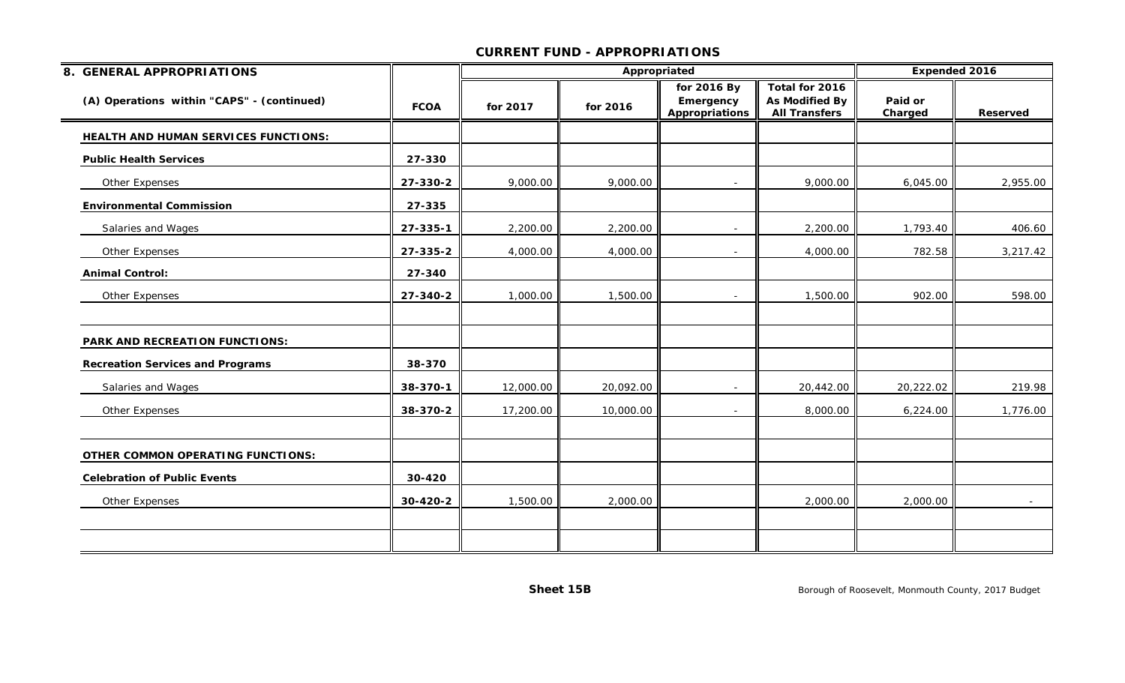| 8. GENERAL APPROPRIATIONS                  |             |           |           | Appropriated                               |                                                                 | <b>Expended 2016</b> |                 |
|--------------------------------------------|-------------|-----------|-----------|--------------------------------------------|-----------------------------------------------------------------|----------------------|-----------------|
| (A) Operations within "CAPS" - (continued) | <b>FCOA</b> | for 2017  | for 2016  | for 2016 By<br>Emergency<br>Appropriations | Total for 2016<br><b>As Modified By</b><br><b>All Transfers</b> | Paid or<br>Charged   | <b>Reserved</b> |
| HEALTH AND HUMAN SERVICES FUNCTIONS:       |             |           |           |                                            |                                                                 |                      |                 |
| <b>Public Health Services</b>              | 27-330      |           |           |                                            |                                                                 |                      |                 |
| Other Expenses                             | 27-330-2    | 9,000.00  | 9,000.00  |                                            | 9,000.00                                                        | 6,045.00             | 2,955.00        |
| <b>Environmental Commission</b>            | 27-335      |           |           |                                            |                                                                 |                      |                 |
| Salaries and Wages                         | 27-335-1    | 2,200.00  | 2,200.00  | $\sim$                                     | 2,200.00                                                        | 1,793.40             | 406.60          |
| Other Expenses                             | 27-335-2    | 4,000.00  | 4,000.00  | $\overline{\phantom{0}}$                   | 4,000.00                                                        | 782.58               | 3,217.42        |
| <b>Animal Control:</b>                     | 27-340      |           |           |                                            |                                                                 |                      |                 |
| Other Expenses                             | 27-340-2    | 1,000.00  | 1,500.00  | $\overline{\phantom{a}}$                   | 1,500.00                                                        | 902.00               | 598.00          |
| PARK AND RECREATION FUNCTIONS:             |             |           |           |                                            |                                                                 |                      |                 |
| <b>Recreation Services and Programs</b>    | 38-370      |           |           |                                            |                                                                 |                      |                 |
| Salaries and Wages                         | 38-370-1    | 12,000.00 | 20,092.00 | $\overline{\phantom{a}}$                   | 20,442.00                                                       | 20,222.02            | 219.98          |
| Other Expenses                             | 38-370-2    | 17,200.00 | 10,000.00 | $\blacksquare$                             | 8,000.00                                                        | 6,224.00             | 1,776.00        |
| <b>OTHER COMMON OPERATING FUNCTIONS:</b>   |             |           |           |                                            |                                                                 |                      |                 |
| <b>Celebration of Public Events</b>        | 30-420      |           |           |                                            |                                                                 |                      |                 |
| Other Expenses                             | 30-420-2    | 1,500.00  | 2,000.00  |                                            | 2,000.00                                                        | 2,000.00             |                 |
|                                            |             |           |           |                                            |                                                                 |                      |                 |
|                                            |             |           |           |                                            |                                                                 |                      |                 |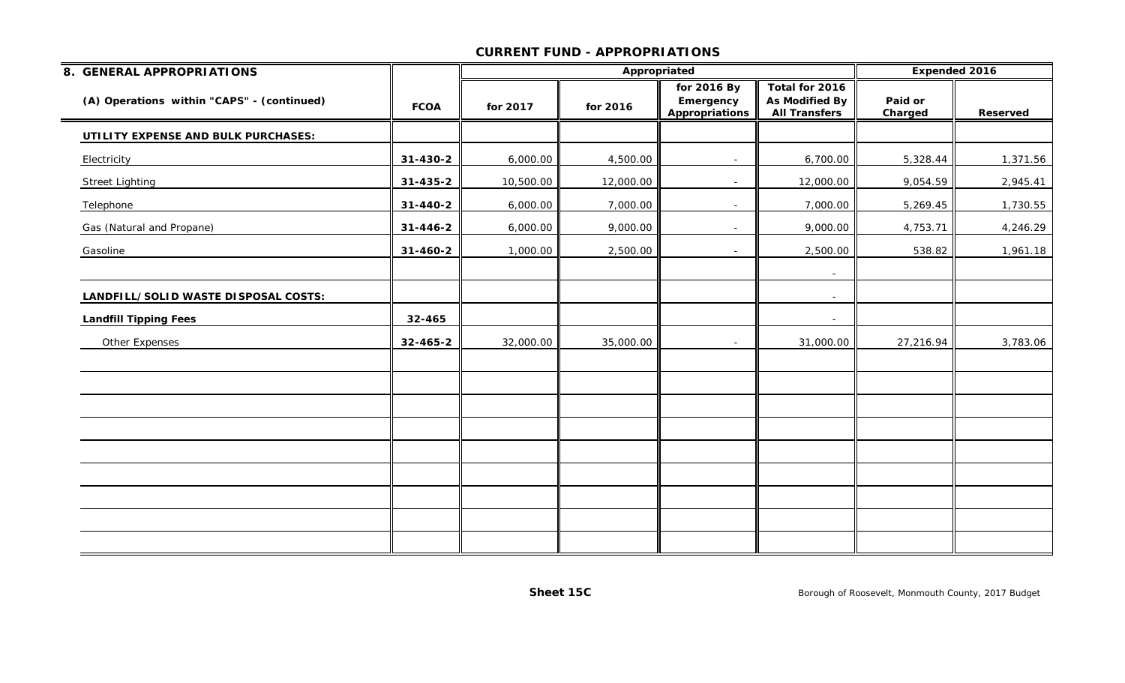| 8. GENERAL APPROPRIATIONS                  |             |           |           | Appropriated                               |                                                                 | Expended 2016      |          |
|--------------------------------------------|-------------|-----------|-----------|--------------------------------------------|-----------------------------------------------------------------|--------------------|----------|
| (A) Operations within "CAPS" - (continued) | <b>FCOA</b> | for 2017  | for 2016  | for 2016 By<br>Emergency<br>Appropriations | Total for 2016<br><b>As Modified By</b><br><b>All Transfers</b> | Paid or<br>Charged | Reserved |
| UTILITY EXPENSE AND BULK PURCHASES:        |             |           |           |                                            |                                                                 |                    |          |
| Electricity                                | 31-430-2    | 6,000.00  | 4,500.00  | $\sim$                                     | 6,700.00                                                        | 5,328.44           | 1,371.56 |
| <b>Street Lighting</b>                     | 31-435-2    | 10,500.00 | 12,000.00 |                                            | 12,000.00                                                       | 9,054.59           | 2,945.41 |
| Telephone                                  | 31-440-2    | 6,000.00  | 7,000.00  | $\overline{\phantom{a}}$                   | 7,000.00                                                        | 5,269.45           | 1,730.55 |
| Gas (Natural and Propane)                  | 31-446-2    | 6,000.00  | 9,000.00  | $\blacksquare$                             | 9,000.00                                                        | 4,753.71           | 4,246.29 |
| Gasoline                                   | 31-460-2    | 1,000.00  | 2,500.00  | $\overline{\phantom{a}}$                   | 2,500.00                                                        | 538.82             | 1,961.18 |
|                                            |             |           |           |                                            |                                                                 |                    |          |
| LANDFILL/SOLID WASTE DISPOSAL COSTS:       |             |           |           |                                            | $\sim$                                                          |                    |          |
| <b>Landfill Tipping Fees</b>               | 32-465      |           |           |                                            | $\overline{\phantom{a}}$                                        |                    |          |
| Other Expenses                             | 32-465-2    | 32,000.00 | 35,000.00 | $\sim$                                     | 31,000.00                                                       | 27,216.94          | 3,783.06 |
|                                            |             |           |           |                                            |                                                                 |                    |          |
|                                            |             |           |           |                                            |                                                                 |                    |          |
|                                            |             |           |           |                                            |                                                                 |                    |          |
|                                            |             |           |           |                                            |                                                                 |                    |          |
|                                            |             |           |           |                                            |                                                                 |                    |          |
|                                            |             |           |           |                                            |                                                                 |                    |          |
|                                            |             |           |           |                                            |                                                                 |                    |          |
|                                            |             |           |           |                                            |                                                                 |                    |          |
|                                            |             |           |           |                                            |                                                                 |                    |          |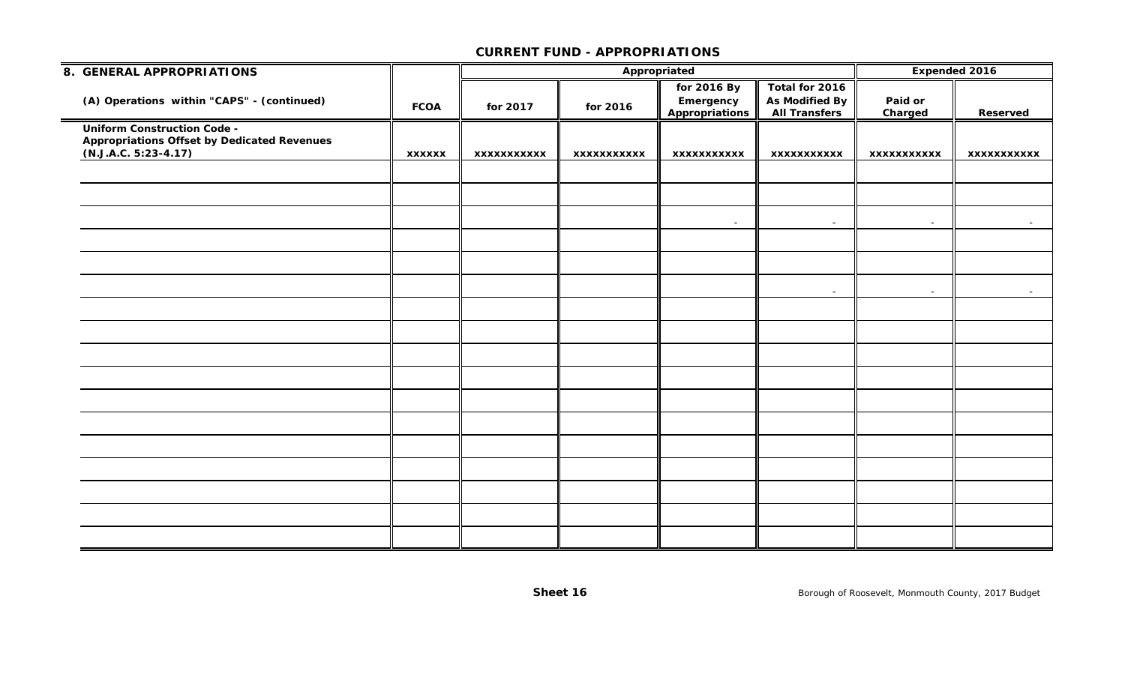| 8. GENERAL APPROPRIATIONS                                                                                          |               |             |                    | Appropriated                                      |                                                                 | Expended 2016      |                  |
|--------------------------------------------------------------------------------------------------------------------|---------------|-------------|--------------------|---------------------------------------------------|-----------------------------------------------------------------|--------------------|------------------|
| (A) Operations within "CAPS" - (continued)                                                                         | <b>FCOA</b>   | for 2017    | for 2016           | for 2016 By<br>Emergency<br><b>Appropriations</b> | Total for 2016<br><b>As Modified By</b><br><b>All Transfers</b> | Paid or<br>Charged | Reserved         |
| <b>Uniform Construction Code -</b><br><b>Appropriations Offset by Dedicated Revenues</b><br>$(N.J.A.C. 5:23-4.17)$ | <b>XXXXXX</b> | XXXXXXXXXXX | <b>XXXXXXXXXXX</b> | XXXXXXXXXXX                                       | <b>XXXXXXXXXXX</b>                                              | XXXXXXXXXXX        | XXXXXXXXXXX      |
|                                                                                                                    |               |             |                    |                                                   |                                                                 |                    |                  |
|                                                                                                                    |               |             |                    | $\sim$                                            | $\sim$                                                          | $\sim$             | $\sim$           |
|                                                                                                                    |               |             |                    |                                                   |                                                                 |                    |                  |
|                                                                                                                    |               |             |                    |                                                   |                                                                 |                    |                  |
|                                                                                                                    |               |             |                    |                                                   | $\sim$                                                          | $\sim$             | $\sim$ 100 $\mu$ |
|                                                                                                                    |               |             |                    |                                                   |                                                                 |                    |                  |
|                                                                                                                    |               |             |                    |                                                   |                                                                 |                    |                  |
|                                                                                                                    |               |             |                    |                                                   |                                                                 |                    |                  |
|                                                                                                                    |               |             |                    |                                                   |                                                                 |                    |                  |
|                                                                                                                    |               |             |                    |                                                   |                                                                 |                    |                  |
|                                                                                                                    |               |             |                    |                                                   |                                                                 |                    |                  |
|                                                                                                                    |               |             |                    |                                                   |                                                                 |                    |                  |
|                                                                                                                    |               |             |                    |                                                   |                                                                 |                    |                  |
|                                                                                                                    |               |             |                    |                                                   |                                                                 |                    |                  |
|                                                                                                                    |               |             |                    |                                                   |                                                                 |                    |                  |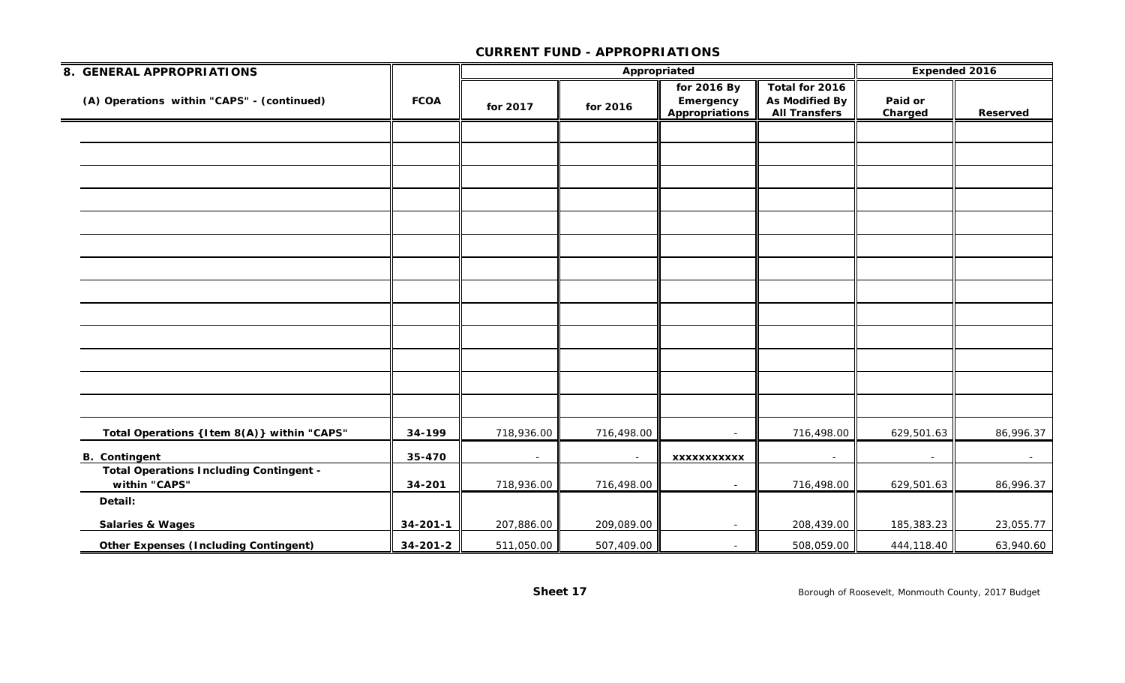| 8. GENERAL APPROPRIATIONS                                       |                |                          | Appropriated |                                                   | Expended 2016                                                   |                    |            |
|-----------------------------------------------------------------|----------------|--------------------------|--------------|---------------------------------------------------|-----------------------------------------------------------------|--------------------|------------|
| (A) Operations within "CAPS" - (continued)                      | <b>FCOA</b>    | for 2017                 | for 2016     | for 2016 By<br>Emergency<br><b>Appropriations</b> | Total for 2016<br><b>As Modified By</b><br><b>All Transfers</b> | Paid or<br>Charged | Reserved   |
|                                                                 |                |                          |              |                                                   |                                                                 |                    |            |
|                                                                 |                |                          |              |                                                   |                                                                 |                    |            |
|                                                                 |                |                          |              |                                                   |                                                                 |                    |            |
|                                                                 |                |                          |              |                                                   |                                                                 |                    |            |
|                                                                 |                |                          |              |                                                   |                                                                 |                    |            |
|                                                                 |                |                          |              |                                                   |                                                                 |                    |            |
|                                                                 |                |                          |              |                                                   |                                                                 |                    |            |
|                                                                 |                |                          |              |                                                   |                                                                 |                    |            |
|                                                                 |                |                          |              |                                                   |                                                                 |                    |            |
|                                                                 |                |                          |              |                                                   |                                                                 |                    |            |
|                                                                 |                |                          |              |                                                   |                                                                 |                    |            |
|                                                                 |                |                          |              |                                                   |                                                                 |                    |            |
|                                                                 |                |                          |              |                                                   |                                                                 |                    |            |
| Total Operations {Item 8(A)} within "CAPS"                      | 34-199         | 718,936.00               | 716,498.00   | $\sim$                                            | 716,498.00                                                      | 629,501.63         | 86,996.37  |
| <b>B.</b> Contingent                                            | 35-470         | $\overline{\phantom{a}}$ | $\sim$       | <b>XXXXXXXXXXX</b>                                | $\overline{\phantom{a}}$                                        |                    | $\sim$ $-$ |
| <b>Total Operations Including Contingent -</b><br>within "CAPS" | 34-201         | 718,936.00               | 716,498.00   | $\sim$                                            | 716,498.00                                                      | 629,501.63         | 86,996.37  |
| Detail:                                                         |                |                          |              |                                                   |                                                                 |                    |            |
| <b>Salaries &amp; Wages</b>                                     | $34 - 201 - 1$ | 207,886.00               | 209,089.00   | $\sim$                                            | 208,439.00                                                      | 185,383.23         | 23,055.77  |
| <b>Other Expenses (Including Contingent)</b>                    | $34 - 201 - 2$ | 511,050.00               | 507,409.00   |                                                   | 508,059.00                                                      | 444,118.40         | 63,940.60  |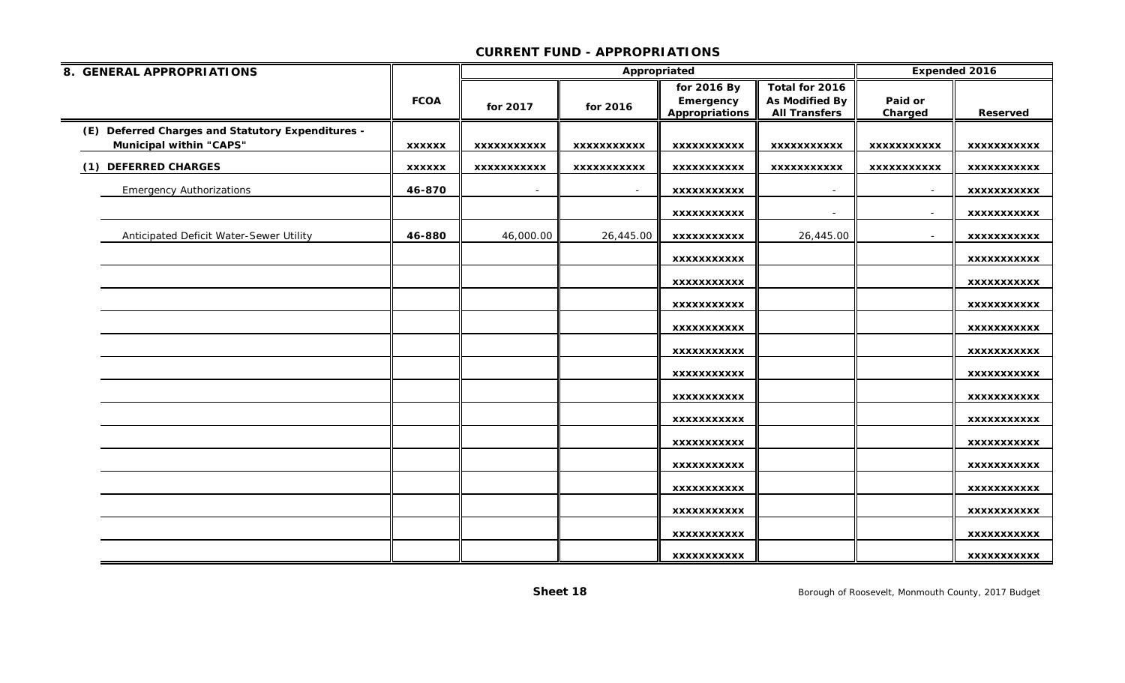| 8. GENERAL APPROPRIATIONS                                                           |               |                    | Appropriated       |                                            |                                                                 |                    | Expended 2016      |
|-------------------------------------------------------------------------------------|---------------|--------------------|--------------------|--------------------------------------------|-----------------------------------------------------------------|--------------------|--------------------|
|                                                                                     | <b>FCOA</b>   | for 2017           | for 2016           | for 2016 By<br>Emergency<br>Appropriations | Total for 2016<br><b>As Modified By</b><br><b>All Transfers</b> | Paid or<br>Charged | <b>Reserved</b>    |
| (E) Deferred Charges and Statutory Expenditures -<br><b>Municipal within "CAPS"</b> | <b>XXXXXX</b> | XXXXXXXXXXX        | <b>XXXXXXXXXXX</b> | XXXXXXXXXXX                                | <b>XXXXXXXXXXX</b>                                              | XXXXXXXXXXX        | XXXXXXXXXXX        |
| (1) DEFERRED CHARGES                                                                | <b>XXXXXX</b> | <b>XXXXXXXXXXX</b> | <b>XXXXXXXXXXX</b> | <b>XXXXXXXXXXX</b>                         | <b>XXXXXXXXXXX</b>                                              | <b>XXXXXXXXXXX</b> | <b>XXXXXXXXXXX</b> |
| <b>Emergency Authorizations</b>                                                     | 46-870        | $\sim$             | $\sim$             | XXXXXXXXXXX                                | $\overline{\phantom{a}}$                                        | $\sim$             | xxxxxxxxxxx        |
|                                                                                     |               |                    |                    | <b>XXXXXXXXXXX</b>                         |                                                                 |                    | XXXXXXXXXXX        |
| Anticipated Deficit Water-Sewer Utility                                             | 46-880        | 46,000.00          | 26,445.00          | XXXXXXXXXXX                                | 26,445.00                                                       |                    | <b>XXXXXXXXXXX</b> |
|                                                                                     |               |                    |                    | <b>XXXXXXXXXXX</b>                         |                                                                 |                    | <b>XXXXXXXXXXX</b> |
|                                                                                     |               |                    |                    | XXXXXXXXXXX                                |                                                                 |                    | XXXXXXXXXXX        |
|                                                                                     |               |                    |                    | XXXXXXXXXXX                                |                                                                 |                    | <b>XXXXXXXXXXX</b> |
|                                                                                     |               |                    |                    | <b>XXXXXXXXXXX</b>                         |                                                                 |                    | <b>XXXXXXXXXXX</b> |
|                                                                                     |               |                    |                    | XXXXXXXXXXX                                |                                                                 |                    | XXXXXXXXXXX        |
|                                                                                     |               |                    |                    | XXXXXXXXXXX                                |                                                                 |                    | XXXXXXXXXXX        |
|                                                                                     |               |                    |                    | XXXXXXXXXXX                                |                                                                 |                    | XXXXXXXXXXX        |
|                                                                                     |               |                    |                    | <b>XXXXXXXXXXX</b>                         |                                                                 |                    | <b>XXXXXXXXXXX</b> |
|                                                                                     |               |                    |                    | XXXXXXXXXXX                                |                                                                 |                    | XXXXXXXXXXX        |
|                                                                                     |               |                    |                    | <b>XXXXXXXXXXX</b>                         |                                                                 |                    | <b>XXXXXXXXXXX</b> |
|                                                                                     |               |                    |                    | <b>XXXXXXXXXXX</b>                         |                                                                 |                    | XXXXXXXXXXX        |
|                                                                                     |               |                    |                    | <b>XXXXXXXXXXX</b>                         |                                                                 |                    | <b>XXXXXXXXXXX</b> |
|                                                                                     |               |                    |                    | <b>XXXXXXXXXXX</b>                         |                                                                 |                    | <b>XXXXXXXXXXX</b> |
|                                                                                     |               |                    |                    | <b>XXXXXXXXXXX</b>                         |                                                                 |                    | <b>XXXXXXXXXXX</b> |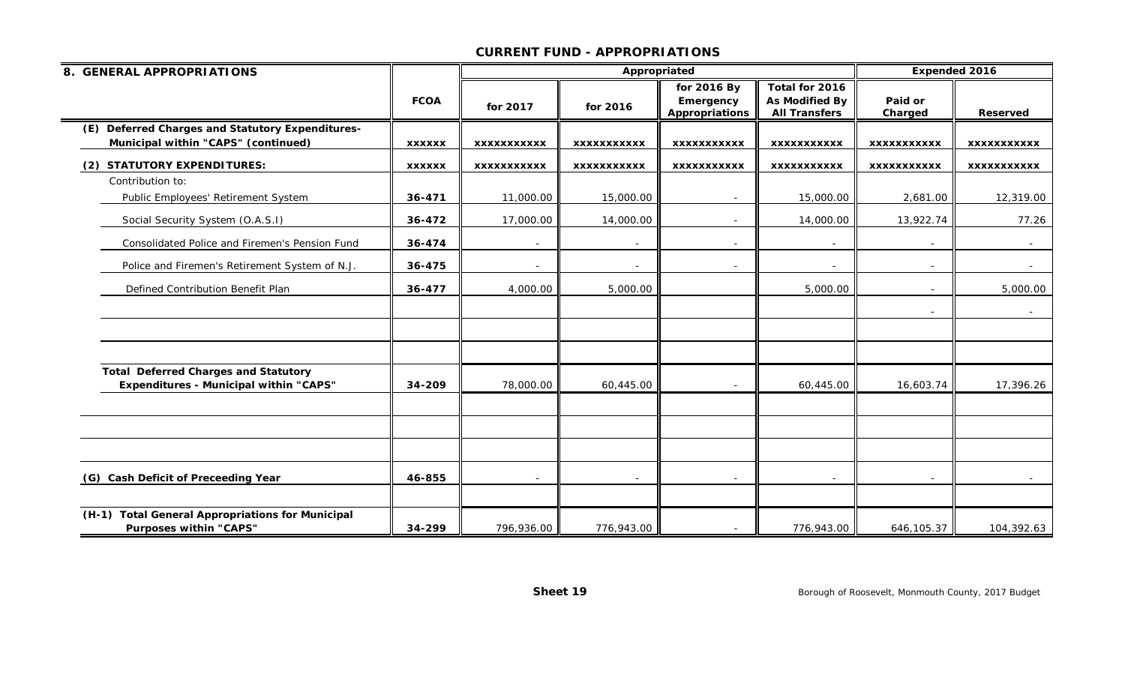| 8. GENERAL APPROPRIATIONS                                                                    |               |                          | Appropriated       |                                                   | <b>Expended 2016</b>                                     |                          |                    |
|----------------------------------------------------------------------------------------------|---------------|--------------------------|--------------------|---------------------------------------------------|----------------------------------------------------------|--------------------------|--------------------|
|                                                                                              | <b>FCOA</b>   | for 2017                 | for 2016           | for 2016 By<br>Emergency<br><b>Appropriations</b> | Total for 2016<br>As Modified By<br><b>All Transfers</b> | Paid or<br>Charged       | <b>Reserved</b>    |
| (E) Deferred Charges and Statutory Expenditures-<br>Municipal within "CAPS" (continued)      | <b>XXXXXX</b> | <b>XXXXXXXXXXX</b>       | <b>XXXXXXXXXXX</b> | <b>XXXXXXXXXXX</b>                                | <b>XXXXXXXXXXX</b>                                       | XXXXXXXXXXX              | <b>XXXXXXXXXXX</b> |
| <b>STATUTORY EXPENDITURES:</b><br>(2)                                                        | <b>XXXXXX</b> | <b>XXXXXXXXXXX</b>       | <b>XXXXXXXXXXX</b> | <b>XXXXXXXXXXX</b>                                | <b>XXXXXXXXXXX</b>                                       | <b>XXXXXXXXXXX</b>       | <b>XXXXXXXXXXX</b> |
| Contribution to:                                                                             |               |                          |                    |                                                   |                                                          |                          |                    |
| Public Employees' Retirement System                                                          | 36-471        | 11,000.00                | 15,000.00          |                                                   | 15,000.00                                                | 2,681.00                 | 12,319.00          |
| Social Security System (O.A.S.I)                                                             | 36-472        | 17,000.00                | 14,000.00          |                                                   | 14,000.00                                                | 13,922.74                | 77.26              |
| Consolidated Police and Firemen's Pension Fund                                               | 36-474        | $\sim$                   | $\sim$             | $\sim$                                            | $\overline{\phantom{a}}$                                 |                          | $\sim$             |
| Police and Firemen's Retirement System of N.J.                                               | 36-475        | $\overline{\phantom{a}}$ |                    |                                                   |                                                          |                          |                    |
| Defined Contribution Benefit Plan                                                            | 36-477        | 4,000.00                 | 5,000.00           |                                                   | 5,000.00                                                 |                          | 5,000.00           |
|                                                                                              |               |                          |                    |                                                   |                                                          | $\overline{\phantom{a}}$ | $\sim$ $-$         |
| <b>Total Deferred Charges and Statutory</b><br><b>Expenditures - Municipal within "CAPS"</b> | 34-209        | 78,000.00                | 60,445.00          |                                                   | 60,445.00                                                | 16,603.74                | 17,396.26          |
|                                                                                              |               |                          |                    |                                                   |                                                          |                          |                    |
|                                                                                              |               |                          |                    |                                                   |                                                          |                          |                    |
| (G) Cash Deficit of Preceeding Year                                                          | 46-855        |                          |                    |                                                   |                                                          |                          |                    |
| (H-1) Total General Appropriations for Municipal<br><b>Purposes within "CAPS"</b>            | 34-299        | 796,936.00               | 776,943.00         |                                                   | 776,943.00                                               | 646,105.37               | 104,392.63         |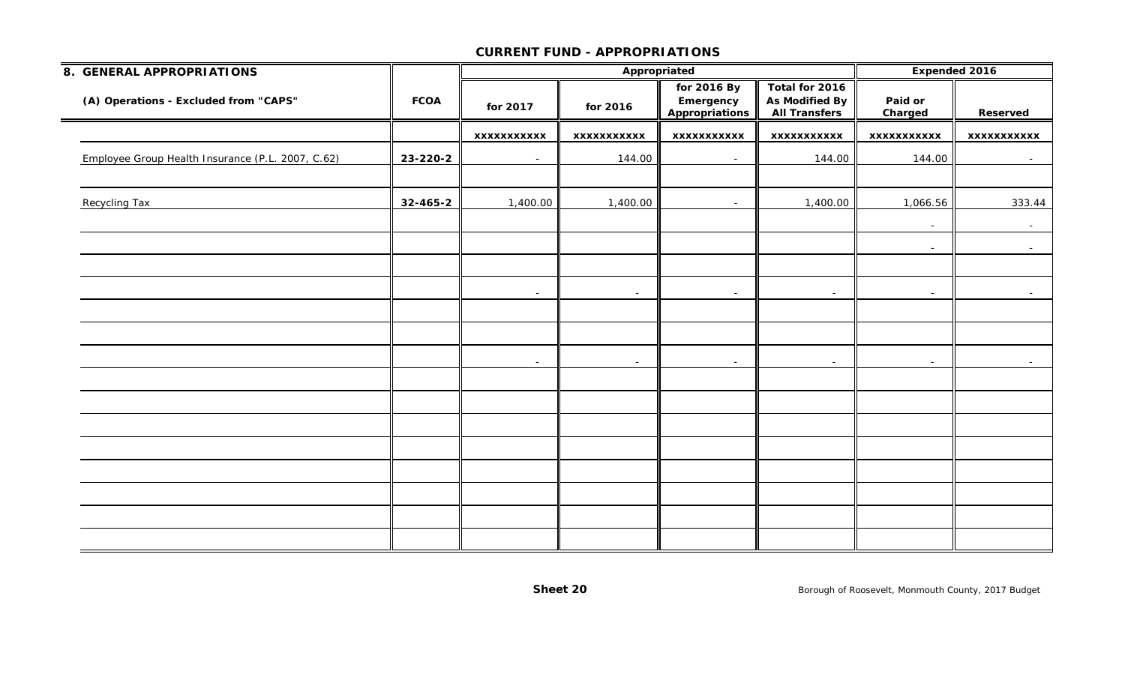| 8. GENERAL APPROPRIATIONS                         |             |                          |             | Appropriated                                      |                                                                 |                          | Expended 2016   |
|---------------------------------------------------|-------------|--------------------------|-------------|---------------------------------------------------|-----------------------------------------------------------------|--------------------------|-----------------|
| (A) Operations - Excluded from "CAPS"             | <b>FCOA</b> | for 2017                 | for 2016    | for 2016 By<br>Emergency<br><b>Appropriations</b> | Total for 2016<br><b>As Modified By</b><br><b>All Transfers</b> | Paid or<br>Charged       | Reserved        |
|                                                   |             | <b>XXXXXXXXXXX</b>       | XXXXXXXXXXX | <b>XXXXXXXXXXX</b>                                | <b>XXXXXXXXXXX</b>                                              | XXXXXXXXXXX              | XXXXXXXXXXX     |
| Employee Group Health Insurance (P.L. 2007, C.62) | 23-220-2    | $\sim$                   | 144.00      | $\sim$                                            | 144.00                                                          | 144.00                   | $\sim$ $-$      |
|                                                   |             |                          |             |                                                   |                                                                 |                          |                 |
| Recycling Tax                                     | 32-465-2    | 1,400.00                 | 1,400.00    | $\sim$                                            | 1,400.00                                                        | 1,066.56                 | 333.44          |
|                                                   |             |                          |             |                                                   |                                                                 | $\sim$                   | $\sim$          |
|                                                   |             |                          |             |                                                   |                                                                 | $\blacksquare$           | $\sim$          |
|                                                   |             |                          |             |                                                   |                                                                 |                          |                 |
|                                                   |             | $\overline{\phantom{a}}$ | $\sim$      | $\blacksquare$                                    | $\overline{\phantom{a}}$                                        | $\overline{\phantom{a}}$ | $\sim$          |
|                                                   |             |                          |             |                                                   |                                                                 |                          |                 |
|                                                   |             |                          |             |                                                   |                                                                 |                          |                 |
|                                                   |             | $\sim$                   | $\sim$      | $\sim$                                            | $\sim$                                                          | $\sim$                   | $\sim$ 10 $\pm$ |
|                                                   |             |                          |             |                                                   |                                                                 |                          |                 |
|                                                   |             |                          |             |                                                   |                                                                 |                          |                 |
|                                                   |             |                          |             |                                                   |                                                                 |                          |                 |
|                                                   |             |                          |             |                                                   |                                                                 |                          |                 |
|                                                   |             |                          |             |                                                   |                                                                 |                          |                 |
|                                                   |             |                          |             |                                                   |                                                                 |                          |                 |
|                                                   |             |                          |             |                                                   |                                                                 |                          |                 |
|                                                   |             |                          |             |                                                   |                                                                 |                          |                 |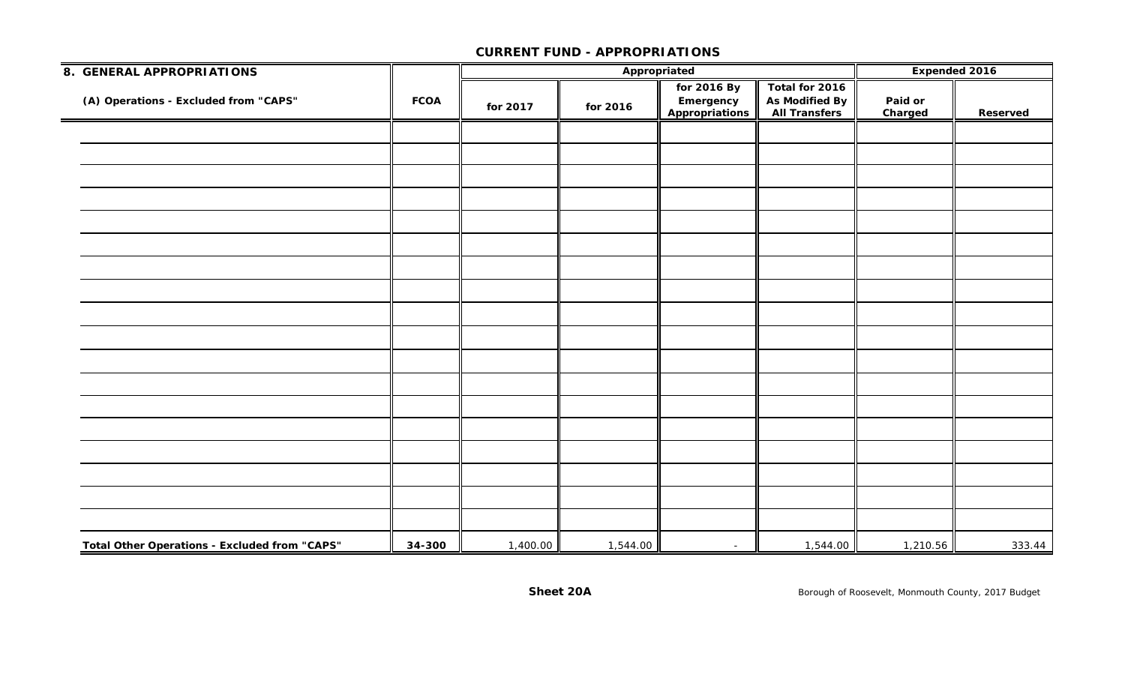| 8. GENERAL APPROPRIATIONS                     |             |          |          | Appropriated                               |                                                          | Expended 2016      |          |
|-----------------------------------------------|-------------|----------|----------|--------------------------------------------|----------------------------------------------------------|--------------------|----------|
| (A) Operations - Excluded from "CAPS"         | <b>FCOA</b> | for 2017 | for 2016 | for 2016 By<br>Emergency<br>Appropriations | Total for 2016<br>As Modified By<br><b>All Transfers</b> | Paid or<br>Charged | Reserved |
|                                               |             |          |          |                                            |                                                          |                    |          |
|                                               |             |          |          |                                            |                                                          |                    |          |
|                                               |             |          |          |                                            |                                                          |                    |          |
|                                               |             |          |          |                                            |                                                          |                    |          |
|                                               |             |          |          |                                            |                                                          |                    |          |
|                                               |             |          |          |                                            |                                                          |                    |          |
|                                               |             |          |          |                                            |                                                          |                    |          |
|                                               |             |          |          |                                            |                                                          |                    |          |
|                                               |             |          |          |                                            |                                                          |                    |          |
|                                               |             |          |          |                                            |                                                          |                    |          |
|                                               |             |          |          |                                            |                                                          |                    |          |
|                                               |             |          |          |                                            |                                                          |                    |          |
|                                               |             |          |          |                                            |                                                          |                    |          |
|                                               |             |          |          |                                            |                                                          |                    |          |
|                                               |             |          |          |                                            |                                                          |                    |          |
|                                               |             |          |          |                                            |                                                          |                    |          |
|                                               |             |          |          |                                            |                                                          |                    |          |
|                                               |             |          |          |                                            |                                                          |                    |          |
| Total Other Operations - Excluded from "CAPS" | 34-300      | 1,400.00 | 1,544.00 | $\sim$                                     | 1,544.00                                                 | 1,210.56           | 333.44   |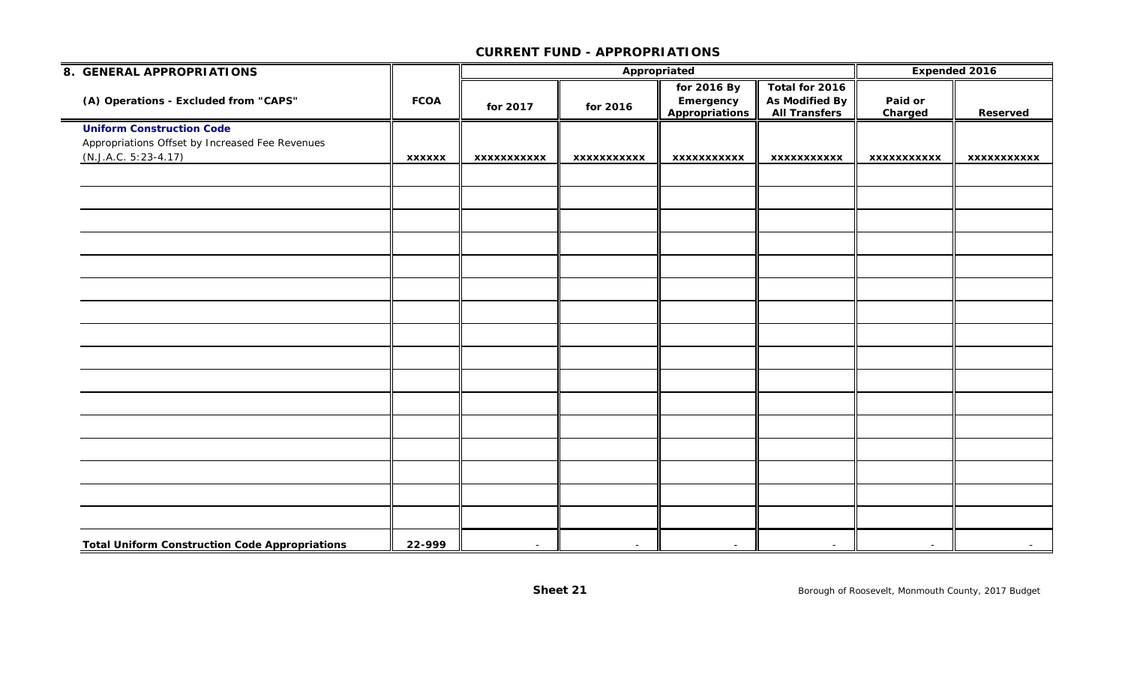| 8. GENERAL APPROPRIATIONS                                                                                     |               |             |                    | Appropriated                                      |                                                                 | <b>Expended 2016</b>     |             |
|---------------------------------------------------------------------------------------------------------------|---------------|-------------|--------------------|---------------------------------------------------|-----------------------------------------------------------------|--------------------------|-------------|
| (A) Operations - Excluded from "CAPS"                                                                         | <b>FCOA</b>   | for 2017    | for 2016           | for 2016 By<br>Emergency<br><b>Appropriations</b> | Total for 2016<br><b>As Modified By</b><br><b>All Transfers</b> | Paid or<br>Charged       | Reserved    |
| <b>Uniform Construction Code</b><br>Appropriations Offset by Increased Fee Revenues<br>$(N.J.A.C. 5:23-4.17)$ | <b>XXXXXX</b> | XXXXXXXXXXX | <b>XXXXXXXXXXX</b> | <b>XXXXXXXXXXX</b>                                | <b>XXXXXXXXXXX</b>                                              | <b>XXXXXXXXXXX</b>       | xxxxxxxxxxx |
|                                                                                                               |               |             |                    |                                                   |                                                                 |                          |             |
|                                                                                                               |               |             |                    |                                                   |                                                                 |                          |             |
|                                                                                                               |               |             |                    |                                                   |                                                                 |                          |             |
|                                                                                                               |               |             |                    |                                                   |                                                                 |                          |             |
|                                                                                                               |               |             |                    |                                                   |                                                                 |                          |             |
|                                                                                                               |               |             |                    |                                                   |                                                                 |                          |             |
|                                                                                                               |               |             |                    |                                                   |                                                                 |                          |             |
|                                                                                                               |               |             |                    |                                                   |                                                                 |                          |             |
|                                                                                                               |               |             |                    |                                                   |                                                                 |                          |             |
|                                                                                                               |               |             |                    |                                                   |                                                                 |                          |             |
|                                                                                                               |               |             |                    |                                                   |                                                                 |                          |             |
| <b>Total Uniform Construction Code Appropriations</b>                                                         | 22-999        | $\sim$      | $\sim$             | $\sim$                                            | $\overline{\phantom{a}}$                                        | $\overline{\phantom{a}}$ | $\sim$      |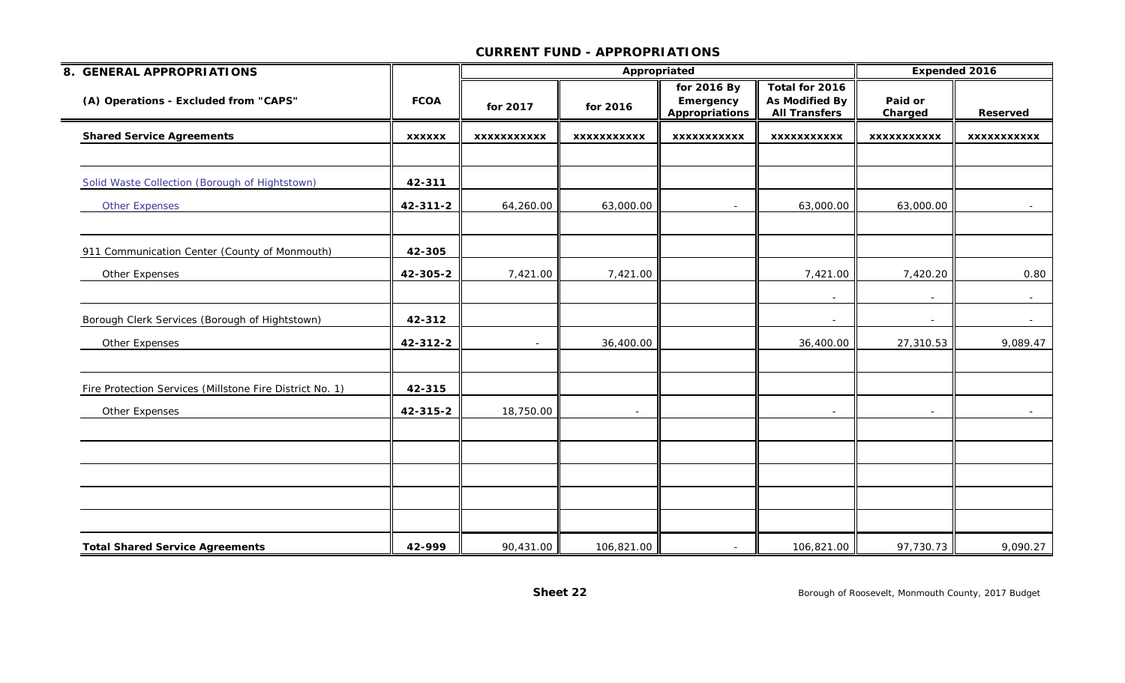| 8. GENERAL APPROPRIATIONS                                |               |                    | Appropriated       |                                                   |                                                          | Expended 2016      |                    |
|----------------------------------------------------------|---------------|--------------------|--------------------|---------------------------------------------------|----------------------------------------------------------|--------------------|--------------------|
| (A) Operations - Excluded from "CAPS"                    | <b>FCOA</b>   | for 2017           | for 2016           | for 2016 By<br>Emergency<br><b>Appropriations</b> | Total for 2016<br>As Modified By<br><b>All Transfers</b> | Paid or<br>Charged | Reserved           |
| <b>Shared Service Agreements</b>                         | <b>XXXXXX</b> | <b>XXXXXXXXXXX</b> | <b>XXXXXXXXXXX</b> | <b>XXXXXXXXXXX</b>                                | <b>XXXXXXXXXXX</b>                                       | <b>XXXXXXXXXXX</b> | <b>XXXXXXXXXXX</b> |
|                                                          |               |                    |                    |                                                   |                                                          |                    |                    |
| Solid Waste Collection (Borough of Hightstown)           | 42-311        |                    |                    |                                                   |                                                          |                    |                    |
| <b>Other Expenses</b>                                    | 42-311-2      | 64,260.00          | 63,000.00          |                                                   | 63,000.00                                                | 63,000.00          |                    |
| 911 Communication Center (County of Monmouth)            | 42-305        |                    |                    |                                                   |                                                          |                    |                    |
| Other Expenses                                           | 42-305-2      | 7,421.00           | 7,421.00           |                                                   | 7,421.00                                                 | 7,420.20           | 0.80               |
|                                                          |               |                    |                    |                                                   | $\overline{\phantom{a}}$                                 |                    |                    |
| Borough Clerk Services (Borough of Hightstown)           | 42-312        |                    |                    |                                                   | $\overline{\phantom{a}}$                                 | $\sim$             | $\sim$             |
| Other Expenses                                           | 42-312-2      | $\sim$             | 36,400.00          |                                                   | 36,400.00                                                | 27,310.53          | 9,089.47           |
| Fire Protection Services (Millstone Fire District No. 1) | 42-315        |                    |                    |                                                   |                                                          |                    |                    |
| Other Expenses                                           | 42-315-2      | 18,750.00          | $\sim$             |                                                   | $\overline{\phantom{a}}$                                 | $\sim$             | $\sim$             |
|                                                          |               |                    |                    |                                                   |                                                          |                    |                    |
|                                                          |               |                    |                    |                                                   |                                                          |                    |                    |
|                                                          |               |                    |                    |                                                   |                                                          |                    |                    |
|                                                          |               |                    |                    |                                                   |                                                          |                    |                    |
| <b>Total Shared Service Agreements</b>                   | 42-999        | 90,431.00          | 106,821.00         | $\overline{\phantom{a}}$                          | 106,821.00                                               | 97,730.73          | 9,090.27           |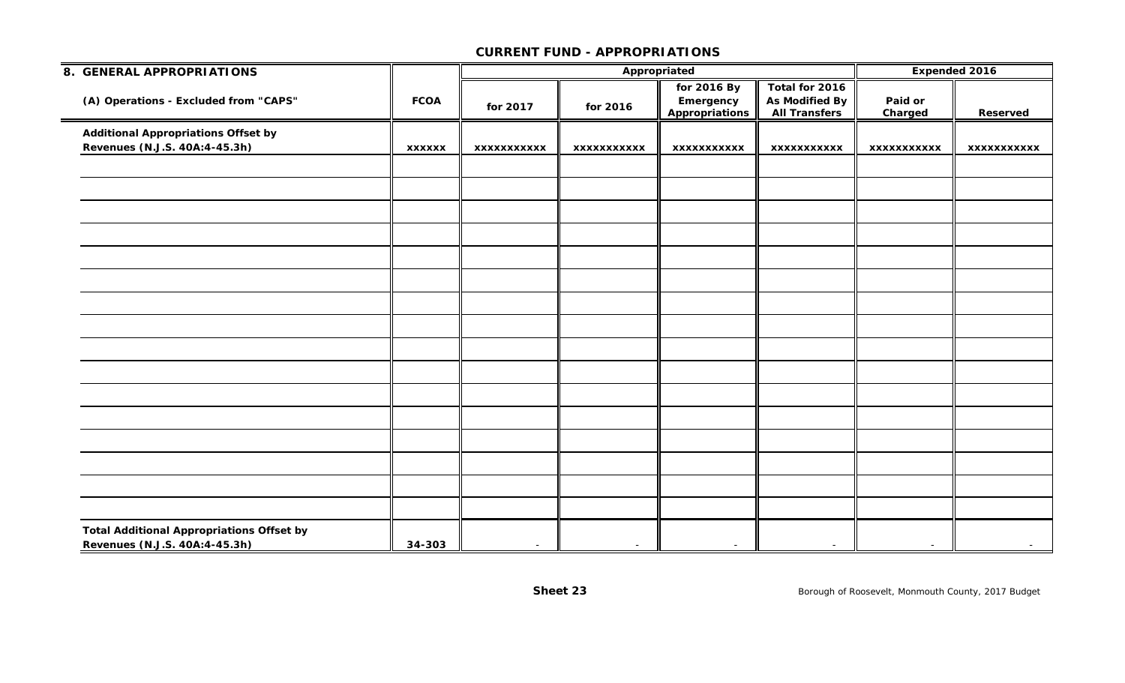| 8. GENERAL APPROPRIATIONS                                                         |               |                    |             | Appropriated   |                          | Expended 2016      |                    |  |
|-----------------------------------------------------------------------------------|---------------|--------------------|-------------|----------------|--------------------------|--------------------|--------------------|--|
|                                                                                   |               |                    |             | for 2016 By    | Total for 2016           |                    |                    |  |
| (A) Operations - Excluded from "CAPS"                                             | <b>FCOA</b>   | for 2017           | for 2016    | Emergency      | <b>As Modified By</b>    | Paid or            |                    |  |
|                                                                                   |               |                    |             | Appropriations | <b>All Transfers</b>     | Charged            | <b>Reserved</b>    |  |
| <b>Additional Appropriations Offset by</b>                                        |               |                    |             |                |                          |                    |                    |  |
| Revenues (N.J.S. 40A:4-45.3h)                                                     | <b>XXXXXX</b> | <b>XXXXXXXXXXX</b> | XXXXXXXXXXX | XXXXXXXXXXX    | XXXXXXXXXXX              | <b>XXXXXXXXXXX</b> | <b>XXXXXXXXXXX</b> |  |
|                                                                                   |               |                    |             |                |                          |                    |                    |  |
|                                                                                   |               |                    |             |                |                          |                    |                    |  |
|                                                                                   |               |                    |             |                |                          |                    |                    |  |
|                                                                                   |               |                    |             |                |                          |                    |                    |  |
|                                                                                   |               |                    |             |                |                          |                    |                    |  |
|                                                                                   |               |                    |             |                |                          |                    |                    |  |
|                                                                                   |               |                    |             |                |                          |                    |                    |  |
|                                                                                   |               |                    |             |                |                          |                    |                    |  |
|                                                                                   |               |                    |             |                |                          |                    |                    |  |
|                                                                                   |               |                    |             |                |                          |                    |                    |  |
|                                                                                   |               |                    |             |                |                          |                    |                    |  |
|                                                                                   |               |                    |             |                |                          |                    |                    |  |
|                                                                                   |               |                    |             |                |                          |                    |                    |  |
|                                                                                   |               |                    |             |                |                          |                    |                    |  |
|                                                                                   |               |                    |             |                |                          |                    |                    |  |
|                                                                                   |               |                    |             |                |                          |                    |                    |  |
| <b>Total Additional Appropriations Offset by</b><br>Revenues (N.J.S. 40A:4-45.3h) | 34-303        | $\sim$             | $\sim$      |                | $\overline{\phantom{a}}$ | $\sim$             | $\sim$             |  |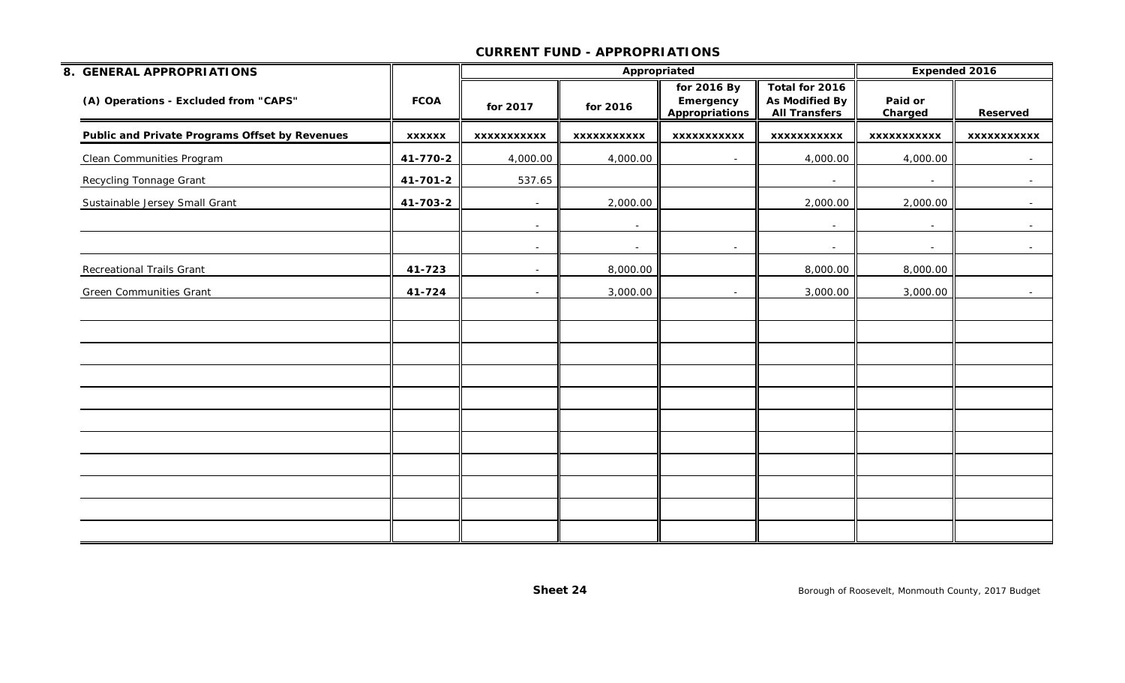| 8. GENERAL APPROPRIATIONS                      |                |                          | Appropriated             |                                                   |                                                                 | Expended 2016            |                    |
|------------------------------------------------|----------------|--------------------------|--------------------------|---------------------------------------------------|-----------------------------------------------------------------|--------------------------|--------------------|
| (A) Operations - Excluded from "CAPS"          | <b>FCOA</b>    | for 2017                 | for 2016                 | for 2016 By<br>Emergency<br><b>Appropriations</b> | Total for 2016<br><b>As Modified By</b><br><b>All Transfers</b> | Paid or<br>Charged       | Reserved           |
| Public and Private Programs Offset by Revenues | <b>XXXXXX</b>  | <b>XXXXXXXXXXX</b>       | <b>XXXXXXXXXXX</b>       | <b>XXXXXXXXXXX</b>                                | <b>XXXXXXXXXXX</b>                                              | <b>XXXXXXXXXXX</b>       | <b>XXXXXXXXXXX</b> |
| <b>Clean Communities Program</b>               | 41-770-2       | 4,000.00                 | 4,000.00                 | $\sim$                                            | 4,000.00                                                        | 4,000.00                 | $\sim$ $-$         |
| <b>Recycling Tonnage Grant</b>                 | $41 - 701 - 2$ | 537.65                   |                          |                                                   | $\overline{\phantom{a}}$                                        | $\overline{\phantom{a}}$ | $\sim$             |
| Sustainable Jersey Small Grant                 | 41-703-2       | $\overline{\phantom{a}}$ | 2,000.00                 |                                                   | 2,000.00                                                        | 2,000.00                 |                    |
|                                                |                | $\sim$                   | $\overline{\phantom{a}}$ |                                                   | $\sim$                                                          | $\overline{\phantom{a}}$ | $\sim$ $-$         |
|                                                |                | $\overline{\phantom{a}}$ | $\sim$                   | $\sim$                                            | $\sim$                                                          | $\overline{\phantom{a}}$ |                    |
| Recreational Trails Grant                      | 41-723         | $\overline{\phantom{a}}$ | 8,000.00                 |                                                   | 8,000.00                                                        | 8,000.00                 |                    |
| <b>Green Communities Grant</b>                 | 41-724         | $\sim$                   | 3,000.00                 |                                                   | 3,000.00                                                        | 3,000.00                 | $\sim$ $-$         |
|                                                |                |                          |                          |                                                   |                                                                 |                          |                    |
|                                                |                |                          |                          |                                                   |                                                                 |                          |                    |
|                                                |                |                          |                          |                                                   |                                                                 |                          |                    |
|                                                |                |                          |                          |                                                   |                                                                 |                          |                    |
|                                                |                |                          |                          |                                                   |                                                                 |                          |                    |
|                                                |                |                          |                          |                                                   |                                                                 |                          |                    |
|                                                |                |                          |                          |                                                   |                                                                 |                          |                    |
|                                                |                |                          |                          |                                                   |                                                                 |                          |                    |
|                                                |                |                          |                          |                                                   |                                                                 |                          |                    |
|                                                |                |                          |                          |                                                   |                                                                 |                          |                    |
|                                                |                |                          |                          |                                                   |                                                                 |                          |                    |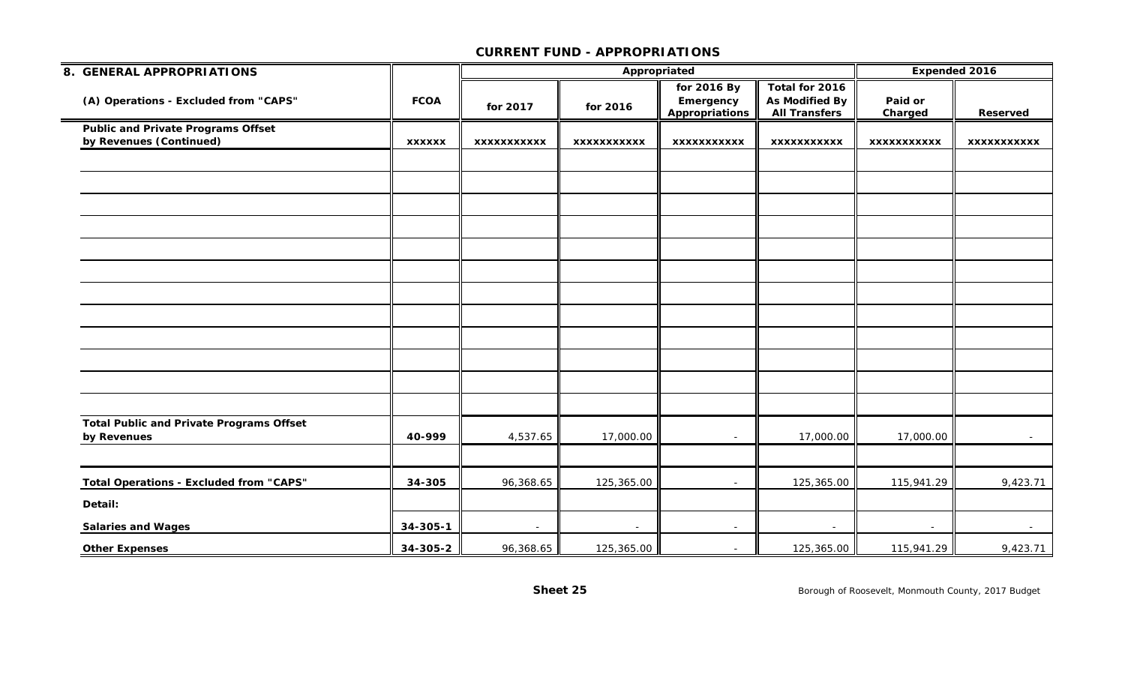| 8. GENERAL APPROPRIATIONS                                      |               |                    | Appropriated       |                                                   | Expended 2016                                                   |                    |                    |
|----------------------------------------------------------------|---------------|--------------------|--------------------|---------------------------------------------------|-----------------------------------------------------------------|--------------------|--------------------|
| (A) Operations - Excluded from "CAPS"                          | <b>FCOA</b>   | for 2017           | for 2016           | for 2016 By<br>Emergency<br><b>Appropriations</b> | Total for 2016<br><b>As Modified By</b><br><b>All Transfers</b> | Paid or<br>Charged | <b>Reserved</b>    |
| <b>Public and Private Programs Offset</b>                      |               |                    |                    |                                                   |                                                                 |                    |                    |
| by Revenues (Continued)                                        | <b>XXXXXX</b> | <b>XXXXXXXXXXX</b> | <b>XXXXXXXXXXX</b> | <b>XXXXXXXXXXX</b>                                | <b>XXXXXXXXXXX</b>                                              | <b>XXXXXXXXXXX</b> | <b>XXXXXXXXXXX</b> |
|                                                                |               |                    |                    |                                                   |                                                                 |                    |                    |
|                                                                |               |                    |                    |                                                   |                                                                 |                    |                    |
|                                                                |               |                    |                    |                                                   |                                                                 |                    |                    |
|                                                                |               |                    |                    |                                                   |                                                                 |                    |                    |
|                                                                |               |                    |                    |                                                   |                                                                 |                    |                    |
|                                                                |               |                    |                    |                                                   |                                                                 |                    |                    |
|                                                                |               |                    |                    |                                                   |                                                                 |                    |                    |
|                                                                |               |                    |                    |                                                   |                                                                 |                    |                    |
|                                                                |               |                    |                    |                                                   |                                                                 |                    |                    |
|                                                                |               |                    |                    |                                                   |                                                                 |                    |                    |
|                                                                |               |                    |                    |                                                   |                                                                 |                    |                    |
|                                                                |               |                    |                    |                                                   |                                                                 |                    |                    |
| <b>Total Public and Private Programs Offset</b><br>by Revenues | 40-999        | 4,537.65           | 17,000.00          |                                                   | 17,000.00                                                       | 17,000.00          | $\sim$ $-$         |
|                                                                |               |                    |                    |                                                   |                                                                 |                    |                    |
| <b>Total Operations - Excluded from "CAPS"</b>                 | 34-305        | 96,368.65          | 125,365.00         | $\blacksquare$                                    | 125,365.00                                                      | 115,941.29         | 9,423.71           |
| Detail:                                                        |               |                    |                    |                                                   |                                                                 |                    |                    |
| <b>Salaries and Wages</b>                                      | 34-305-1      | $\sim$             | $\sim$             | $\sim$                                            | $\overline{\phantom{a}}$                                        |                    | $\sim$             |
| <b>Other Expenses</b>                                          | 34-305-2      | 96,368.65          | 125,365.00         | $\sim$                                            | 125,365.00                                                      | 115,941.29         | 9,423.71           |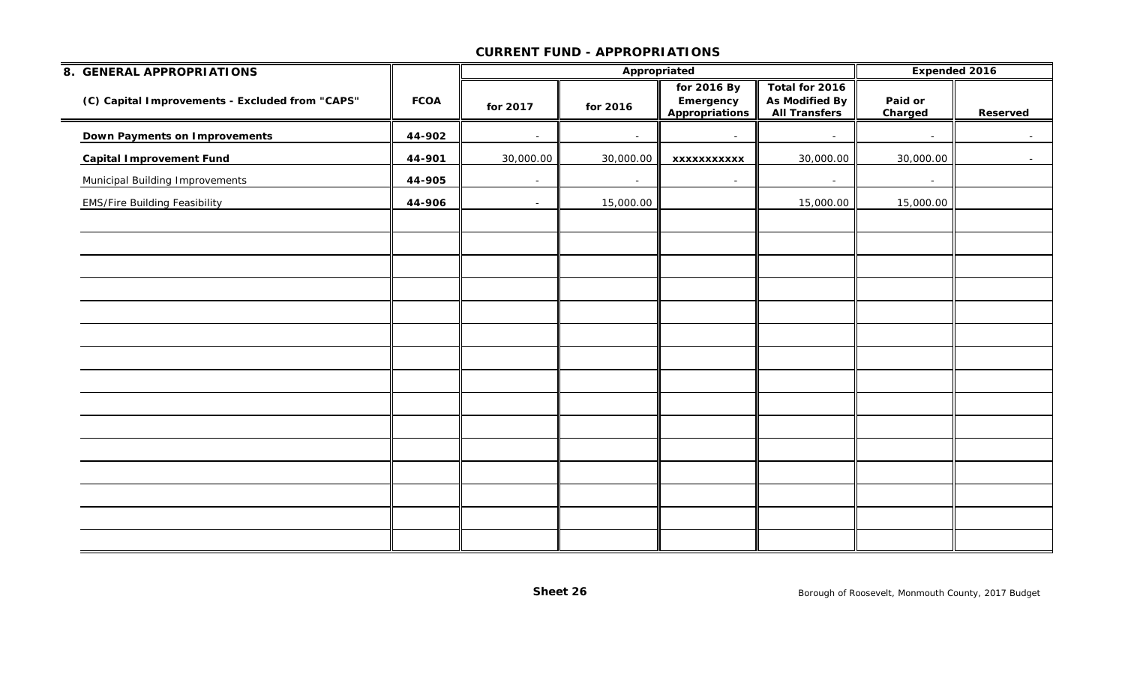| 8. GENERAL APPROPRIATIONS                       |             |           |                | Appropriated                               |                                                                 |                    | <b>Expended 2016</b> |
|-------------------------------------------------|-------------|-----------|----------------|--------------------------------------------|-----------------------------------------------------------------|--------------------|----------------------|
| (C) Capital Improvements - Excluded from "CAPS" | <b>FCOA</b> | for 2017  | for 2016       | for 2016 By<br>Emergency<br>Appropriations | Total for 2016<br><b>As Modified By</b><br><b>All Transfers</b> | Paid or<br>Charged | Reserved             |
| <b>Down Payments on Improvements</b>            | 44-902      | $\sim$    | $\overline{a}$ | $\sim$                                     | $\sim$                                                          | $\sim$             | $\sim$               |
| <b>Capital Improvement Fund</b>                 | 44-901      | 30,000.00 | 30,000.00      | XXXXXXXXXXX                                | 30,000.00                                                       | 30,000.00          | $\sim$ $-$           |
| <b>Municipal Building Improvements</b>          | 44-905      | $\sim$    | $\sim$         | $\sim$                                     | $\sim$                                                          | $\sim$             |                      |
| <b>EMS/Fire Building Feasibility</b>            | 44-906      | $\sim$    | 15,000.00      |                                            | 15,000.00                                                       | 15,000.00          |                      |
|                                                 |             |           |                |                                            |                                                                 |                    |                      |
|                                                 |             |           |                |                                            |                                                                 |                    |                      |
|                                                 |             |           |                |                                            |                                                                 |                    |                      |
|                                                 |             |           |                |                                            |                                                                 |                    |                      |
|                                                 |             |           |                |                                            |                                                                 |                    |                      |
|                                                 |             |           |                |                                            |                                                                 |                    |                      |
|                                                 |             |           |                |                                            |                                                                 |                    |                      |
|                                                 |             |           |                |                                            |                                                                 |                    |                      |
|                                                 |             |           |                |                                            |                                                                 |                    |                      |
|                                                 |             |           |                |                                            |                                                                 |                    |                      |
|                                                 |             |           |                |                                            |                                                                 |                    |                      |
|                                                 |             |           |                |                                            |                                                                 |                    |                      |
|                                                 |             |           |                |                                            |                                                                 |                    |                      |
|                                                 |             |           |                |                                            |                                                                 |                    |                      |
|                                                 |             |           |                |                                            |                                                                 |                    |                      |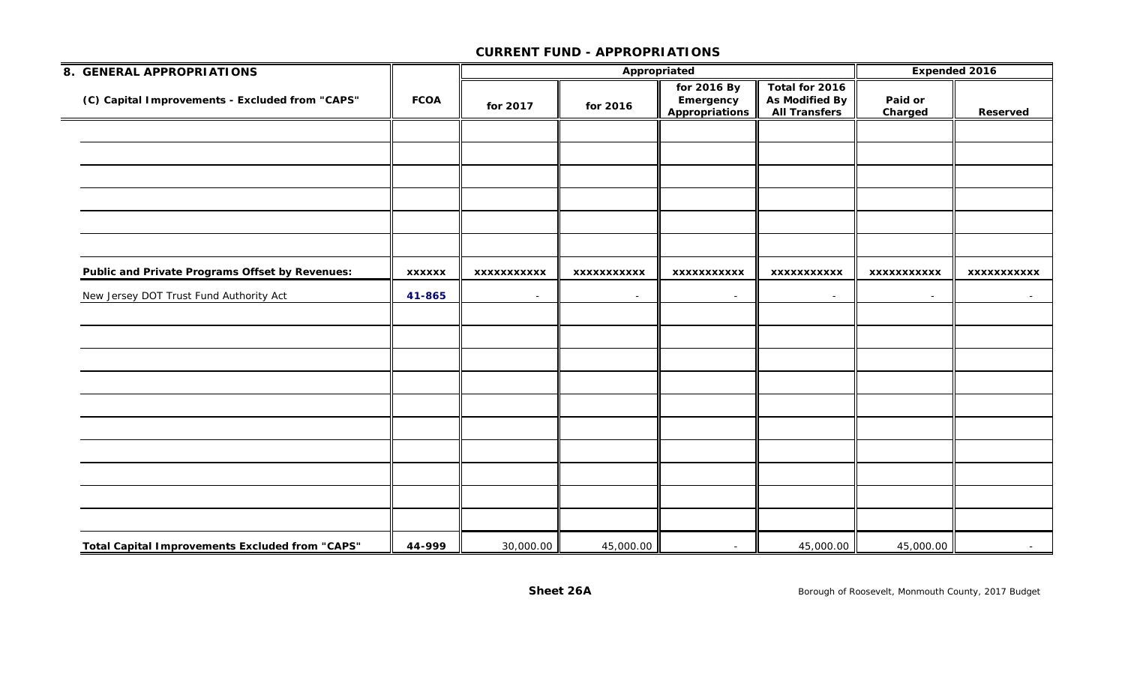| 8. GENERAL APPROPRIATIONS                              |               |                    | Appropriated       |                                            | <b>Expended 2016</b>                              |                    |                    |
|--------------------------------------------------------|---------------|--------------------|--------------------|--------------------------------------------|---------------------------------------------------|--------------------|--------------------|
| (C) Capital Improvements - Excluded from "CAPS"        | <b>FCOA</b>   | for 2017           | for 2016           | for 2016 By<br>Emergency<br>Appropriations | Total for 2016<br>As Modified By<br>All Transfers | Paid or<br>Charged | Reserved           |
|                                                        |               |                    |                    |                                            |                                                   |                    |                    |
|                                                        |               |                    |                    |                                            |                                                   |                    |                    |
|                                                        |               |                    |                    |                                            |                                                   |                    |                    |
|                                                        |               |                    |                    |                                            |                                                   |                    |                    |
|                                                        |               |                    |                    |                                            |                                                   |                    |                    |
|                                                        |               |                    |                    |                                            |                                                   |                    |                    |
| <b>Public and Private Programs Offset by Revenues:</b> | <b>XXXXXX</b> | <b>XXXXXXXXXXX</b> | <b>XXXXXXXXXXX</b> | <b>XXXXXXXXXXX</b>                         | <b>XXXXXXXXXXX</b>                                | <b>XXXXXXXXXXX</b> | <b>XXXXXXXXXXX</b> |
| New Jersey DOT Trust Fund Authority Act                | 41-865        | $\sim$ .           | $\sim$             | $\sim$ .                                   | $\sim$                                            | $\sim$             | $\sim 100$         |
|                                                        |               |                    |                    |                                            |                                                   |                    |                    |
|                                                        |               |                    |                    |                                            |                                                   |                    |                    |
|                                                        |               |                    |                    |                                            |                                                   |                    |                    |
|                                                        |               |                    |                    |                                            |                                                   |                    |                    |
|                                                        |               |                    |                    |                                            |                                                   |                    |                    |
|                                                        |               |                    |                    |                                            |                                                   |                    |                    |
|                                                        |               |                    |                    |                                            |                                                   |                    |                    |
|                                                        |               |                    |                    |                                            |                                                   |                    |                    |
|                                                        |               |                    |                    |                                            |                                                   |                    |                    |
|                                                        |               |                    |                    |                                            |                                                   |                    |                    |
| <b>Total Capital Improvements Excluded from "CAPS"</b> | 44-999        | 30,000.00          | 45,000.00          | $\sim$                                     | 45,000.00                                         | 45,000.00          | $\sim$             |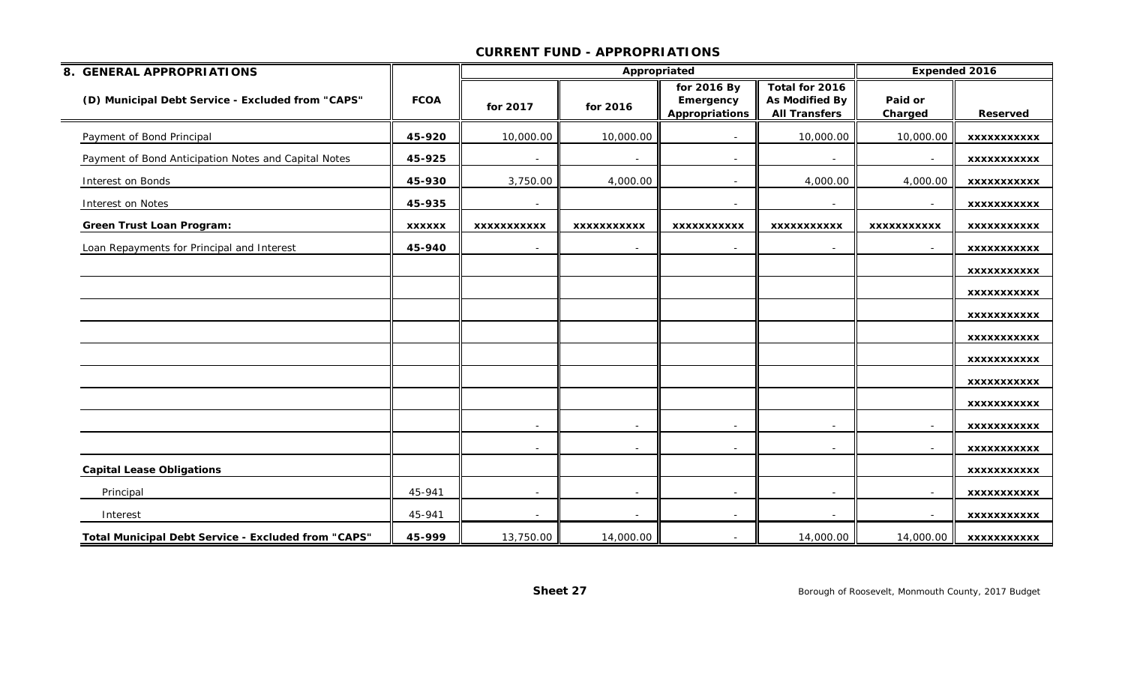| 8. GENERAL APPROPRIATIONS                            |               |                          | Appropriated             |                                                   |                                                                 |                    | <b>Expended 2016</b> |
|------------------------------------------------------|---------------|--------------------------|--------------------------|---------------------------------------------------|-----------------------------------------------------------------|--------------------|----------------------|
| (D) Municipal Debt Service - Excluded from "CAPS"    | <b>FCOA</b>   | for 2017                 | for 2016                 | for 2016 By<br>Emergency<br><b>Appropriations</b> | Total for 2016<br><b>As Modified By</b><br><b>All Transfers</b> | Paid or<br>Charged | <b>Reserved</b>      |
| Payment of Bond Principal                            | 45-920        | 10,000.00                | 10,000.00                |                                                   | 10,000.00                                                       | 10,000.00          | <b>XXXXXXXXXXX</b>   |
| Payment of Bond Anticipation Notes and Capital Notes | 45-925        | $\sim$                   | $\sim$                   | $\sim$                                            | $\overline{\phantom{a}}$                                        | $\sim$             | XXXXXXXXXXX          |
| Interest on Bonds                                    | 45-930        | 3,750.00                 | 4,000.00                 |                                                   | 4,000.00                                                        | 4,000.00           | <b>XXXXXXXXXXX</b>   |
| Interest on Notes                                    | 45-935        | $\overline{\phantom{a}}$ |                          |                                                   |                                                                 |                    | <b>XXXXXXXXXXX</b>   |
| <b>Green Trust Loan Program:</b>                     | <b>XXXXXX</b> | <b>XXXXXXXXXXX</b>       | <b>XXXXXXXXXXX</b>       | <b>XXXXXXXXXXX</b>                                | <b>XXXXXXXXXXX</b>                                              | <b>XXXXXXXXXXX</b> | <b>XXXXXXXXXXX</b>   |
| Loan Repayments for Principal and Interest           | 45-940        | $\overline{\phantom{a}}$ |                          |                                                   | $\overline{\phantom{a}}$                                        |                    | <b>XXXXXXXXXXX</b>   |
|                                                      |               |                          |                          |                                                   |                                                                 |                    | XXXXXXXXXXX          |
|                                                      |               |                          |                          |                                                   |                                                                 |                    | XXXXXXXXXXX          |
|                                                      |               |                          |                          |                                                   |                                                                 |                    | <b>XXXXXXXXXXX</b>   |
|                                                      |               |                          |                          |                                                   |                                                                 |                    | XXXXXXXXXXX          |
|                                                      |               |                          |                          |                                                   |                                                                 |                    | XXXXXXXXXXX          |
|                                                      |               |                          |                          |                                                   |                                                                 |                    | XXXXXXXXXXX          |
|                                                      |               |                          |                          |                                                   |                                                                 |                    | <b>XXXXXXXXXXX</b>   |
|                                                      |               | $\overline{\phantom{a}}$ | $\overline{\phantom{a}}$ |                                                   | $\overline{\phantom{a}}$                                        | $\sim$             | <b>XXXXXXXXXXX</b>   |
|                                                      |               | $\overline{\phantom{a}}$ |                          |                                                   |                                                                 |                    | XXXXXXXXXXX          |
| <b>Capital Lease Obligations</b>                     |               |                          |                          |                                                   |                                                                 |                    | XXXXXXXXXXX          |
| Principal                                            | 45-941        | $\sim$                   |                          |                                                   | $\overline{\phantom{a}}$                                        |                    | XXXXXXXXXXX          |
| Interest                                             | 45-941        | $\blacksquare$           |                          |                                                   |                                                                 |                    | <b>XXXXXXXXXXX</b>   |
| Total Municipal Debt Service - Excluded from "CAPS"  | 45-999        | 13,750.00                | 14,000.00                |                                                   | 14,000.00                                                       | 14,000.00          | <b>XXXXXXXXXXX</b>   |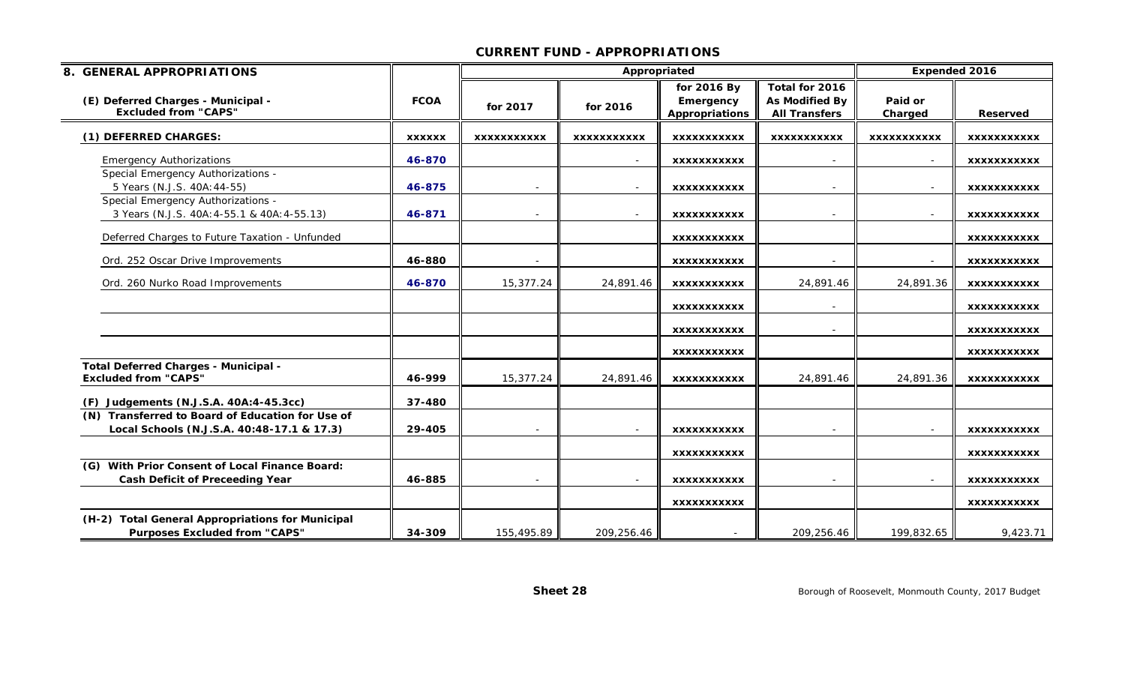| 8. GENERAL APPROPRIATIONS                                                                      |               |                          | Appropriated       |                                            | <b>Expended 2016</b>                                            |                    |                    |
|------------------------------------------------------------------------------------------------|---------------|--------------------------|--------------------|--------------------------------------------|-----------------------------------------------------------------|--------------------|--------------------|
| (E) Deferred Charges - Municipal -<br><b>Excluded from "CAPS"</b>                              | <b>FCOA</b>   | for 2017                 | for 2016           | for 2016 By<br>Emergency<br>Appropriations | Total for 2016<br><b>As Modified By</b><br><b>All Transfers</b> | Paid or<br>Charged | <b>Reserved</b>    |
| (1) DEFERRED CHARGES:                                                                          | <b>XXXXXX</b> | <b>XXXXXXXXXXX</b>       | <b>XXXXXXXXXXX</b> | <b>XXXXXXXXXXX</b>                         | <b>XXXXXXXXXXX</b>                                              | <b>XXXXXXXXXXX</b> | <b>XXXXXXXXXXX</b> |
| <b>Emergency Authorizations</b>                                                                | 46-870        |                          |                    | <b>XXXXXXXXXXX</b>                         |                                                                 |                    | <b>XXXXXXXXXXX</b> |
| Special Emergency Authorizations -<br>5 Years (N.J.S. 40A: 44-55)                              | 46-875        | $\overline{\phantom{a}}$ |                    | <b>XXXXXXXXXXX</b>                         | $\overline{\phantom{a}}$                                        | $\sim$             | <b>XXXXXXXXXXX</b> |
| Special Emergency Authorizations -<br>3 Years (N.J.S. 40A: 4-55.1 & 40A: 4-55.13)              | 46-871        |                          |                    | <b>XXXXXXXXXXX</b>                         |                                                                 |                    | <b>XXXXXXXXXXX</b> |
| Deferred Charges to Future Taxation - Unfunded                                                 |               |                          |                    | <b>XXXXXXXXXXX</b>                         |                                                                 |                    | <b>XXXXXXXXXXX</b> |
| Ord. 252 Oscar Drive Improvements                                                              | 46-880        |                          |                    | <b>XXXXXXXXXXX</b>                         |                                                                 |                    | XXXXXXXXXXX        |
| Ord. 260 Nurko Road Improvements                                                               | 46-870        | 15,377.24                | 24,891.46          | <b>XXXXXXXXXXX</b>                         | 24,891.46                                                       | 24,891.36          | <b>XXXXXXXXXXX</b> |
|                                                                                                |               |                          |                    | <b>XXXXXXXXXXX</b>                         |                                                                 |                    | <b>XXXXXXXXXXX</b> |
|                                                                                                |               |                          |                    | <b>XXXXXXXXXXX</b>                         |                                                                 |                    | <b>XXXXXXXXXXX</b> |
|                                                                                                |               |                          |                    | <b>XXXXXXXXXXX</b>                         |                                                                 |                    | <b>XXXXXXXXXXX</b> |
| Total Deferred Charges - Municipal -<br><b>Excluded from "CAPS"</b>                            | 46-999        | 15,377.24                | 24,891.46          | <b>XXXXXXXXXXX</b>                         | 24,891.46                                                       | 24,891.36          | <b>XXXXXXXXXXX</b> |
| Judgements (N.J.S.A. 40A:4-45.3cc)<br>(F)                                                      | 37-480        |                          |                    |                                            |                                                                 |                    |                    |
| (N) Transferred to Board of Education for Use of<br>Local Schools (N.J.S.A. 40:48-17.1 & 17.3) | 29-405        | $\overline{\phantom{a}}$ | $\sim$             | <b>XXXXXXXXXXX</b>                         | $\overline{\phantom{a}}$                                        | $\sim$             | XXXXXXXXXXX        |
|                                                                                                |               |                          |                    | <b>XXXXXXXXXXX</b>                         |                                                                 |                    | <b>XXXXXXXXXXX</b> |
| (G) With Prior Consent of Local Finance Board:<br><b>Cash Deficit of Preceeding Year</b>       | 46-885        |                          |                    | <b>XXXXXXXXXXX</b>                         |                                                                 |                    | <b>XXXXXXXXXXX</b> |
|                                                                                                |               |                          |                    | <b>XXXXXXXXXXX</b>                         |                                                                 |                    | <b>XXXXXXXXXXX</b> |
| (H-2) Total General Appropriations for Municipal<br><b>Purposes Excluded from "CAPS"</b>       | 34-309        | 155,495.89               | 209,256.46         |                                            | 209,256.46                                                      | 199,832.65         | 9,423.71           |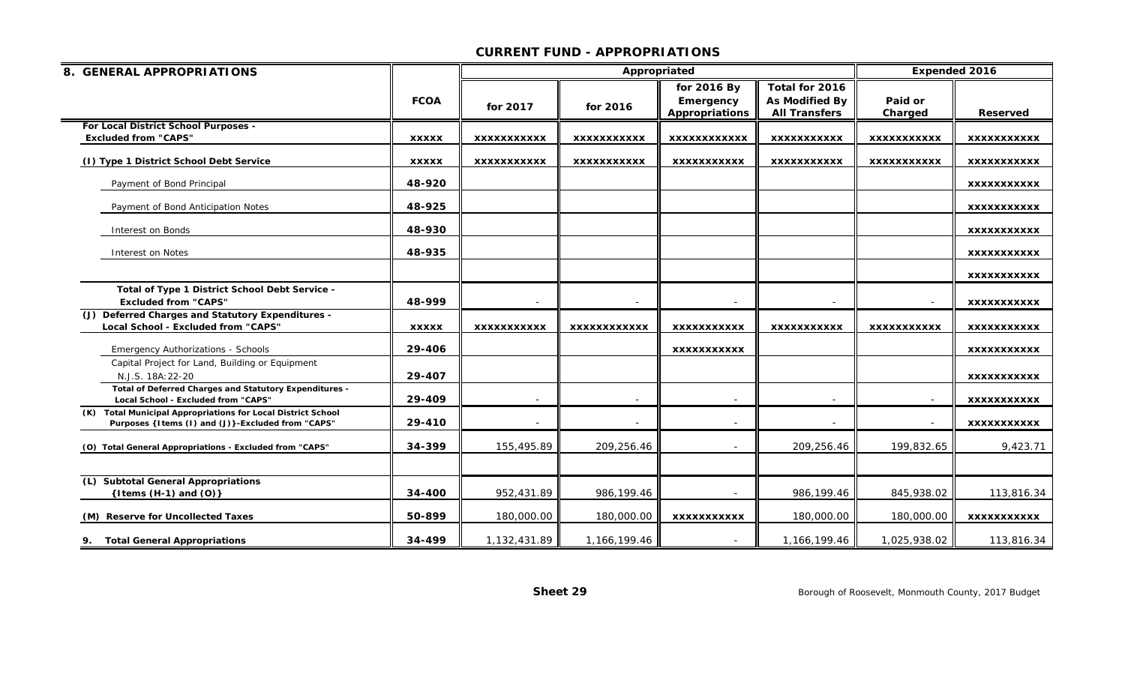| 8. GENERAL APPROPRIATIONS                                                                                         |              |                          |                     | Appropriated        |                       | <b>Expended 2016</b> |                    |
|-------------------------------------------------------------------------------------------------------------------|--------------|--------------------------|---------------------|---------------------|-----------------------|----------------------|--------------------|
|                                                                                                                   |              |                          |                     | for 2016 By         | Total for 2016        |                      |                    |
|                                                                                                                   | <b>FCOA</b>  | for 2017                 | for 2016            | Emergency           | <b>As Modified By</b> | Paid or              |                    |
|                                                                                                                   |              |                          |                     | Appropriations      | <b>All Transfers</b>  | Charged              | Reserved           |
| For Local District School Purposes -<br><b>Excluded from "CAPS"</b>                                               | <b>XXXXX</b> | <b>XXXXXXXXXXX</b>       | <b>XXXXXXXXXXX</b>  | <b>XXXXXXXXXXXX</b> | <b>XXXXXXXXXXX</b>    | <b>XXXXXXXXXXX</b>   | <b>XXXXXXXXXXX</b> |
|                                                                                                                   |              |                          |                     |                     |                       |                      |                    |
| (I) Type 1 District School Debt Service                                                                           | <b>XXXXX</b> | <b>XXXXXXXXXXX</b>       | <b>XXXXXXXXXXX</b>  | <b>XXXXXXXXXXX</b>  | <b>XXXXXXXXXXX</b>    | <b>XXXXXXXXXXX</b>   | <b>XXXXXXXXXXX</b> |
| Payment of Bond Principal                                                                                         | 48-920       |                          |                     |                     |                       |                      | <b>XXXXXXXXXXX</b> |
| Payment of Bond Anticipation Notes                                                                                | 48-925       |                          |                     |                     |                       |                      | <b>XXXXXXXXXXX</b> |
| Interest on Bonds                                                                                                 | 48-930       |                          |                     |                     |                       |                      | <b>XXXXXXXXXXX</b> |
| Interest on Notes                                                                                                 | 48-935       |                          |                     |                     |                       |                      | <b>XXXXXXXXXXX</b> |
|                                                                                                                   |              |                          |                     |                     |                       |                      | <b>XXXXXXXXXXX</b> |
| Total of Type 1 District School Debt Service -<br><b>Excluded from "CAPS"</b>                                     | 48-999       |                          |                     |                     |                       |                      | <b>XXXXXXXXXXX</b> |
| (J) Deferred Charges and Statutory Expenditures -<br>Local School - Excluded from "CAPS"                          | <b>XXXXX</b> | <b>XXXXXXXXXXX</b>       | <b>XXXXXXXXXXXX</b> | <b>XXXXXXXXXXX</b>  | <b>XXXXXXXXXXX</b>    | <b>XXXXXXXXXXX</b>   | <b>XXXXXXXXXXX</b> |
|                                                                                                                   |              |                          |                     |                     |                       |                      |                    |
| <b>Emergency Authorizations - Schools</b>                                                                         | 29-406       |                          |                     | <b>XXXXXXXXXXX</b>  |                       |                      | <b>XXXXXXXXXXX</b> |
| Capital Project for Land, Building or Equipment<br>N.J.S. 18A: 22-20                                              | 29-407       |                          |                     |                     |                       |                      | <b>XXXXXXXXXXX</b> |
| Total of Deferred Charges and Statutory Expenditures -<br>Local School - Excluded from "CAPS"                     | 29-409       | $\overline{\phantom{a}}$ |                     |                     |                       |                      | <b>XXXXXXXXXXX</b> |
| (K) Total Municipal Appropriations for Local District School<br>Purposes {Items (I) and (J)}-Excluded from "CAPS" | 29-410       | $\sim$                   |                     |                     |                       |                      | <b>XXXXXXXXXXX</b> |
| (O) Total General Appropriations - Excluded from "CAPS"                                                           | 34-399       | 155,495.89               | 209,256.46          |                     | 209,256.46            | 199,832.65           | 9,423.71           |
|                                                                                                                   |              |                          |                     |                     |                       |                      |                    |
| <b>Subtotal General Appropriations</b><br>{Items $(H-1)$ and $(O)$ }                                              | 34-400       | 952,431.89               | 986,199.46          |                     | 986,199.46            | 845,938.02           | 113,816.34         |
|                                                                                                                   |              |                          |                     |                     |                       |                      |                    |
| (M) Reserve for Uncollected Taxes                                                                                 | 50-899       | 180,000.00               | 180,000.00          | <b>XXXXXXXXXXX</b>  | 180,000.00            | 180,000.00           | <b>XXXXXXXXXXX</b> |
| <b>Total General Appropriations</b><br>9.                                                                         | 34-499       | 1,132,431.89             | 1,166,199.46        |                     | 1,166,199.46          | 1,025,938.02         | 113,816.34         |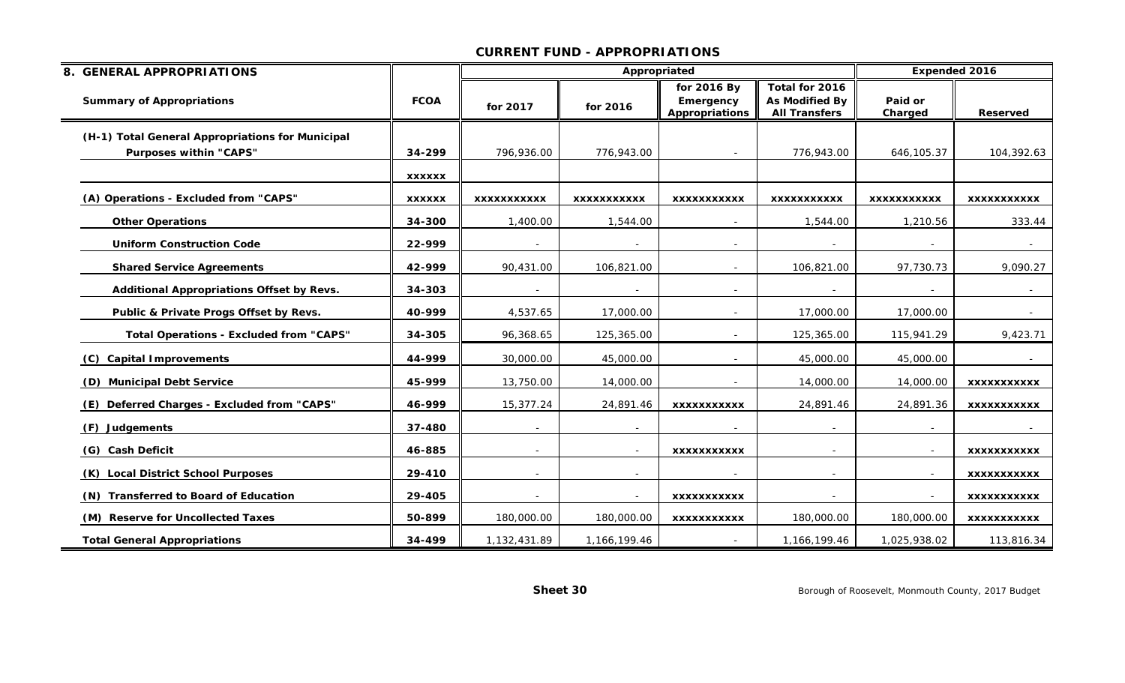| 8. GENERAL APPROPRIATIONS                        |               |                    | Appropriated       |                                            |                                                          | <b>Expended 2016</b> |                    |
|--------------------------------------------------|---------------|--------------------|--------------------|--------------------------------------------|----------------------------------------------------------|----------------------|--------------------|
| <b>Summary of Appropriations</b>                 | <b>FCOA</b>   | for 2017           | for 2016           | for 2016 By<br>Emergency<br>Appropriations | Total for 2016<br>As Modified By<br><b>All Transfers</b> | Paid or<br>Charged   | <b>Reserved</b>    |
| (H-1) Total General Appropriations for Municipal |               |                    |                    |                                            |                                                          |                      |                    |
| <b>Purposes within "CAPS"</b>                    | 34-299        | 796,936.00         | 776,943.00         |                                            | 776,943.00                                               | 646,105.37           | 104,392.63         |
|                                                  | <b>XXXXXX</b> |                    |                    |                                            |                                                          |                      |                    |
| (A) Operations - Excluded from "CAPS"            | <b>XXXXXX</b> | <b>XXXXXXXXXXX</b> | <b>XXXXXXXXXXX</b> | <b>XXXXXXXXXXX</b>                         | <b>XXXXXXXXXXX</b>                                       | <b>XXXXXXXXXXX</b>   | <b>XXXXXXXXXXX</b> |
| <b>Other Operations</b>                          | 34-300        | 1,400.00           | 1,544.00           |                                            | 1,544.00                                                 | 1,210.56             | 333.44             |
| <b>Uniform Construction Code</b>                 | 22-999        |                    |                    |                                            |                                                          |                      | $\sim$             |
| <b>Shared Service Agreements</b>                 | 42-999        | 90,431.00          | 106,821.00         |                                            | 106,821.00                                               | 97,730.73            | 9,090.27           |
| Additional Appropriations Offset by Revs.        | 34-303        |                    |                    |                                            |                                                          |                      |                    |
| Public & Private Progs Offset by Revs.           | 40-999        | 4,537.65           | 17,000.00          |                                            | 17,000.00                                                | 17,000.00            | $\sim$             |
| <b>Total Operations - Excluded from "CAPS"</b>   | 34-305        | 96,368.65          | 125,365.00         |                                            | 125,365.00                                               | 115,941.29           | 9,423.71           |
| (C) Capital Improvements                         | 44-999        | 30,000.00          | 45,000.00          |                                            | 45,000.00                                                | 45,000.00            |                    |
| (D) Municipal Debt Service                       | 45-999        | 13,750.00          | 14,000.00          |                                            | 14,000.00                                                | 14,000.00            | <b>XXXXXXXXXXX</b> |
| (E) Deferred Charges - Excluded from "CAPS"      | 46-999        | 15,377.24          | 24,891.46          | <b>XXXXXXXXXXX</b>                         | 24,891.46                                                | 24,891.36            | <b>XXXXXXXXXXX</b> |
| (F) Judgements                                   | 37-480        |                    |                    |                                            |                                                          |                      |                    |
| (G) Cash Deficit                                 | 46-885        | $\sim$             |                    | <b>XXXXXXXXXXX</b>                         | $\sim$                                                   |                      | <b>XXXXXXXXXXX</b> |
| (K) Local District School Purposes               | 29-410        | $\sim$             |                    |                                            | $\sim$                                                   |                      | <b>XXXXXXXXXXX</b> |
| (N) Transferred to Board of Education            | 29-405        |                    |                    | <b>XXXXXXXXXXX</b>                         |                                                          |                      | <b>XXXXXXXXXXX</b> |
| (M) Reserve for Uncollected Taxes                | 50-899        | 180,000.00         | 180,000.00         | <b>XXXXXXXXXXX</b>                         | 180,000.00                                               | 180,000.00           | <b>XXXXXXXXXXX</b> |
| <b>Total General Appropriations</b>              | 34-499        | 1,132,431.89       | 1,166,199.46       |                                            | 1,166,199.46                                             | 1,025,938.02         | 113,816.34         |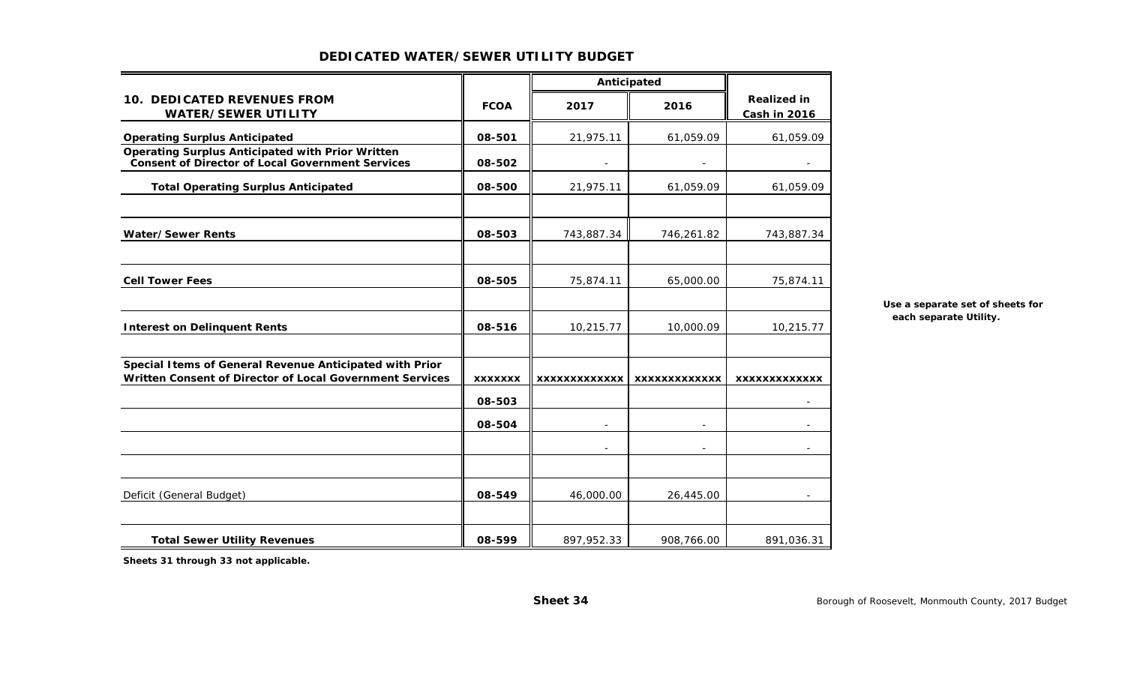|                                                                                                                      |                | Anticipated              |               |                                           |
|----------------------------------------------------------------------------------------------------------------------|----------------|--------------------------|---------------|-------------------------------------------|
| <b>10. DEDICATED REVENUES FROM</b><br><b>WATER/SEWER UTILITY</b>                                                     | <b>FCOA</b>    | 2017                     | 2016          | <b>Realized in</b><br><b>Cash in 2016</b> |
| <b>Operating Surplus Anticipated</b>                                                                                 | 08-501         | 21,975.11                | 61,059.09     | 61,059.09                                 |
| <b>Operating Surplus Anticipated with Prior Written</b><br><b>Consent of Director of Local Government Services</b>   | 08-502         |                          |               |                                           |
| <b>Total Operating Surplus Anticipated</b>                                                                           | 08-500         | 21,975.11                | 61,059.09     | 61,059.09                                 |
|                                                                                                                      |                |                          |               |                                           |
| <b>Water/Sewer Rents</b>                                                                                             | 08-503         | 743,887.34               | 746,261.82    | 743,887.34                                |
| <b>Cell Tower Fees</b>                                                                                               | 08-505         | 75,874.11                | 65,000.00     | 75,874.11                                 |
| <b>Interest on Delinquent Rents</b>                                                                                  | 08-516         | 10,215.77                | 10,000.09     | 10,215.77                                 |
| Special I tems of General Revenue Anticipated with Prior<br>Written Consent of Director of Local Government Services | <b>XXXXXXX</b> | XXXXXXXXXXXXX            | XXXXXXXXXXXXX | <b>XXXXXXXXXXXXX</b>                      |
|                                                                                                                      | 08-503         |                          |               | $\overline{\phantom{a}}$                  |
|                                                                                                                      | 08-504         | $\overline{\phantom{a}}$ |               |                                           |
|                                                                                                                      |                |                          |               |                                           |
| Deficit (General Budget)                                                                                             | 08-549         | 46,000.00                | 26,445.00     |                                           |
| <b>Total Sewer Utility Revenues</b>                                                                                  | 08-599         | 897,952.33               | 908,766.00    | 891,036.31                                |

## **DEDICATED WATER/SEWER UTILITY BUDGET**

**Use a separate set of sheets for each separate Utility.**

**Sheets 31 through 33 not applicable.**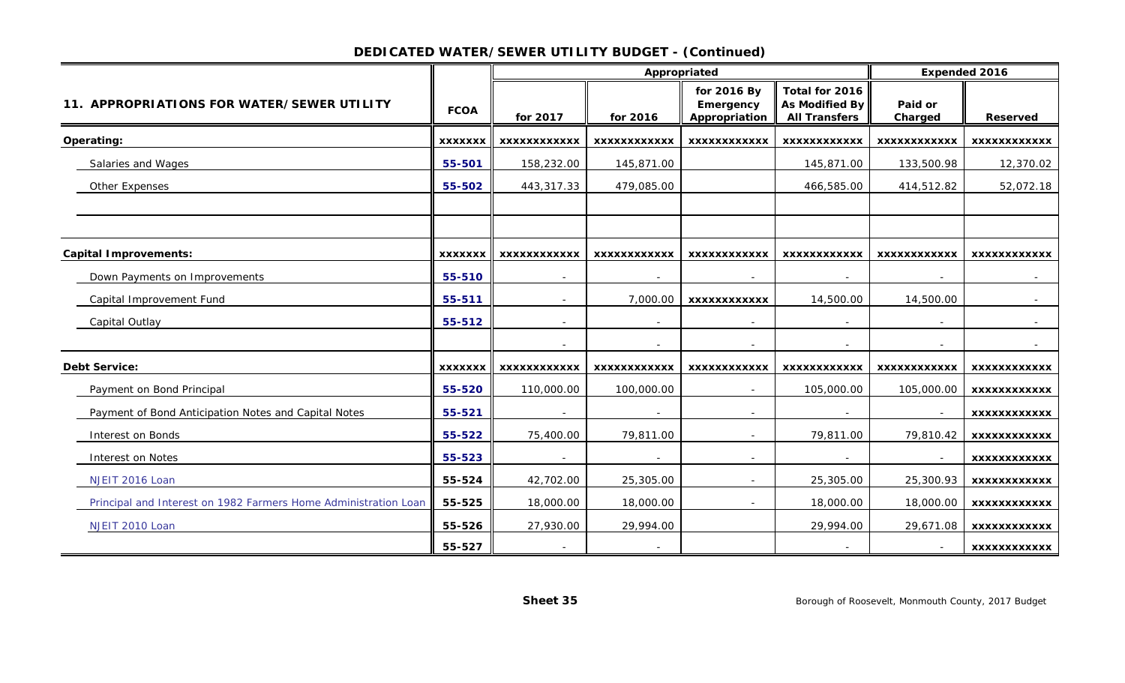## **DEDICATED WATER/SEWER UTILITY BUDGET - (Continued)**

|                                                                 |                |                          | Appropriated        |                                           |                                                                 | <b>Expended 2016</b> |                     |
|-----------------------------------------------------------------|----------------|--------------------------|---------------------|-------------------------------------------|-----------------------------------------------------------------|----------------------|---------------------|
| 11. APPROPRIATIONS FOR WATER/SEWER UTILITY                      | <b>FCOA</b>    | for 2017                 | for 2016            | for 2016 By<br>Emergency<br>Appropriation | Total for 2016<br><b>As Modified By</b><br><b>All Transfers</b> | Paid or<br>Charged   | <b>Reserved</b>     |
| Operating:                                                      | <b>XXXXXXX</b> | XXXXXXXXXXXX             | <b>XXXXXXXXXXXX</b> | <b>XXXXXXXXXXXX</b>                       | <b>XXXXXXXXXXXX</b>                                             | XXXXXXXXXXXX         | <b>XXXXXXXXXXXX</b> |
| Salaries and Wages                                              | 55-501         | 158,232.00               | 145,871.00          |                                           | 145,871.00                                                      | 133,500.98           | 12,370.02           |
| Other Expenses                                                  | 55-502         | 443,317.33               | 479,085.00          |                                           | 466,585.00                                                      | 414,512.82           | 52,072.18           |
|                                                                 |                |                          |                     |                                           |                                                                 |                      |                     |
| <b>Capital Improvements:</b>                                    | <b>XXXXXXX</b> | <b>XXXXXXXXXXXX</b>      | <b>XXXXXXXXXXXX</b> | <b>XXXXXXXXXXXX</b>                       | <b>XXXXXXXXXXXX</b>                                             | <b>XXXXXXXXXXXX</b>  | <b>XXXXXXXXXXXX</b> |
| Down Payments on Improvements                                   | 55-510         | $\sim$                   | $\sim$              | $\sim$                                    | $\sim$                                                          | $\sim$               | $\sim$              |
| Capital Improvement Fund                                        | 55-511         |                          | 7,000.00            | <b>XXXXXXXXXXXX</b>                       | 14,500.00                                                       | 14,500.00            |                     |
| Capital Outlay                                                  | 55-512         |                          | $\sim$              |                                           |                                                                 |                      |                     |
|                                                                 |                |                          |                     |                                           |                                                                 |                      |                     |
| <b>Debt Service:</b>                                            | <b>XXXXXXX</b> | <b>XXXXXXXXXXXX</b>      | XXXXXXXXXXXX        | <b>XXXXXXXXXXXX</b>                       | <b>XXXXXXXXXXXX</b>                                             | XXXXXXXXXXXX         | XXXXXXXXXXXX        |
| Payment on Bond Principal                                       | 55-520         | 110,000.00               | 100,000.00          |                                           | 105,000.00                                                      | 105,000.00           | <b>XXXXXXXXXXXX</b> |
| Payment of Bond Anticipation Notes and Capital Notes            | 55-521         |                          |                     |                                           |                                                                 |                      | <b>XXXXXXXXXXXX</b> |
| Interest on Bonds                                               | 55-522         | 75,400.00                | 79,811.00           | $\sim$                                    | 79,811.00                                                       | 79,810.42            | <b>XXXXXXXXXXXX</b> |
| Interest on Notes                                               | 55-523         |                          |                     |                                           |                                                                 |                      | <b>XXXXXXXXXXXX</b> |
| NJEIT 2016 Loan                                                 | 55-524         | 42,702.00                | 25,305.00           | $\sim$                                    | 25,305.00                                                       | 25,300.93            | XXXXXXXXXXXX        |
| Principal and Interest on 1982 Farmers Home Administration Loan | 55-525         | 18,000.00                | 18,000.00           |                                           | 18,000.00                                                       | 18,000.00            | <b>XXXXXXXXXXXX</b> |
| NJEIT 2010 Loan                                                 | 55-526         | 27,930.00                | 29,994.00           |                                           | 29,994.00                                                       | 29,671.08            | <b>XXXXXXXXXXXX</b> |
|                                                                 | 55-527         | $\overline{\phantom{a}}$ |                     |                                           | $\sim$                                                          |                      | XXXXXXXXXXXX        |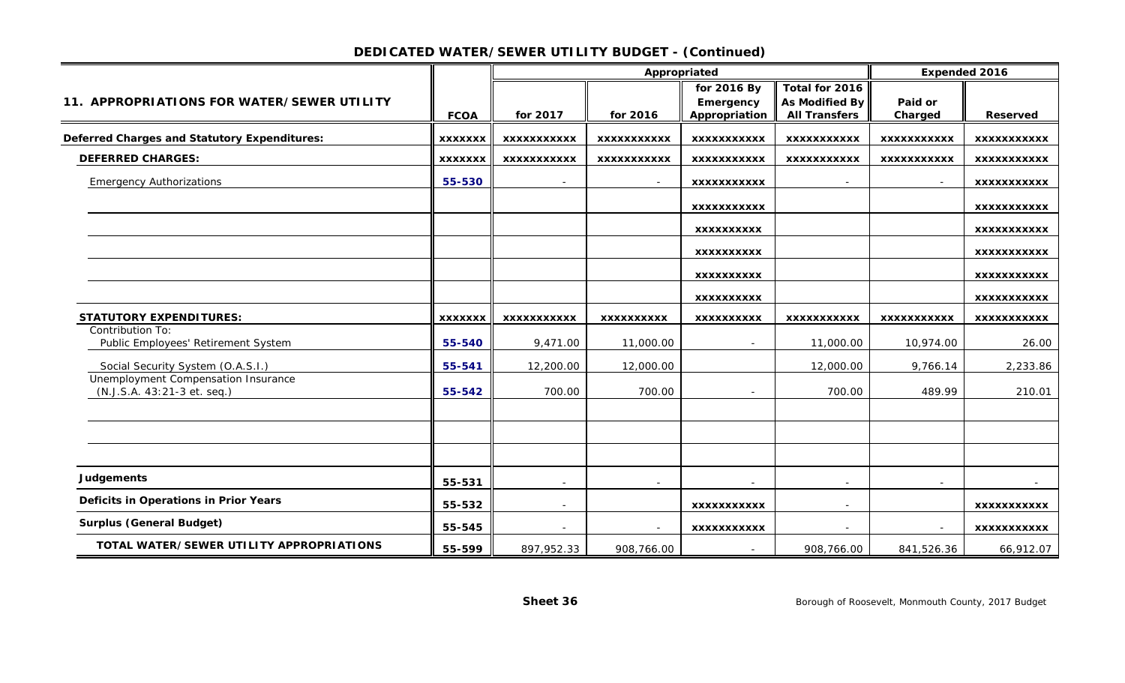## **DEDICATED WATER/SEWER UTILITY BUDGET - (Continued)**

|                                                         |                |                    | Appropriated       |                            |                                               | <b>Expended 2016</b> |                    |
|---------------------------------------------------------|----------------|--------------------|--------------------|----------------------------|-----------------------------------------------|----------------------|--------------------|
|                                                         |                |                    |                    | for 2016 By                | Total for 2016                                |                      |                    |
| 11. APPROPRIATIONS FOR WATER/SEWER UTILITY              | <b>FCOA</b>    | for 2017           | for 2016           | Emergency<br>Appropriation | <b>As Modified By</b><br><b>All Transfers</b> | Paid or<br>Charged   | <b>Reserved</b>    |
|                                                         |                |                    |                    |                            |                                               |                      |                    |
| <b>Deferred Charges and Statutory Expenditures:</b>     | <b>XXXXXXX</b> | <b>XXXXXXXXXXX</b> | <b>XXXXXXXXXXX</b> | <b>XXXXXXXXXXX</b>         | <b>XXXXXXXXXXX</b>                            | <b>XXXXXXXXXXX</b>   | <b>XXXXXXXXXXX</b> |
| <b>DEFERRED CHARGES:</b>                                | <b>XXXXXXX</b> | XXXXXXXXXXX        | <b>XXXXXXXXXXX</b> | <b>XXXXXXXXXXX</b>         | <b>XXXXXXXXXXX</b>                            | <b>XXXXXXXXXXX</b>   | <b>XXXXXXXXXXX</b> |
| <b>Emergency Authorizations</b>                         | 55-530         | $\sim$             | $\sim$             | <b>XXXXXXXXXXX</b>         | $\sim$                                        | $\sim$               | <b>XXXXXXXXXXX</b> |
|                                                         |                |                    |                    | <b>XXXXXXXXXXX</b>         |                                               |                      | <b>XXXXXXXXXXX</b> |
|                                                         |                |                    |                    | <b>XXXXXXXXXX</b>          |                                               |                      | <b>XXXXXXXXXXX</b> |
|                                                         |                |                    |                    | <b>XXXXXXXXXX</b>          |                                               |                      | <b>XXXXXXXXXXX</b> |
|                                                         |                |                    |                    | <b>XXXXXXXXXX</b>          |                                               |                      | XXXXXXXXXXX        |
|                                                         |                |                    |                    | <b>XXXXXXXXXX</b>          |                                               |                      | <b>XXXXXXXXXXX</b> |
| <b>STATUTORY EXPENDITURES:</b>                          | <b>XXXXXXX</b> | <b>XXXXXXXXXXX</b> | <b>XXXXXXXXXX</b>  | <b>XXXXXXXXXX</b>          | <b>XXXXXXXXXXX</b>                            | <b>XXXXXXXXXXX</b>   | <b>XXXXXXXXXXX</b> |
| Contribution To:<br>Public Employees' Retirement System | 55-540         | 9,471.00           | 11,000.00          |                            | 11,000.00                                     | 10,974.00            | 26.00              |
| Social Security System (O.A.S.I.)                       | 55-541         | 12,200.00          | 12,000.00          |                            | 12,000.00                                     | 9,766.14             | 2,233.86           |
| Unemployment Compensation Insurance                     |                |                    |                    |                            |                                               |                      |                    |
| (N.J.S.A. 43:21-3 et. seq.)                             | 55-542         | 700.00             | 700.00             |                            | 700.00                                        | 489.99               | 210.01             |
|                                                         |                |                    |                    |                            |                                               |                      |                    |
|                                                         |                |                    |                    |                            |                                               |                      |                    |
| <b>Judgements</b>                                       | 55-531         | $\sim$             | $\sim$             | $\overline{\phantom{a}}$   | $\sim$                                        |                      | $\sim$             |
| Deficits in Operations in Prior Years                   | 55-532         |                    |                    | <b>XXXXXXXXXXX</b>         |                                               |                      | <b>XXXXXXXXXXX</b> |
| <b>Surplus (General Budget)</b>                         | 55-545         |                    |                    | <b>XXXXXXXXXXX</b>         |                                               |                      | <b>XXXXXXXXXXX</b> |
| TOTAL WATER/SEWER UTILITY APPROPRIATIONS                | 55-599         | 897,952.33         | 908,766.00         | $\sim$                     | 908,766.00                                    | 841,526.36           | 66,912.07          |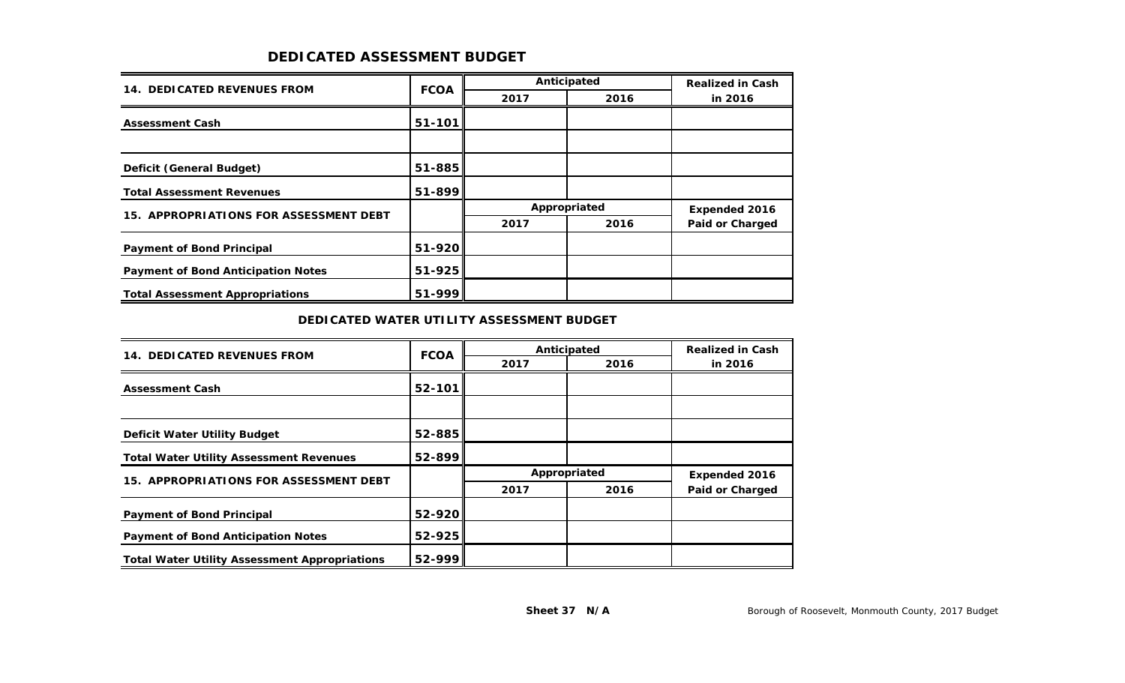## **DEDICATED ASSESSMENT BUDGET**

| <b>14. DEDICATED REVENUES FROM</b>        | <b>FCOA</b> |      | Anticipated  | <b>Realized in Cash</b> |
|-------------------------------------------|-------------|------|--------------|-------------------------|
|                                           |             | 2017 | 2016         | in 2016                 |
| <b>Assessment Cash</b>                    | 51-101      |      |              |                         |
|                                           |             |      |              |                         |
| Deficit (General Budget)                  | $51 - 885$  |      |              |                         |
| <b>Total Assessment Revenues</b>          | 51-899      |      |              |                         |
| 15. APPROPRIATIONS FOR ASSESSMENT DEBT    |             |      | Appropriated | <b>Expended 2016</b>    |
|                                           |             | 2017 | 2016         | <b>Paid or Charged</b>  |
| <b>Payment of Bond Principal</b>          | 51-920      |      |              |                         |
| <b>Payment of Bond Anticipation Notes</b> | 51-925      |      |              |                         |
| <b>Total Assessment Appropriations</b>    | 51-999      |      |              |                         |

#### **DEDICATED WATER UTILITY ASSESSMENT BUDGET**

| <b>14. DEDICATED REVENUES FROM</b>                   | <b>FCOA</b> | Anticipated | <b>Realized in Cash</b> |                        |  |
|------------------------------------------------------|-------------|-------------|-------------------------|------------------------|--|
|                                                      |             | 2017        | 2016                    | in 2016                |  |
| <b>Assessment Cash</b>                               | 52-101      |             |                         |                        |  |
|                                                      |             |             |                         |                        |  |
| <b>Deficit Water Utility Budget</b>                  | $52 - 885$  |             |                         |                        |  |
| <b>Total Water Utility Assessment Revenues</b>       | 52-899      |             |                         |                        |  |
| 15. APPROPRIATIONS FOR ASSESSMENT DEBT               |             |             | Appropriated            |                        |  |
|                                                      |             | 2017        | 2016                    | <b>Paid or Charged</b> |  |
| <b>Payment of Bond Principal</b>                     | 52-920      |             |                         |                        |  |
| <b>Payment of Bond Anticipation Notes</b>            | $52 - 925$  |             |                         |                        |  |
| <b>Total Water Utility Assessment Appropriations</b> | 52-999      |             |                         |                        |  |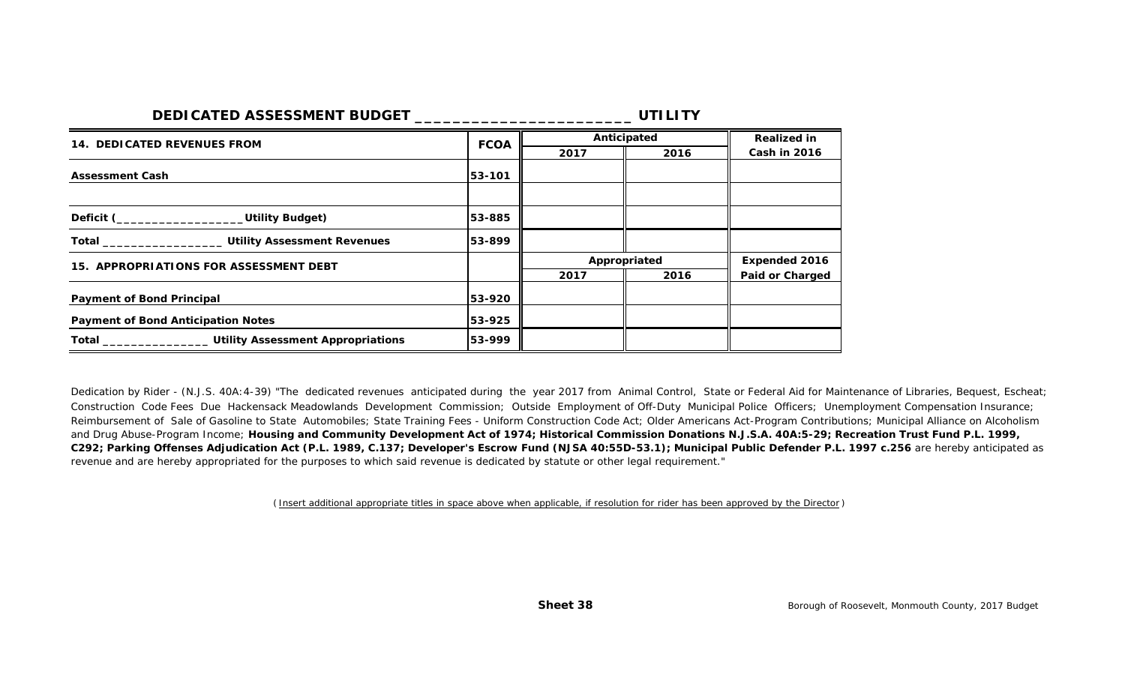| <b>DEDICATED ASSESSMENT BUDGET</b>                                 |             |              | UTILITY            |                        |
|--------------------------------------------------------------------|-------------|--------------|--------------------|------------------------|
| <b>14. DEDICATED REVENUES FROM</b>                                 | <b>FCOA</b> | Anticipated  | <b>Realized in</b> |                        |
|                                                                    |             | 2017         | 2016               | <b>Cash in 2016</b>    |
| <b>Assessment Cash</b>                                             | 53-101      |              |                    |                        |
| Deficit (____________________Utility Budget)                       | 53-885      |              |                    |                        |
| Total ________________________ Utility Assessment Revenues         | 53-899      |              |                    |                        |
| 15. APPROPRIATIONS FOR ASSESSMENT DEBT                             |             | Appropriated |                    | <b>Expended 2016</b>   |
|                                                                    |             | 2017         | 2016               | <b>Paid or Charged</b> |
| <b>Payment of Bond Principal</b>                                   | 53-920      |              |                    |                        |
| <b>Payment of Bond Anticipation Notes</b>                          | 53-925      |              |                    |                        |
| Total __________________________ Utility Assessment Appropriations | 53-999      |              |                    |                        |

Dedication by Rider - (N.J.S. 40A:4-39) "The dedicated revenues anticipated during the year 2017 from Animal Control, State or Federal Aid for Maintenance of Libraries, Bequest, Escheat; and Drug Abuse-Program Income; **Housing and Community Development Act of 1974; Historical Commission Donations N.J.S.A. 40A:5-29; Recreation Trust Fund P.L. 1999, C292; Parking Offenses Adjudication Act (P.L. 1989, C.137; Developer's Escrow Fund (NJSA 40:55D-53.1); Municipal Public Defender P.L. 1997 c.256** are hereby anticipated as revenue and are hereby appropriated for the purposes to which said revenue is dedicated by statute or other legal requirement." Construction Code Fees Due Hackensack Meadowlands Development Commission; Outside Employment of Off-Duty Municipal Police Officers; Unemployment Compensation Insurance; Reimbursement of Sale of Gasoline to State Automobiles; State Training Fees - Uniform Construction Code Act; Older Americans Act-Program Contributions; Municipal Alliance on Alcoholism

*( Insert additional appropriate titles in space above when applicable, if resolution for rider has been approved by the Director )*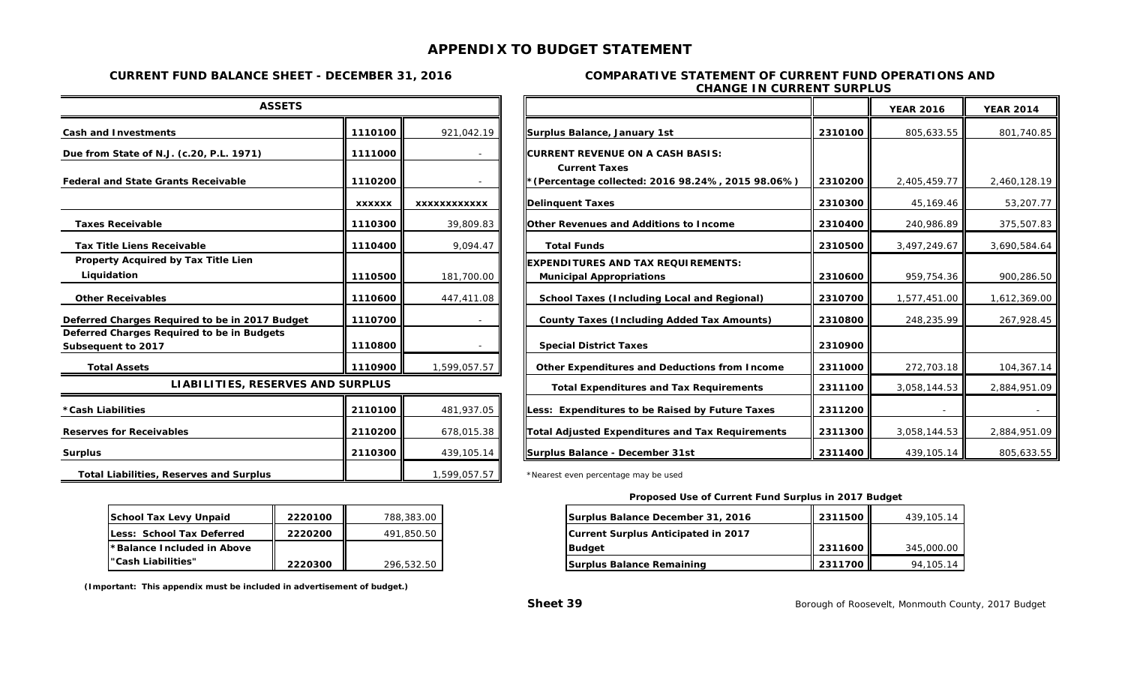## **APPENDIX TO BUDGET STATEMENT**

#### **CHANGE IN CURRENT SURPLUS CURRENT FUND BALANCE SHEET - DECEMBER 31, 2016 COMPARATIVE STATEMENT OF CURRENT FUND OPERATIONS AND**

| <b>ASSETS</b>                                                    |               |              |
|------------------------------------------------------------------|---------------|--------------|
| <b>Cash and Investments</b>                                      | 1110100       | 921,042.19   |
| Due from State of N.J. (c.20, P.L. 1971)                         | 1111000       |              |
| <b>Federal and State Grants Receivable</b>                       | 1110200       |              |
|                                                                  | <b>XXXXXX</b> | xxxxxxxxxxxx |
| <b>Taxes Receivable</b>                                          | 1110300       | 39,809.83    |
| <b>Tax Title Liens Receivable</b>                                | 1110400       | 9,094.47     |
| Property Acquired by Tax Title Lien                              |               |              |
| Liquidation                                                      | 1110500       | 181,700.00   |
| <b>Other Receivables</b>                                         | 1110600       | 447,411.08   |
| Deferred Charges Required to be in 2017 Budget                   | 1110700       |              |
| Deferred Charges Required to be in Budgets<br>Subsequent to 2017 | 1110800       |              |
| <b>Total Assets</b>                                              | 1110900       | 1,599,057.57 |
| LIABILITIES, RESERVES AND SURPLUS                                |               |              |
| *Cash Liabilities                                                | 2110100       | 481,937.05   |
| <b>Reserves for Receivables</b>                                  | 2110200       | 678,015.38   |
| <b>Surplus</b>                                                   | 2110300       | 439,105.14   |
| <b>Total Liabilities, Reserves and Surplus</b>                   |               | 1,599,057.57 |

| <b>ASSETS</b>                                                    |               |                                                |                                                                            |              | <b>YEAR 2016</b> | <b>YEAR 2014</b> |
|------------------------------------------------------------------|---------------|------------------------------------------------|----------------------------------------------------------------------------|--------------|------------------|------------------|
| <b>Cash and Investments</b>                                      | 1110100       | 921,042.19                                     | Surplus Balance, January 1st                                               | 2310100      | 805,633.55       | 801,740.85       |
| Due from State of N.J. (c.20, P.L. 1971)                         | 1111000       |                                                | <b>ICURRENT REVENUE ON A CASH BASIS:</b>                                   |              |                  |                  |
| <b>Federal and State Grants Receivable</b>                       | 1110200       |                                                | <b>Current Taxes</b><br>* (Percentage collected: 2016 98.24%, 2015 98.06%) | 2310200      | 2,405,459.77     | 2,460,128.19     |
|                                                                  | <b>XXXXXX</b> | <b>XXXXXXXXXXXX</b>                            | <b>Delinquent Taxes</b>                                                    | 2310300      | 45,169.46        | 53,207.77        |
| <b>Taxes Receivable</b>                                          | 1110300       | 39,809.83                                      | Other Revenues and Additions to Income                                     | 2310400      | 240,986.89       | 375,507.83       |
| <b>Tax Title Liens Receivable</b>                                | 1110400       | 9,094.47                                       | <b>Total Funds</b>                                                         | 2310500      | 3,497,249.67     | 3,690,584.64     |
| Property Acquired by Tax Title Lien<br>Liquidation               | 1110500       | 181,700.00                                     | EXPENDITURES AND TAX REQUIREMENTS:<br><b>Municipal Appropriations</b>      | 2310600      | 959,754.36       | 900,286.50       |
| <b>Other Receivables</b>                                         | 1110600       | 447,411.08                                     | School Taxes (Including Local and Regional)                                | 2310700      | 1,577,451.00     | 1,612,369.00     |
| Deferred Charges Required to be in 2017 Budget                   | 1110700       |                                                | <b>County Taxes (Including Added Tax Amounts)</b>                          | 2310800      | 248,235.99       | 267,928.45       |
| Deferred Charges Required to be in Budgets<br>Subsequent to 2017 | 1110800       |                                                | <b>Special District Taxes</b>                                              | 2310900      |                  |                  |
| <b>Total Assets</b>                                              | 1110900       | 1,599,057.57                                   | Other Expenditures and Deductions from Income                              | 2311000      | 272,703.18       | 104,367.14       |
| LIABILITIES, RESERVES AND SURPLUS                                |               | <b>Total Expenditures and Tax Requirements</b> | 2311100                                                                    | 3,058,144.53 | 2,884,951.09     |                  |
| *Cash Liabilities                                                | 2110100       | 481,937.05                                     | Less: Expenditures to be Raised by Future Taxes                            | 2311200      |                  |                  |
| <b>Reserves for Receivables</b>                                  | 2110200       | 678,015.38                                     | Total Adjusted Expenditures and Tax Requirements                           | 2311300      | 3,058,144.53     | 2,884,951.09     |
| <b>Surplus</b>                                                   | 2110300       | 439,105.14                                     | Surplus Balance - December 31st                                            | 2311400      | 439,105.14       | 805,633.55       |

\*Nearest even percentage may be used

| School Tax Levy Unpaid     | 2220100 | 788,383,00 | Surplus Balance December 31, 2016   | 2311500 L | 439,105.14 |
|----------------------------|---------|------------|-------------------------------------|-----------|------------|
| Less: School Tax Deferred  | 2220200 | 491,850.50 | Current Surplus Anticipated in 2017 |           |            |
| *Balance Included in Above |         |            | <b>IBudaet</b>                      | 2311600 L | 345,000.00 |
| "Cash Liabilities"         | 2220300 | 296,532.50 | Surplus Balance Remaining           | 2311700   | 94,105.14  |

| School Tax Levy Unpaid             | 2220100 | 788,383,00 |
|------------------------------------|---------|------------|
| <b>ILess: School Tax Deferred</b>  | 2220200 | 491,850.50 |
| <b>Exage Secondra</b> in Above *** |         |            |
| l"Cash Liabilities"                | 2220300 | 296,532.50 |

 **(Important: This appendix must be included in advertisement of budget.)**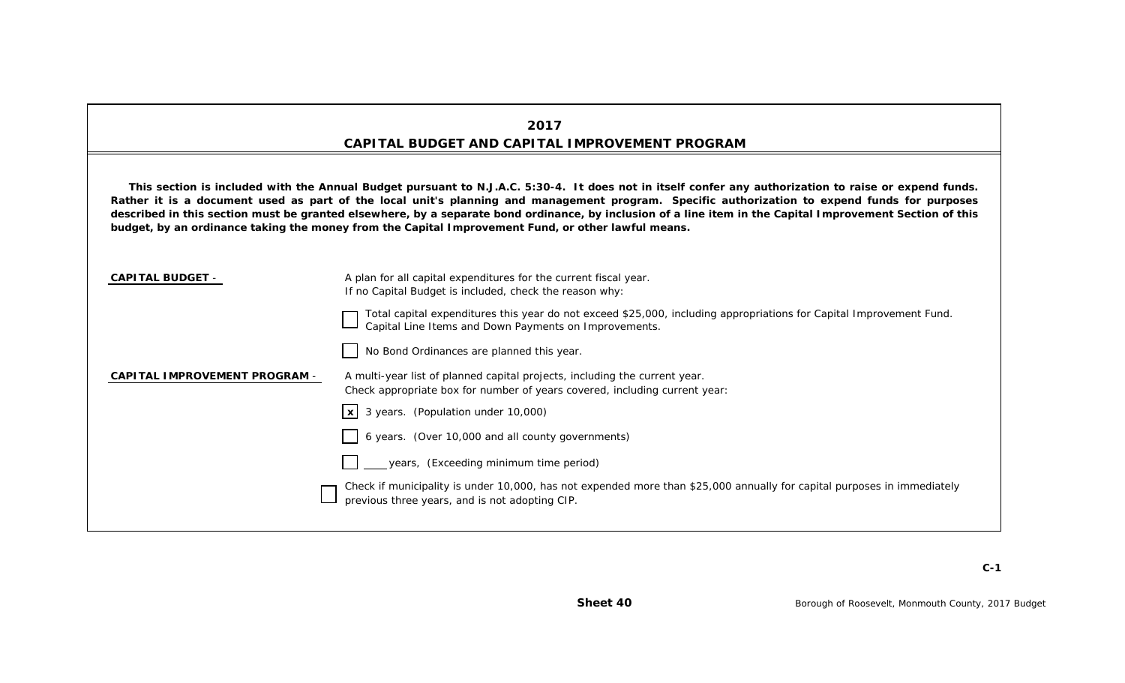## **2017 CAPITAL BUDGET AND CAPITAL IMPROVEMENT PROGRAM**

This section is included with the Annual Budget pursuant to N.J.A.C. 5:30-4. It does not in itself confer any authorization to raise or expend funds. Rather it is a document used as part of the local unit's planning and management program. Specific authorization to expend funds for purposes described in this section must be granted elsewhere, by a separate bond ordinance, by inclusion of a line item in the Capital Improvement Section of this **budget, by an ordinance taking the money from the Capital Improvement Fund, or other lawful means.**

| <b>CAPITAL BUDGET -</b>              | A plan for all capital expenditures for the current fiscal year.<br>If no Capital Budget is included, check the reason why:                                                  |
|--------------------------------------|------------------------------------------------------------------------------------------------------------------------------------------------------------------------------|
|                                      | Total capital expenditures this year do not exceed \$25,000, including appropriations for Capital Improvement Fund.<br>Capital Line Items and Down Payments on Improvements. |
|                                      | No Bond Ordinances are planned this year.                                                                                                                                    |
| <b>CAPITAL IMPROVEMENT PROGRAM -</b> | A multi-year list of planned capital projects, including the current year.<br>Check appropriate box for number of years covered, including current year:                     |
|                                      | $x  3$ years. (Population under 10,000)                                                                                                                                      |
|                                      | 6 years. (Over 10,000 and all county governments)                                                                                                                            |
|                                      | years, (Exceeding minimum time period)                                                                                                                                       |
|                                      | Check if municipality is under 10,000, has not expended more than \$25,000 annually for capital purposes in immediately<br>previous three years, and is not adopting CIP.    |
|                                      |                                                                                                                                                                              |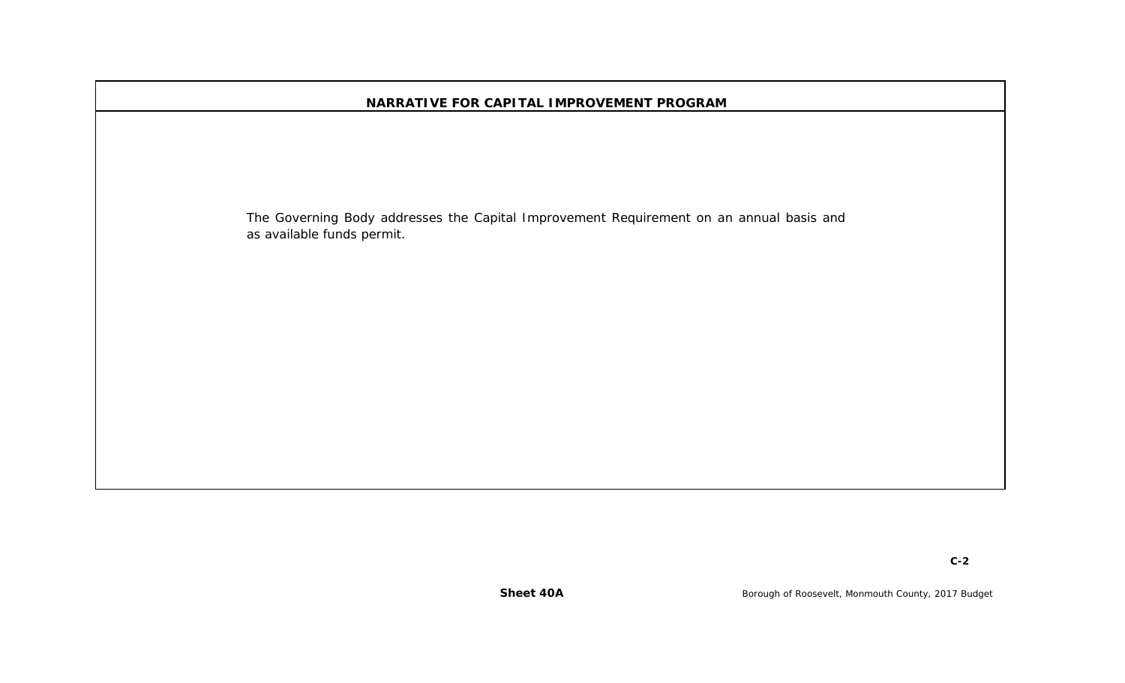| NARRATIVE FOR CAPITAL IMPROVEMENT PROGRAM                                                                             |
|-----------------------------------------------------------------------------------------------------------------------|
|                                                                                                                       |
|                                                                                                                       |
|                                                                                                                       |
| The Governing Body addresses the Capital Improvement Requirement on an annual basis and<br>as available funds permit. |
|                                                                                                                       |
|                                                                                                                       |
|                                                                                                                       |
|                                                                                                                       |
|                                                                                                                       |
|                                                                                                                       |
|                                                                                                                       |
|                                                                                                                       |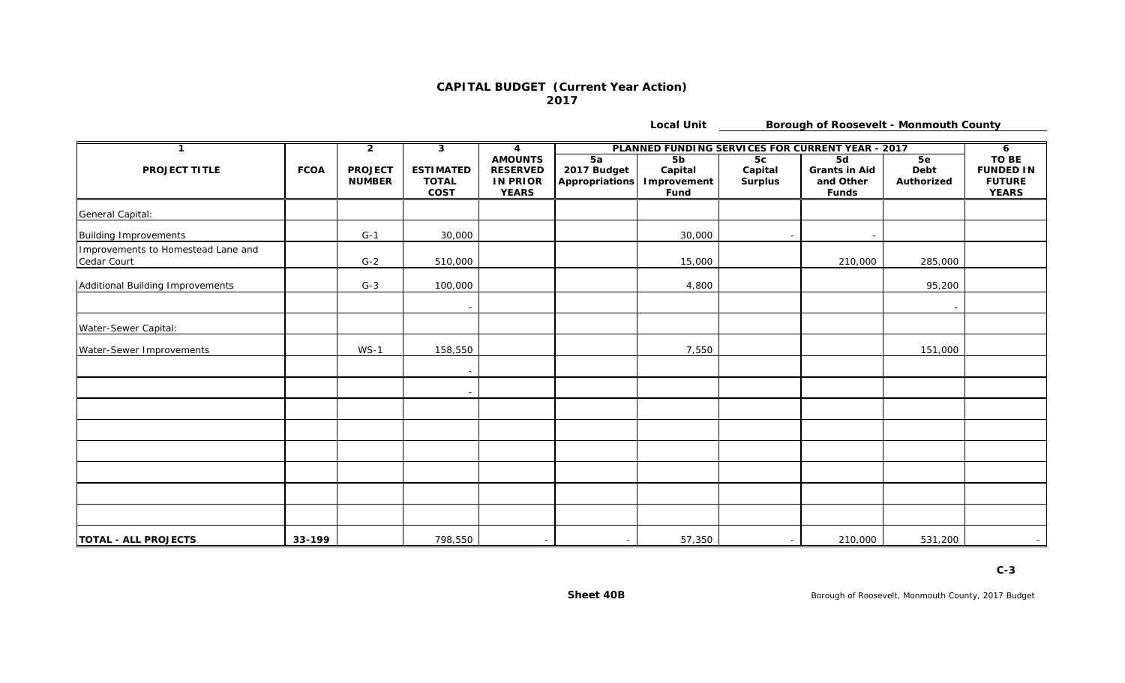#### **CAPITAL BUDGET (Current Year Action) 2017**

**Local Unit**

**Borough of Roosevelt - Monmouth County**

| $\mathbf 1$                                       |             | $\overline{2}$                  | 3                                               | $\overline{\mathbf{4}}$                                              |                                     | PLANNED FUNDING SERVICES FOR CURRENT YEAR - 2017 |                                 |                                                         |                          |                                                                   |  |
|---------------------------------------------------|-------------|---------------------------------|-------------------------------------------------|----------------------------------------------------------------------|-------------------------------------|--------------------------------------------------|---------------------------------|---------------------------------------------------------|--------------------------|-------------------------------------------------------------------|--|
| <b>PROJECT TITLE</b>                              | <b>FCOA</b> | <b>PROJECT</b><br><b>NUMBER</b> | <b>ESTIMATED</b><br><b>TOTAL</b><br><b>COST</b> | <b>AMOUNTS</b><br><b>RESERVED</b><br><b>IN PRIOR</b><br><b>YEARS</b> | 5a<br>2017 Budget<br>Appropriations | 5 <sub>b</sub><br>Capital<br>Improvement<br>Fund | 5c<br>Capital<br><b>Surplus</b> | 5d<br><b>Grants in Aid</b><br>and Other<br><b>Funds</b> | 5e<br>Debt<br>Authorized | <b>TO BE</b><br><b>FUNDED IN</b><br><b>FUTURE</b><br><b>YEARS</b> |  |
| General Capital:                                  |             |                                 |                                                 |                                                                      |                                     |                                                  |                                 |                                                         |                          |                                                                   |  |
| <b>Building Improvements</b>                      |             | $G-1$                           | 30,000                                          |                                                                      |                                     | 30,000                                           |                                 |                                                         |                          |                                                                   |  |
| Improvements to Homestead Lane and<br>Cedar Court |             | $G-2$                           | 510,000                                         |                                                                      |                                     | 15,000                                           |                                 | 210,000                                                 | 285,000                  |                                                                   |  |
| Additional Building Improvements                  |             | $G-3$                           | 100,000                                         |                                                                      |                                     | 4,800                                            |                                 |                                                         | 95,200                   |                                                                   |  |
|                                                   |             |                                 |                                                 |                                                                      |                                     |                                                  |                                 |                                                         |                          |                                                                   |  |
| Water-Sewer Capital:                              |             |                                 |                                                 |                                                                      |                                     |                                                  |                                 |                                                         |                          |                                                                   |  |
| Water-Sewer Improvements                          |             | $WS-1$                          | 158,550                                         |                                                                      |                                     | 7,550                                            |                                 |                                                         | 151,000                  |                                                                   |  |
|                                                   |             |                                 |                                                 |                                                                      |                                     |                                                  |                                 |                                                         |                          |                                                                   |  |
|                                                   |             |                                 |                                                 |                                                                      |                                     |                                                  |                                 |                                                         |                          |                                                                   |  |
|                                                   |             |                                 |                                                 |                                                                      |                                     |                                                  |                                 |                                                         |                          |                                                                   |  |
|                                                   |             |                                 |                                                 |                                                                      |                                     |                                                  |                                 |                                                         |                          |                                                                   |  |
|                                                   |             |                                 |                                                 |                                                                      |                                     |                                                  |                                 |                                                         |                          |                                                                   |  |
|                                                   |             |                                 |                                                 |                                                                      |                                     |                                                  |                                 |                                                         |                          |                                                                   |  |
|                                                   |             |                                 |                                                 |                                                                      |                                     |                                                  |                                 |                                                         |                          |                                                                   |  |
|                                                   |             |                                 |                                                 |                                                                      |                                     |                                                  |                                 |                                                         |                          |                                                                   |  |
| <b>TOTAL - ALL PROJECTS</b>                       | 33-199      |                                 | 798,550                                         | $\sim$                                                               | $\overline{\phantom{0}}$            | 57,350                                           |                                 | 210,000                                                 | 531,200                  | $\sim$                                                            |  |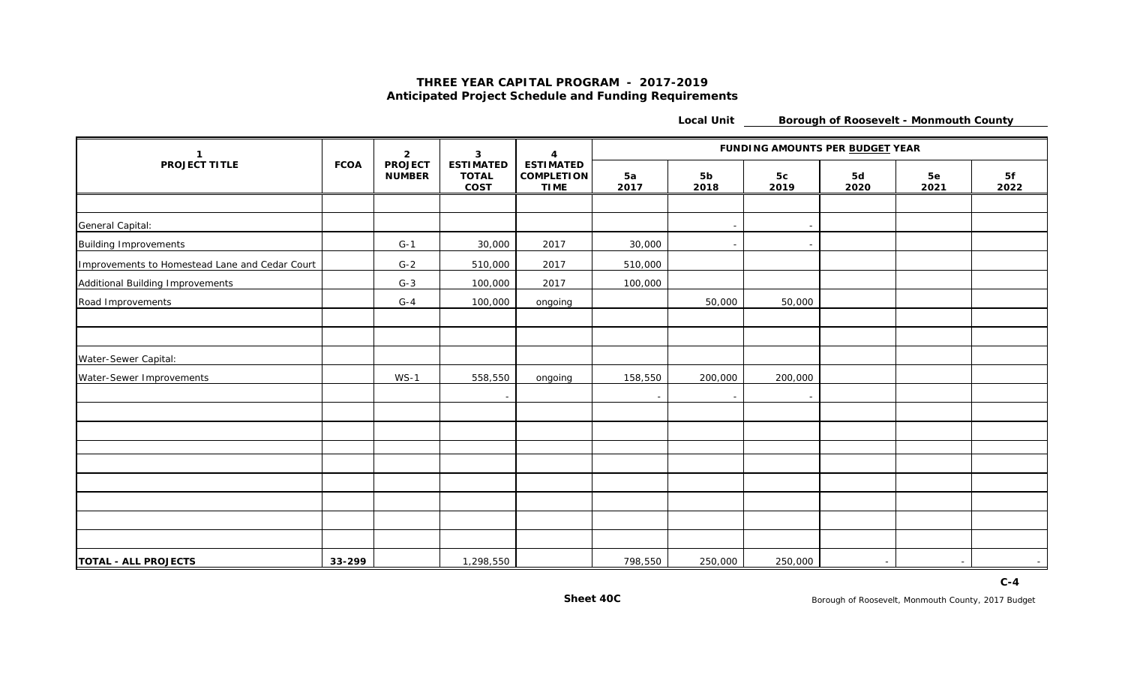#### **THREE YEAR CAPITAL PROGRAM - 2017-2019 Anticipated Project Schedule and Funding Requirements**

**Local Unit Borough of Roosevelt - Monmouth County**

| -1                                             |             | $\overline{2}$                  | 3                                        | $\mathbf{A}$                                         | FUNDING AMOUNTS PER BUDGET YEAR |                        |                          |            |            |                          |  |
|------------------------------------------------|-------------|---------------------------------|------------------------------------------|------------------------------------------------------|---------------------------------|------------------------|--------------------------|------------|------------|--------------------------|--|
| <b>PROJECT TITLE</b>                           | <b>FCOA</b> | <b>PROJECT</b><br><b>NUMBER</b> | <b>ESTIMATED</b><br><b>TOTAL</b><br>COST | <b>ESTIMATED</b><br><b>COMPLETION</b><br><b>TIME</b> | 5a<br>2017                      | 5 <sub>b</sub><br>2018 | 5c<br>2019               | 5d<br>2020 | 5e<br>2021 | 5f<br>2022               |  |
|                                                |             |                                 |                                          |                                                      |                                 |                        |                          |            |            |                          |  |
| General Capital:                               |             |                                 |                                          |                                                      |                                 |                        | $\overline{a}$           |            |            |                          |  |
| <b>Building Improvements</b>                   |             | $G-1$                           | 30,000                                   | 2017                                                 | 30,000                          |                        | $\overline{a}$           |            |            |                          |  |
| Improvements to Homestead Lane and Cedar Court |             | $G-2$                           | 510,000                                  | 2017                                                 | 510,000                         |                        |                          |            |            |                          |  |
| Additional Building Improvements               |             | $G-3$                           | 100,000                                  | 2017                                                 | 100,000                         |                        |                          |            |            |                          |  |
| Road Improvements                              |             | $G-4$                           | 100,000                                  | ongoing                                              |                                 | 50,000                 | 50,000                   |            |            |                          |  |
|                                                |             |                                 |                                          |                                                      |                                 |                        |                          |            |            |                          |  |
|                                                |             |                                 |                                          |                                                      |                                 |                        |                          |            |            |                          |  |
| Water-Sewer Capital:                           |             |                                 |                                          |                                                      |                                 |                        |                          |            |            |                          |  |
| Water-Sewer Improvements                       |             | $WS-1$                          | 558,550                                  | ongoing                                              | 158,550                         | 200,000                | 200,000                  |            |            |                          |  |
|                                                |             |                                 |                                          |                                                      |                                 |                        | $\overline{\phantom{a}}$ |            |            |                          |  |
|                                                |             |                                 |                                          |                                                      |                                 |                        |                          |            |            |                          |  |
|                                                |             |                                 |                                          |                                                      |                                 |                        |                          |            |            |                          |  |
|                                                |             |                                 |                                          |                                                      |                                 |                        |                          |            |            |                          |  |
|                                                |             |                                 |                                          |                                                      |                                 |                        |                          |            |            |                          |  |
|                                                |             |                                 |                                          |                                                      |                                 |                        |                          |            |            |                          |  |
|                                                |             |                                 |                                          |                                                      |                                 |                        |                          |            |            |                          |  |
|                                                |             |                                 |                                          |                                                      |                                 |                        |                          |            |            |                          |  |
|                                                |             |                                 |                                          |                                                      |                                 |                        |                          |            |            |                          |  |
| <b>TOTAL - ALL PROJECTS</b>                    | 33-299      |                                 | 1,298,550                                |                                                      | 798,550                         | 250,000                | 250,000                  | $\sim$     |            | $\overline{\phantom{0}}$ |  |

**C-4**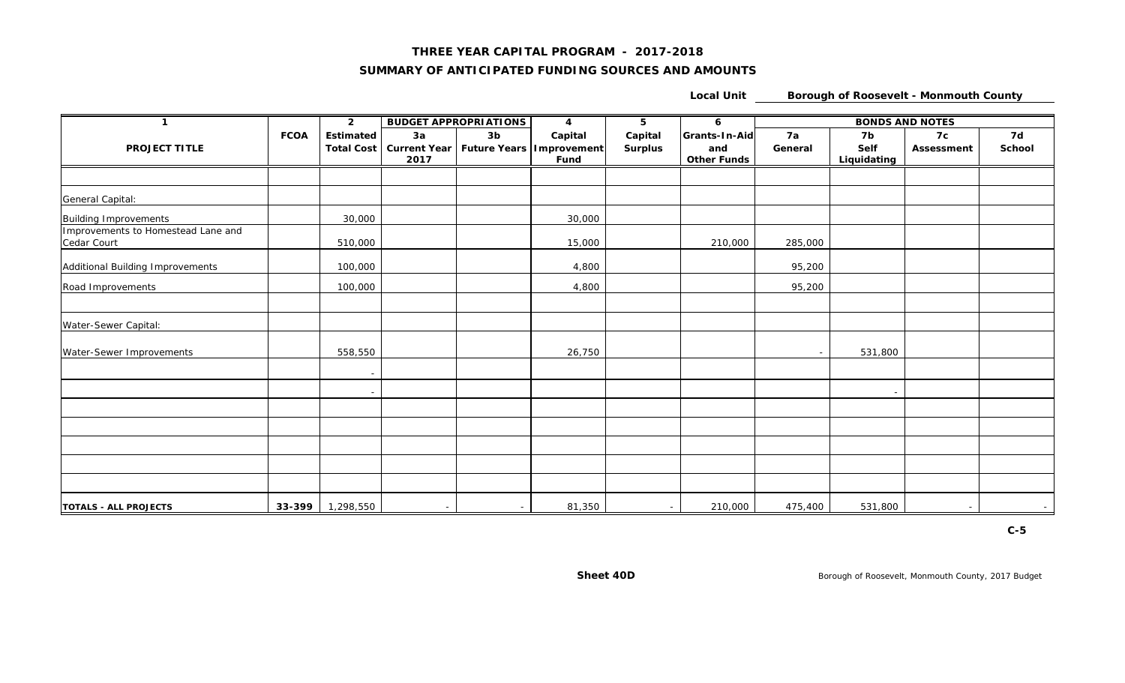#### **THREE YEAR CAPITAL PROGRAM - 2017-2018**

#### **SUMMARY OF ANTICIPATED FUNDING SOURCES AND AMOUNTS**

**Local Unit Borough of Roosevelt - Monmouth County**

| $\mathbf 1$                                       |             | $\overline{2}$                        |            | <b>BUDGET APPROPRIATIONS</b> | $\overline{\mathbf{4}}$                                      | 5                         | 6                                          |               | <b>BONDS AND NOTES</b>    |                  |              |  |
|---------------------------------------------------|-------------|---------------------------------------|------------|------------------------------|--------------------------------------------------------------|---------------------------|--------------------------------------------|---------------|---------------------------|------------------|--------------|--|
| <b>PROJECT TITLE</b>                              | <b>FCOA</b> | <b>Estimated</b><br><b>Total Cost</b> | 3a<br>2017 | 3 <sub>b</sub>               | Capital<br>Current Year   Future Years   Improvement<br>Fund | Capital<br><b>Surplus</b> | Grants-In-Aid<br>and<br><b>Other Funds</b> | 7a<br>General | 7b<br>Self<br>Liquidating | 7c<br>Assessment | 7d<br>School |  |
|                                                   |             |                                       |            |                              |                                                              |                           |                                            |               |                           |                  |              |  |
| General Capital:                                  |             |                                       |            |                              |                                                              |                           |                                            |               |                           |                  |              |  |
| <b>Building Improvements</b>                      |             | 30,000                                |            |                              | 30,000                                                       |                           |                                            |               |                           |                  |              |  |
| Improvements to Homestead Lane and<br>Cedar Court |             | 510,000                               |            |                              | 15,000                                                       |                           | 210,000                                    | 285,000       |                           |                  |              |  |
| Additional Building Improvements                  |             | 100,000                               |            |                              | 4,800                                                        |                           |                                            | 95,200        |                           |                  |              |  |
| Road Improvements                                 |             | 100,000                               |            |                              | 4,800                                                        |                           |                                            | 95,200        |                           |                  |              |  |
|                                                   |             |                                       |            |                              |                                                              |                           |                                            |               |                           |                  |              |  |
| Water-Sewer Capital:                              |             |                                       |            |                              |                                                              |                           |                                            |               |                           |                  |              |  |
| Water-Sewer Improvements                          |             | 558,550                               |            |                              | 26,750                                                       |                           |                                            |               | 531,800                   |                  |              |  |
|                                                   |             |                                       |            |                              |                                                              |                           |                                            |               |                           |                  |              |  |
|                                                   |             |                                       |            |                              |                                                              |                           |                                            |               |                           |                  |              |  |
|                                                   |             |                                       |            |                              |                                                              |                           |                                            |               |                           |                  |              |  |
|                                                   |             |                                       |            |                              |                                                              |                           |                                            |               |                           |                  |              |  |
|                                                   |             |                                       |            |                              |                                                              |                           |                                            |               |                           |                  |              |  |
|                                                   |             |                                       |            |                              |                                                              |                           |                                            |               |                           |                  |              |  |
|                                                   |             |                                       |            |                              |                                                              |                           |                                            |               |                           |                  |              |  |
| <b>TOTALS - ALL PROJECTS</b>                      |             | $33-399$ 1,298,550                    | $\sim$     |                              | 81,350                                                       | $\overline{\phantom{0}}$  | 210,000                                    | 475,400       | 531,800                   |                  | $\sim$       |  |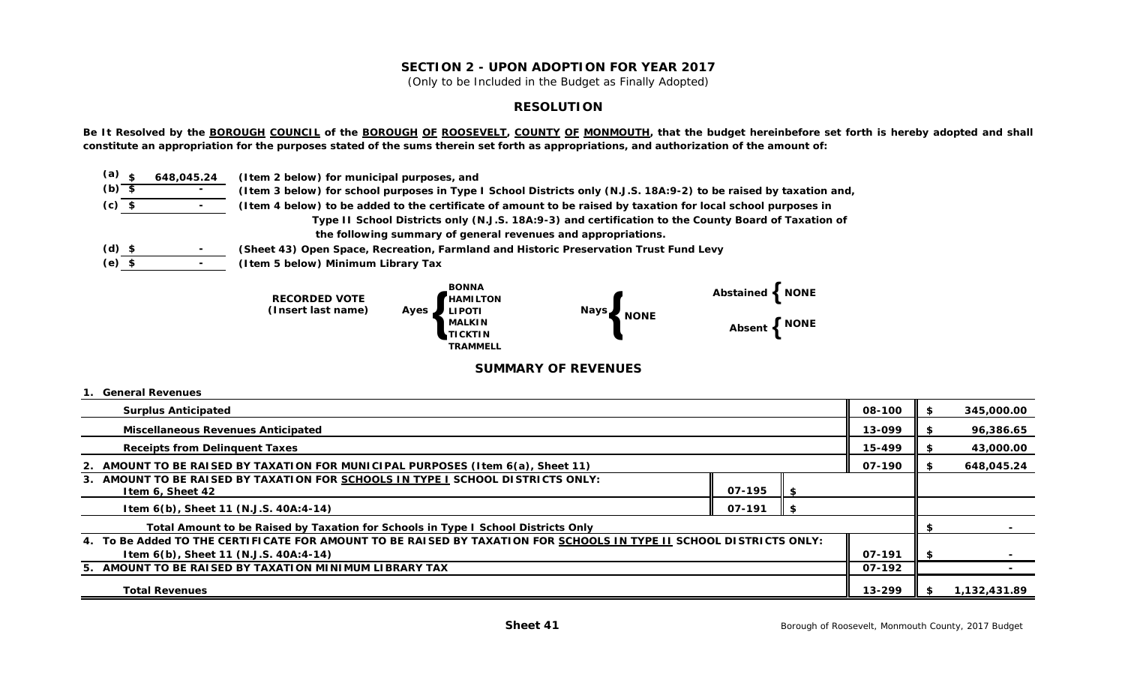#### **SECTION 2 - UPON ADOPTION FOR YEAR 2017**

(Only to be Included in the Budget as Finally Adopted)

#### **RESOLUTION**

Be It Resolved by the **BOROUGH COUNCIL** of the **BOROUGH OF ROOSEVELT**, COUNTY OF MONMOUTH, that the budget hereinbefore set forth is hereby adopted and shall **constitute an appropriation for the purposes stated of the sums therein set forth as appropriations, and authorization of the amount of:**

| $(a)$ $\zeta$ | 648,045.24 | (I tem 2 below) for municipal purposes, and                                                                       |
|---------------|------------|-------------------------------------------------------------------------------------------------------------------|
| $(b)$ \$      |            | (Item 3 below) for school purposes in Type I School Districts only (N.J.S. 18A:9-2) to be raised by taxation and, |
| $(c)$ \$      |            | (Item 4 below) to be added to the certificate of amount to be raised by taxation for local school purposes in     |
|               |            | Type II School Districts only (N.J.S. 18A:9-3) and certification to the County Board of Taxation of               |
|               |            | the following summary of general revenues and appropriations.                                                     |
| $(d)$ \$      | $\sim$     | (Sheet 43) Open Space, Recreation, Farmland and Historic Preservation Trust Fund Levy                             |
| $(e)$ \$      | $\sim$     | (Item 5 below) Minimum Library Tax                                                                                |



#### **SUMMARY OF REVENUES**

#### **1. General Revenues**

| <b>Surplus Anticipated</b>                                                                                          | 08-100 | S. | 345,000.00   |  |  |
|---------------------------------------------------------------------------------------------------------------------|--------|----|--------------|--|--|
| <b>Miscellaneous Revenues Anticipated</b>                                                                           | 13-099 |    | 96,386.65    |  |  |
| <b>Receipts from Delinguent Taxes</b>                                                                               | 15-499 |    | 43,000.00    |  |  |
| 2. AMOUNT TO BE RAISED BY TAXATION FOR MUNICIPAL PURPOSES (Item 6(a), Sheet 11)                                     | 07-190 |    | 648,045.24   |  |  |
| 3. AMOUNT TO BE RAISED BY TAXATION FOR SCHOOLS IN TYPE I SCHOOL DISTRICTS ONLY:<br>07-195<br>Item 6, Sheet 42       |        |    |              |  |  |
| Item 6(b), Sheet 11 (N.J.S. 40A:4-14)<br>07-191<br>- 56                                                             |        |    |              |  |  |
| Total Amount to be Raised by Taxation for Schools in Type I School Districts Only                                   |        |    |              |  |  |
| 4. To Be Added TO THE CERTIFICATE FOR AMOUNT TO BE RAISED BY TAXATION FOR SCHOOLS IN TYPE II SCHOOL DISTRICTS ONLY: |        |    |              |  |  |
| Item 6(b), Sheet 11 (N.J.S. 40A:4-14)                                                                               | 07-191 | \$ |              |  |  |
| 5. AMOUNT TO BE RAISED BY TAXATION MINIMUM LIBRARY TAX<br>07-192                                                    |        |    |              |  |  |
| <b>Total Revenues</b>                                                                                               | 13-299 |    | 1,132,431.89 |  |  |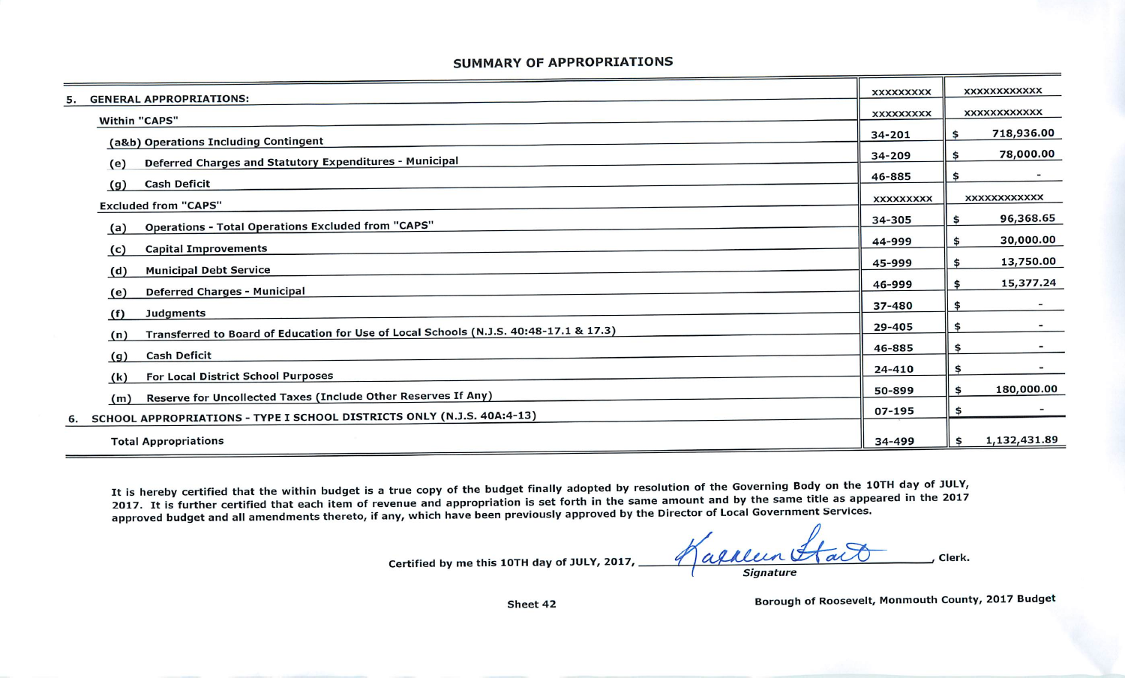#### *SUMMARY OF APPROPRIATIONS*

|                                                                                              | <b>XXXXXXXXX</b> | <b>XXXXXXXXXXXX</b> |  |
|----------------------------------------------------------------------------------------------|------------------|---------------------|--|
| <b>GENERAL APPROPRIATIONS:</b><br>5.                                                         | <b>XXXXXXXXX</b> | <b>XXXXXXXXXXXX</b> |  |
| <b>Within "CAPS"</b>                                                                         | 34-201           | 718,936.00<br>\$    |  |
| (a&b) Operations Including Contingent                                                        |                  |                     |  |
| Deferred Charges and Statutory Expenditures - Municipal<br>(e)                               | 34-209           | 78,000.00<br>\$     |  |
| <b>Cash Deficit</b><br>(g)                                                                   | 46-885           | \$                  |  |
| <b>Excluded from "CAPS"</b>                                                                  | <b>XXXXXXXXX</b> | <b>XXXXXXXXXXXX</b> |  |
|                                                                                              | 34-305           | 96,368.65<br>\$     |  |
| <b>Operations - Total Operations Excluded from "CAPS"</b><br>(a)                             | 44-999           | 30,000.00<br>\$     |  |
| <b>Capital Improvements</b><br>(c)                                                           |                  |                     |  |
| <b>Municipal Debt Service</b><br>(d)                                                         | 45-999           | 13,750.00<br>\$     |  |
| <b>Deferred Charges - Municipal</b><br>(e)                                                   | 46-999           | 15,377.24<br>\$     |  |
| <b>Judgments</b><br>(f)                                                                      | 37-480           | \$                  |  |
| Transferred to Board of Education for Use of Local Schools (N.J.S. 40:48-17.1 & 17.3)<br>(n) | 29-405           | \$                  |  |
|                                                                                              | 46-885           | \$                  |  |
| <b>Cash Deficit</b><br>(g)<br>For Local District School Purposes                             | 24-410           | \$                  |  |
| (k)                                                                                          | 50-899           | 180,000.00<br>\$    |  |
| Reserve for Uncollected Taxes (Include Other Reserves If Any)<br>(m)                         | 07-195           | \$                  |  |
| SCHOOL APPROPRIATIONS - TYPE I SCHOOL DISTRICTS ONLY (N.J.S. 40A:4-13)<br>6.                 |                  |                     |  |
| <b>Total Appropriations</b>                                                                  | 34-499           | 1,132,431.89<br>\$  |  |

It is hereby certified that the within budget is a true copy of the budget finally adopted by resolution of the Governing Body on the 10TH day of JULY 2017. It is further certified that each item of revenue and appropriation is set forth in the same amount and by the same title as appeared in the 2017 approved budget and all amendments thereto, if any, which have been previously approved by the Director of Local Government Services.

Certified by me this *10TH* day of *JULY,* 2017,

agaleen Aact clerk. **Signature**

Borough of Roosevelt, Monmouth County, 2017 Budget

Sheet 42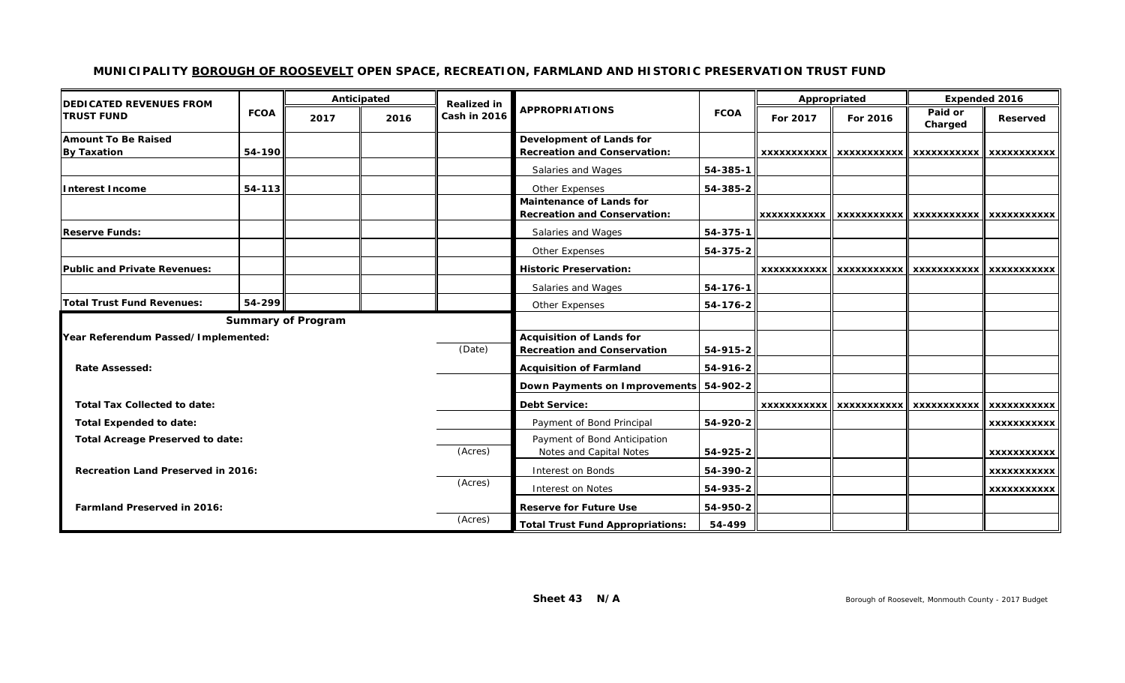#### **MUNICIPALITY BOROUGH OF ROOSEVELT OPEN SPACE, RECREATION, FARMLAND AND HISTORIC PRESERVATION TRUST FUND**

| <b>IDEDICATED REVENUES FROM</b>                    | <b>FCOA</b> | Anticipated               |                               | <b>Realized in</b>                                                    |                                                                        |             | Appropriated       |                    | <b>Expended 2016</b> |                    |
|----------------------------------------------------|-------------|---------------------------|-------------------------------|-----------------------------------------------------------------------|------------------------------------------------------------------------|-------------|--------------------|--------------------|----------------------|--------------------|
| <b>TRUST FUND</b>                                  |             | 2017                      | 2016                          | Cash in 2016                                                          | <b>APPROPRIATIONS</b>                                                  | <b>FCOA</b> | For 2017           | For 2016           | Paid or<br>Charged   | Reserved           |
| <b>Amount To Be Raised</b><br><b>By Taxation</b>   | 54-190      |                           |                               |                                                                       | Development of Lands for<br><b>Recreation and Conservation:</b>        |             | <b>XXXXXXXXXXX</b> | <b>XXXXXXXXXXX</b> | <b>XXXXXXXXXXX</b>   | <b>XXXXXXXXXXX</b> |
|                                                    |             |                           |                               |                                                                       | Salaries and Wages                                                     | 54-385-1    |                    |                    |                      |                    |
| Interest Income                                    | 54-113      |                           |                               |                                                                       | Other Expenses                                                         | 54-385-2    |                    |                    |                      |                    |
|                                                    |             |                           |                               |                                                                       | <b>Maintenance of Lands for</b><br><b>Recreation and Conservation:</b> |             | <b>XXXXXXXXXXX</b> | <b>XXXXXXXXXXX</b> | <b>XXXXXXXXXXX</b>   | <b>XXXXXXXXXXX</b> |
| <b>Reserve Funds:</b>                              |             |                           |                               |                                                                       | Salaries and Wages                                                     | 54-375-1    |                    |                    |                      |                    |
|                                                    |             |                           |                               |                                                                       | Other Expenses                                                         | 54-375-2    |                    |                    |                      |                    |
| <b>Public and Private Revenues:</b>                |             |                           |                               |                                                                       | <b>Historic Preservation:</b>                                          |             | XXXXXXXXXXX        | <b>XXXXXXXXXXX</b> | <b>XXXXXXXXXXX</b>   | <b>XXXXXXXXXXX</b> |
|                                                    |             |                           |                               |                                                                       | Salaries and Wages                                                     | 54-176-1    |                    |                    |                      |                    |
| <b>Total Trust Fund Revenues:</b>                  | $54 - 299$  |                           |                               |                                                                       | Other Expenses                                                         | 54-176-2    |                    |                    |                      |                    |
|                                                    |             | <b>Summary of Program</b> |                               |                                                                       |                                                                        |             |                    |                    |                      |                    |
| Year Referendum Passed/Implemented:<br>(Date)      |             |                           |                               | <b>Acquisition of Lands for</b><br><b>Recreation and Conservation</b> | 54-915-2                                                               |             |                    |                    |                      |                    |
| <b>Rate Assessed:</b>                              |             |                           |                               | <b>Acquisition of Farmland</b>                                        | 54-916-2                                                               |             |                    |                    |                      |                    |
|                                                    |             |                           |                               |                                                                       | Down Payments on Improvements 54-902-2                                 |             |                    |                    |                      |                    |
| <b>Total Tax Collected to date:</b>                |             |                           |                               |                                                                       | <b>Debt Service:</b>                                                   |             | <b>XXXXXXXXXXX</b> | <b>XXXXXXXXXXX</b> | <b>XXXXXXXXXX</b>    | <b>XXXXXXXXXXX</b> |
| <b>Total Expended to date:</b>                     |             |                           | Payment of Bond Principal     | 54-920-2                                                              |                                                                        |             |                    | XXXXXXXXXXX        |                      |                    |
| <b>Total Acreage Preserved to date:</b><br>(Acres) |             |                           |                               | Payment of Bond Anticipation<br>Notes and Capital Notes               | 54-925-2                                                               |             |                    |                    | <b>XXXXXXXXXXX</b>   |                    |
| <b>Recreation Land Preserved in 2016:</b>          |             |                           | Interest on Bonds             | 54-390-2                                                              |                                                                        |             |                    | <b>XXXXXXXXXXX</b> |                      |                    |
|                                                    |             |                           |                               | (Acres)                                                               | Interest on Notes                                                      | 54-935-2    |                    |                    |                      | <b>XXXXXXXXXXX</b> |
| <b>Farmland Preserved in 2016:</b>                 |             |                           | <b>Reserve for Future Use</b> | 54-950-2                                                              |                                                                        |             |                    |                    |                      |                    |
|                                                    |             |                           | (Acres)                       | <b>Total Trust Fund Appropriations:</b>                               | 54-499                                                                 |             |                    |                    |                      |                    |